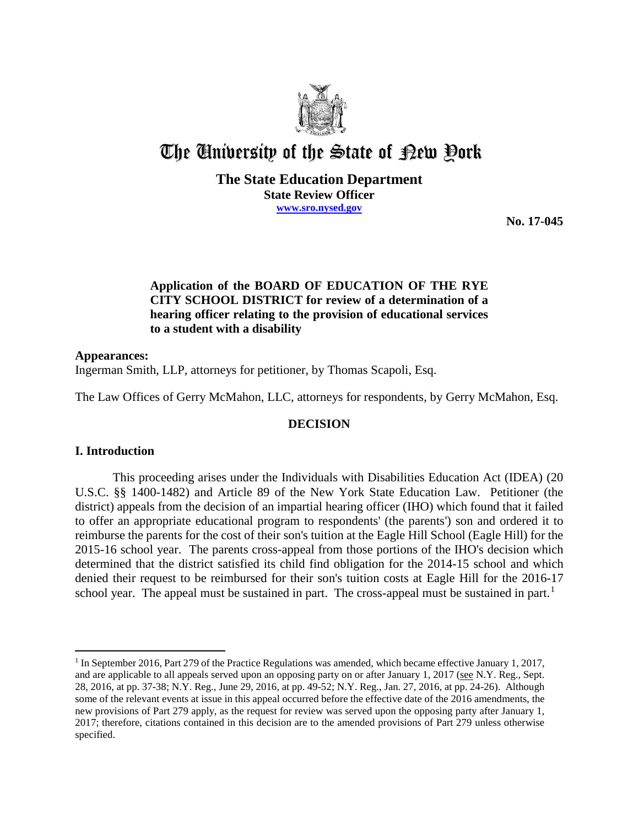

# The University of the State of Pew Pork

## **The State Education Department State Review Officer www.sro.nysed.gov**

**No. 17-045**

# **Application of the BOARD OF EDUCATION OF THE RYE CITY SCHOOL DISTRICT for review of a determination of a hearing officer relating to the provision of educational services to a student with a disability**

# **Appearances:**

Ingerman Smith, LLP, attorneys for petitioner, by Thomas Scapoli, Esq.

The Law Offices of Gerry McMahon, LLC, attorneys for respondents, by Gerry McMahon, Esq.

# **DECISION**

# **I. Introduction**

 $\overline{a}$ 

This proceeding arises under the Individuals with Disabilities Education Act (IDEA) (20 U.S.C. §§ 1400-1482) and Article 89 of the New York State Education Law. Petitioner (the district) appeals from the decision of an impartial hearing officer (IHO) which found that it failed to offer an appropriate educational program to respondents' (the parents') son and ordered it to reimburse the parents for the cost of their son's tuition at the Eagle Hill School (Eagle Hill) for the 2015-16 school year. The parents cross-appeal from those portions of the IHO's decision which determined that the district satisfied its child find obligation for the 2014-15 school and which denied their request to be reimbursed for their son's tuition costs at Eagle Hill for the 2016-17 school year. The appeal must be sustained in part. The cross-appeal must be sustained in part.<sup>1</sup>

<sup>1</sup> In September 2016, Part 279 of the Practice Regulations was amended, which became effective January 1, 2017, and are applicable to all appeals served upon an opposing party on or after January 1, 2017 (see N.Y. Reg., Sept. 28, 2016, at pp. 37-38; N.Y. Reg., June 29, 2016, at pp. 49-52; N.Y. Reg., Jan. 27, 2016, at pp. 24-26). Although some of the relevant events at issue in this appeal occurred before the effective date of the 2016 amendments, the new provisions of Part 279 apply, as the request for review was served upon the opposing party after January 1, 2017; therefore, citations contained in this decision are to the amended provisions of Part 279 unless otherwise specified.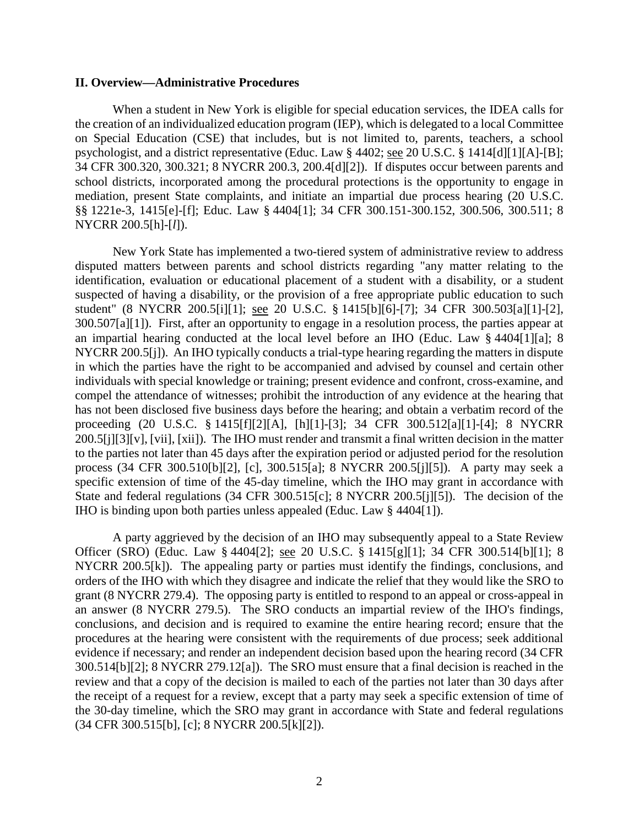#### **II. Overview—Administrative Procedures**

When a student in New York is eligible for special education services, the IDEA calls for the creation of an individualized education program (IEP), which is delegated to a local Committee on Special Education (CSE) that includes, but is not limited to, parents, teachers, a school psychologist, and a district representative (Educ. Law § 4402; see 20 U.S.C. § 1414[d][1][A]-[B]; 34 CFR 300.320, 300.321; 8 NYCRR 200.3, 200.4[d][2]). If disputes occur between parents and school districts, incorporated among the procedural protections is the opportunity to engage in mediation, present State complaints, and initiate an impartial due process hearing (20 U.S.C. §§ 1221e-3, 1415[e]-[f]; Educ. Law § 4404[1]; 34 CFR 300.151-300.152, 300.506, 300.511; 8 NYCRR 200.5[h]-[*l*]).

New York State has implemented a two-tiered system of administrative review to address disputed matters between parents and school districts regarding "any matter relating to the identification, evaluation or educational placement of a student with a disability, or a student suspected of having a disability, or the provision of a free appropriate public education to such student" (8 NYCRR 200.5[i][1]; see 20 U.S.C. § 1415[b][6]-[7]; 34 CFR 300.503[a][1]-[2], 300.507[a][1]). First, after an opportunity to engage in a resolution process, the parties appear at an impartial hearing conducted at the local level before an IHO (Educ. Law § 4404[1][a]; 8 NYCRR 200.5[j]). An IHO typically conducts a trial-type hearing regarding the matters in dispute in which the parties have the right to be accompanied and advised by counsel and certain other individuals with special knowledge or training; present evidence and confront, cross-examine, and compel the attendance of witnesses; prohibit the introduction of any evidence at the hearing that has not been disclosed five business days before the hearing; and obtain a verbatim record of the proceeding (20 U.S.C. § 1415[f][2][A], [h][1]-[3]; 34 CFR 300.512[a][1]-[4]; 8 NYCRR 200.5[j][3][v], [vii], [xii]). The IHO must render and transmit a final written decision in the matter to the parties not later than 45 days after the expiration period or adjusted period for the resolution process (34 CFR 300.510[b][2], [c], 300.515[a]; 8 NYCRR 200.5[j][5]). A party may seek a specific extension of time of the 45-day timeline, which the IHO may grant in accordance with State and federal regulations (34 CFR 300.515[c]; 8 NYCRR 200.5[j][5]). The decision of the IHO is binding upon both parties unless appealed (Educ. Law § 4404[1]).

A party aggrieved by the decision of an IHO may subsequently appeal to a State Review Officer (SRO) (Educ. Law § 4404[2]; see 20 U.S.C. § 1415[g][1]; 34 CFR 300.514[b][1]; 8 NYCRR 200.5[k]). The appealing party or parties must identify the findings, conclusions, and orders of the IHO with which they disagree and indicate the relief that they would like the SRO to grant (8 NYCRR 279.4). The opposing party is entitled to respond to an appeal or cross-appeal in an answer (8 NYCRR 279.5). The SRO conducts an impartial review of the IHO's findings, conclusions, and decision and is required to examine the entire hearing record; ensure that the procedures at the hearing were consistent with the requirements of due process; seek additional evidence if necessary; and render an independent decision based upon the hearing record (34 CFR 300.514[b][2]; 8 NYCRR 279.12[a]). The SRO must ensure that a final decision is reached in the review and that a copy of the decision is mailed to each of the parties not later than 30 days after the receipt of a request for a review, except that a party may seek a specific extension of time of the 30-day timeline, which the SRO may grant in accordance with State and federal regulations (34 CFR 300.515[b], [c]; 8 NYCRR 200.5[k][2]).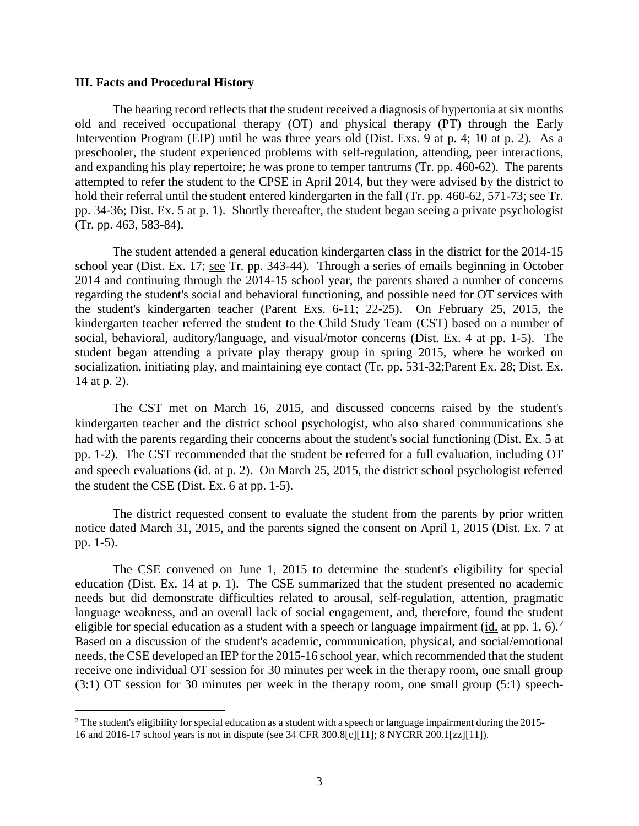#### **III. Facts and Procedural History**

The hearing record reflects that the student received a diagnosis of hypertonia at six months old and received occupational therapy (OT) and physical therapy (PT) through the Early Intervention Program (EIP) until he was three years old (Dist. Exs. 9 at p. 4; 10 at p. 2). As a preschooler, the student experienced problems with self-regulation, attending, peer interactions, and expanding his play repertoire; he was prone to temper tantrums (Tr. pp. 460-62). The parents attempted to refer the student to the CPSE in April 2014, but they were advised by the district to hold their referral until the student entered kindergarten in the fall (Tr. pp. 460-62, 571-73; see Tr. pp. 34-36; Dist. Ex. 5 at p. 1). Shortly thereafter, the student began seeing a private psychologist (Tr. pp. 463, 583-84).

The student attended a general education kindergarten class in the district for the 2014-15 school year (Dist. Ex. 17; see Tr. pp. 343-44). Through a series of emails beginning in October 2014 and continuing through the 2014-15 school year, the parents shared a number of concerns regarding the student's social and behavioral functioning, and possible need for OT services with the student's kindergarten teacher (Parent Exs. 6-11; 22-25). On February 25, 2015, the kindergarten teacher referred the student to the Child Study Team (CST) based on a number of social, behavioral, auditory/language, and visual/motor concerns (Dist. Ex. 4 at pp. 1-5). The student began attending a private play therapy group in spring 2015, where he worked on socialization, initiating play, and maintaining eye contact (Tr. pp. 531-32;Parent Ex. 28; Dist. Ex. 14 at p. 2).

The CST met on March 16, 2015, and discussed concerns raised by the student's kindergarten teacher and the district school psychologist, who also shared communications she had with the parents regarding their concerns about the student's social functioning (Dist. Ex. 5 at pp. 1-2). The CST recommended that the student be referred for a full evaluation, including OT and speech evaluations (id. at p. 2). On March 25, 2015, the district school psychologist referred the student the CSE (Dist. Ex. 6 at pp. 1-5).

The district requested consent to evaluate the student from the parents by prior written notice dated March 31, 2015, and the parents signed the consent on April 1, 2015 (Dist. Ex. 7 at pp. 1-5).

The CSE convened on June 1, 2015 to determine the student's eligibility for special education (Dist. Ex. 14 at p. 1). The CSE summarized that the student presented no academic needs but did demonstrate difficulties related to arousal, self-regulation, attention, pragmatic language weakness, and an overall lack of social engagement, and, therefore, found the student eligible for special education as a student with a speech or language impairment ( $\underline{\text{id}}$ , at pp. 1, 6).<sup>2</sup> Based on a discussion of the student's academic, communication, physical, and social/emotional needs, the CSE developed an IEP for the 2015-16 school year, which recommended that the student receive one individual OT session for 30 minutes per week in the therapy room, one small group (3:1) OT session for 30 minutes per week in the therapy room, one small group (5:1) speech-

 $2$  The student's eligibility for special education as a student with a speech or language impairment during the 2015-16 and 2016-17 school years is not in dispute (see 34 CFR 300.8[c][11]; 8 NYCRR 200.1[zz][11]).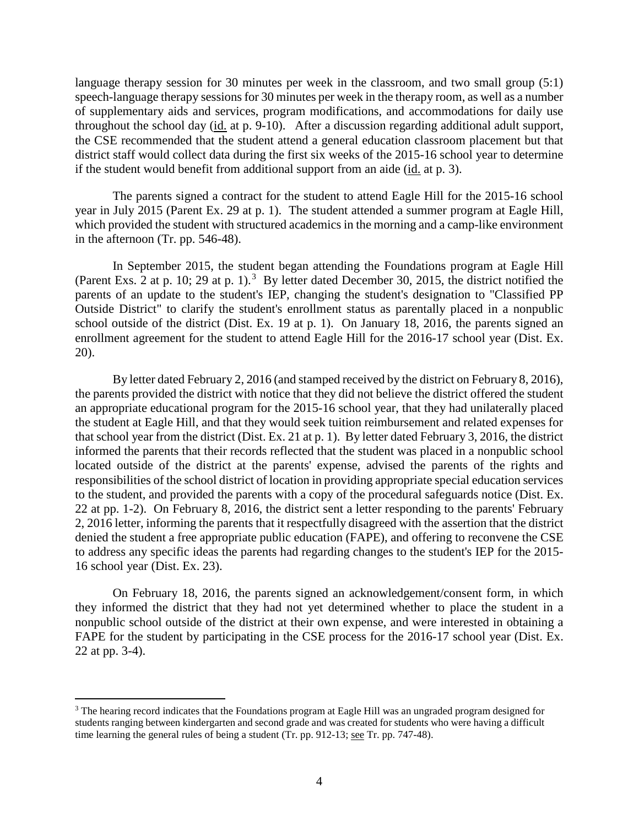language therapy session for 30 minutes per week in the classroom, and two small group (5:1) speech-language therapy sessions for 30 minutes per week in the therapy room, as well as a number of supplementary aids and services, program modifications, and accommodations for daily use throughout the school day (id. at p. 9-10). After a discussion regarding additional adult support, the CSE recommended that the student attend a general education classroom placement but that district staff would collect data during the first six weeks of the 2015-16 school year to determine if the student would benefit from additional support from an aide (id. at p. 3).

The parents signed a contract for the student to attend Eagle Hill for the 2015-16 school year in July 2015 (Parent Ex. 29 at p. 1). The student attended a summer program at Eagle Hill, which provided the student with structured academics in the morning and a camp-like environment in the afternoon (Tr. pp. 546-48).

In September 2015, the student began attending the Foundations program at Eagle Hill (Parent Exs. 2 at p. 10; 29 at p. 1).<sup>3</sup> By letter dated December 30, 2015, the district notified the parents of an update to the student's IEP, changing the student's designation to "Classified PP Outside District" to clarify the student's enrollment status as parentally placed in a nonpublic school outside of the district (Dist. Ex. 19 at p. 1). On January 18, 2016, the parents signed an enrollment agreement for the student to attend Eagle Hill for the 2016-17 school year (Dist. Ex. 20).

By letter dated February 2, 2016 (and stamped received by the district on February 8, 2016), the parents provided the district with notice that they did not believe the district offered the student an appropriate educational program for the 2015-16 school year, that they had unilaterally placed the student at Eagle Hill, and that they would seek tuition reimbursement and related expenses for that school year from the district (Dist. Ex. 21 at p. 1). By letter dated February 3, 2016, the district informed the parents that their records reflected that the student was placed in a nonpublic school located outside of the district at the parents' expense, advised the parents of the rights and responsibilities of the school district of location in providing appropriate special education services to the student, and provided the parents with a copy of the procedural safeguards notice (Dist. Ex. 22 at pp. 1-2). On February 8, 2016, the district sent a letter responding to the parents' February 2, 2016 letter, informing the parents that it respectfully disagreed with the assertion that the district denied the student a free appropriate public education (FAPE), and offering to reconvene the CSE to address any specific ideas the parents had regarding changes to the student's IEP for the 2015- 16 school year (Dist. Ex. 23).

On February 18, 2016, the parents signed an acknowledgement/consent form, in which they informed the district that they had not yet determined whether to place the student in a nonpublic school outside of the district at their own expense, and were interested in obtaining a FAPE for the student by participating in the CSE process for the 2016-17 school year (Dist. Ex. 22 at pp. 3-4).

<sup>&</sup>lt;sup>3</sup> The hearing record indicates that the Foundations program at Eagle Hill was an ungraded program designed for students ranging between kindergarten and second grade and was created for students who were having a difficult time learning the general rules of being a student (Tr. pp. 912-13; <u>see</u> Tr. pp. 747-48).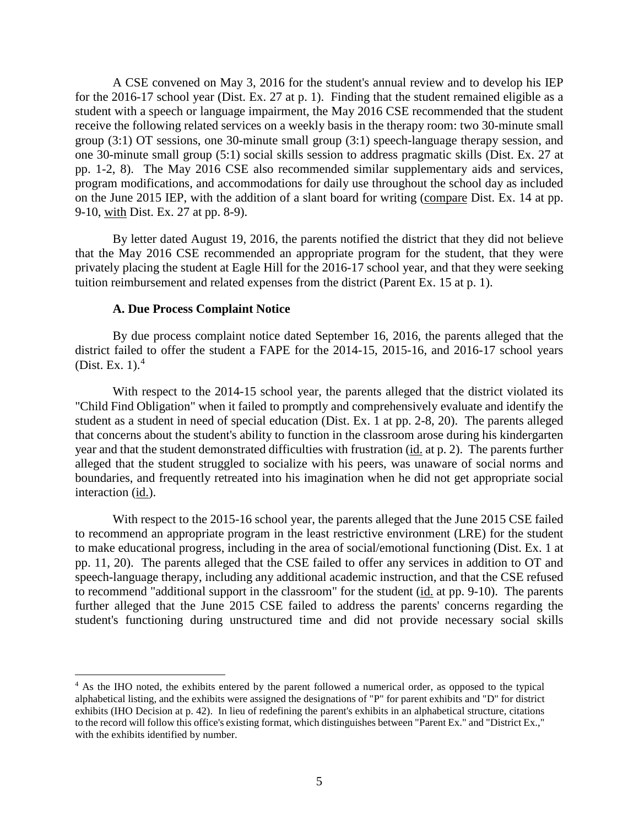A CSE convened on May 3, 2016 for the student's annual review and to develop his IEP for the 2016-17 school year (Dist. Ex. 27 at p. 1). Finding that the student remained eligible as a student with a speech or language impairment, the May 2016 CSE recommended that the student receive the following related services on a weekly basis in the therapy room: two 30-minute small group (3:1) OT sessions, one 30-minute small group (3:1) speech-language therapy session, and one 30-minute small group (5:1) social skills session to address pragmatic skills (Dist. Ex. 27 at pp. 1-2, 8). The May 2016 CSE also recommended similar supplementary aids and services, program modifications, and accommodations for daily use throughout the school day as included on the June 2015 IEP, with the addition of a slant board for writing (compare Dist. Ex. 14 at pp. 9-10, with Dist. Ex. 27 at pp. 8-9).

By letter dated August 19, 2016, the parents notified the district that they did not believe that the May 2016 CSE recommended an appropriate program for the student, that they were privately placing the student at Eagle Hill for the 2016-17 school year, and that they were seeking tuition reimbursement and related expenses from the district (Parent Ex. 15 at p. 1).

## **A. Due Process Complaint Notice**

By due process complaint notice dated September 16, 2016, the parents alleged that the district failed to offer the student a FAPE for the 2014-15, 2015-16, and 2016-17 school years (Dist. Ex. 1). $4$ 

With respect to the 2014-15 school year, the parents alleged that the district violated its "Child Find Obligation" when it failed to promptly and comprehensively evaluate and identify the student as a student in need of special education (Dist. Ex. 1 at pp. 2-8, 20). The parents alleged that concerns about the student's ability to function in the classroom arose during his kindergarten year and that the student demonstrated difficulties with frustration (id. at p. 2). The parents further alleged that the student struggled to socialize with his peers, was unaware of social norms and boundaries, and frequently retreated into his imagination when he did not get appropriate social interaction (id.).

With respect to the 2015-16 school year, the parents alleged that the June 2015 CSE failed to recommend an appropriate program in the least restrictive environment (LRE) for the student to make educational progress, including in the area of social/emotional functioning (Dist. Ex. 1 at pp. 11, 20). The parents alleged that the CSE failed to offer any services in addition to OT and speech-language therapy, including any additional academic instruction, and that the CSE refused to recommend "additional support in the classroom" for the student (id. at pp. 9-10). The parents further alleged that the June 2015 CSE failed to address the parents' concerns regarding the student's functioning during unstructured time and did not provide necessary social skills

<sup>&</sup>lt;sup>4</sup> As the IHO noted, the exhibits entered by the parent followed a numerical order, as opposed to the typical alphabetical listing, and the exhibits were assigned the designations of "P" for parent exhibits and "D" for district exhibits (IHO Decision at p. 42). In lieu of redefining the parent's exhibits in an alphabetical structure, citations to the record will follow this office's existing format, which distinguishes between "Parent Ex." and "District Ex.," with the exhibits identified by number.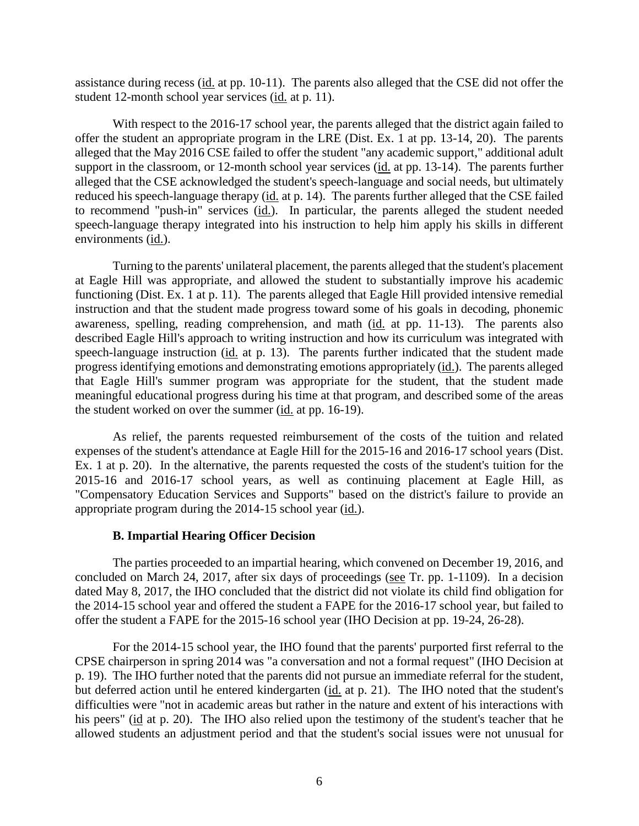assistance during recess (id. at pp. 10-11). The parents also alleged that the CSE did not offer the student 12-month school year services (id. at p. 11).

With respect to the 2016-17 school year, the parents alleged that the district again failed to offer the student an appropriate program in the LRE (Dist. Ex. 1 at pp. 13-14, 20). The parents alleged that the May 2016 CSE failed to offer the student "any academic support," additional adult support in the classroom, or 12-month school year services (id. at pp. 13-14). The parents further alleged that the CSE acknowledged the student's speech-language and social needs, but ultimately reduced his speech-language therapy (id. at p. 14). The parents further alleged that the CSE failed to recommend "push-in" services (id.). In particular, the parents alleged the student needed speech-language therapy integrated into his instruction to help him apply his skills in different environments (id.).

Turning to the parents' unilateral placement, the parents alleged that the student's placement at Eagle Hill was appropriate, and allowed the student to substantially improve his academic functioning (Dist. Ex. 1 at p. 11). The parents alleged that Eagle Hill provided intensive remedial instruction and that the student made progress toward some of his goals in decoding, phonemic awareness, spelling, reading comprehension, and math (id. at pp. 11-13). The parents also described Eagle Hill's approach to writing instruction and how its curriculum was integrated with speech-language instruction (id. at p. 13). The parents further indicated that the student made progress identifying emotions and demonstrating emotions appropriately (id.). The parents alleged that Eagle Hill's summer program was appropriate for the student, that the student made meaningful educational progress during his time at that program, and described some of the areas the student worked on over the summer (id. at pp. 16-19).

As relief, the parents requested reimbursement of the costs of the tuition and related expenses of the student's attendance at Eagle Hill for the 2015-16 and 2016-17 school years (Dist. Ex. 1 at p. 20). In the alternative, the parents requested the costs of the student's tuition for the 2015-16 and 2016-17 school years, as well as continuing placement at Eagle Hill, as "Compensatory Education Services and Supports" based on the district's failure to provide an appropriate program during the 2014-15 school year (id.).

## **B. Impartial Hearing Officer Decision**

The parties proceeded to an impartial hearing, which convened on December 19, 2016, and concluded on March 24, 2017, after six days of proceedings (see Tr. pp. 1-1109). In a decision dated May 8, 2017, the IHO concluded that the district did not violate its child find obligation for the 2014-15 school year and offered the student a FAPE for the 2016-17 school year, but failed to offer the student a FAPE for the 2015-16 school year (IHO Decision at pp. 19-24, 26-28).

For the 2014-15 school year, the IHO found that the parents' purported first referral to the CPSE chairperson in spring 2014 was "a conversation and not a formal request" (IHO Decision at p. 19). The IHO further noted that the parents did not pursue an immediate referral for the student, but deferred action until he entered kindergarten (id. at p. 21). The IHO noted that the student's difficulties were "not in academic areas but rather in the nature and extent of his interactions with his peers" (id at p. 20). The IHO also relied upon the testimony of the student's teacher that he allowed students an adjustment period and that the student's social issues were not unusual for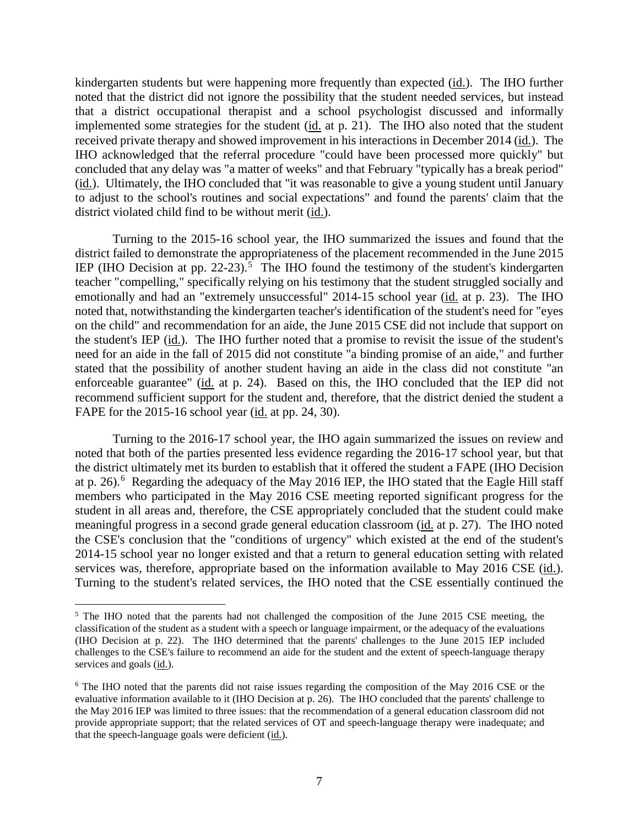kindergarten students but were happening more frequently than expected (id.). The IHO further noted that the district did not ignore the possibility that the student needed services, but instead that a district occupational therapist and a school psychologist discussed and informally implemented some strategies for the student (id. at p. 21). The IHO also noted that the student received private therapy and showed improvement in his interactions in December 2014 (id.). The IHO acknowledged that the referral procedure "could have been processed more quickly" but concluded that any delay was "a matter of weeks" and that February "typically has a break period" (id.). Ultimately, the IHO concluded that "it was reasonable to give a young student until January to adjust to the school's routines and social expectations" and found the parents' claim that the district violated child find to be without merit (id.).

Turning to the 2015-16 school year, the IHO summarized the issues and found that the district failed to demonstrate the appropriateness of the placement recommended in the June 2015 IEP (IHO Decision at pp. 22-23).<sup>5</sup> The IHO found the testimony of the student's kindergarten teacher "compelling," specifically relying on his testimony that the student struggled socially and emotionally and had an "extremely unsuccessful" 2014-15 school year (id. at p. 23). The IHO noted that, notwithstanding the kindergarten teacher's identification of the student's need for "eyes on the child" and recommendation for an aide, the June 2015 CSE did not include that support on the student's IEP (id.). The IHO further noted that a promise to revisit the issue of the student's need for an aide in the fall of 2015 did not constitute "a binding promise of an aide," and further stated that the possibility of another student having an aide in the class did not constitute "an enforceable guarantee" (id. at p. 24). Based on this, the IHO concluded that the IEP did not recommend sufficient support for the student and, therefore, that the district denied the student a FAPE for the 2015-16 school year (id. at pp. 24, 30).

Turning to the 2016-17 school year, the IHO again summarized the issues on review and noted that both of the parties presented less evidence regarding the 2016-17 school year, but that the district ultimately met its burden to establish that it offered the student a FAPE (IHO Decision at p. 26).<sup>6</sup> Regarding the adequacy of the May 2016 IEP, the IHO stated that the Eagle Hill staff members who participated in the May 2016 CSE meeting reported significant progress for the student in all areas and, therefore, the CSE appropriately concluded that the student could make meaningful progress in a second grade general education classroom (id. at p. 27). The IHO noted the CSE's conclusion that the "conditions of urgency" which existed at the end of the student's 2014-15 school year no longer existed and that a return to general education setting with related services was, therefore, appropriate based on the information available to May 2016 CSE (id.). Turning to the student's related services, the IHO noted that the CSE essentially continued the

<sup>&</sup>lt;sup>5</sup> The IHO noted that the parents had not challenged the composition of the June 2015 CSE meeting, the classification of the student as a student with a speech or language impairment, or the adequacy of the evaluations (IHO Decision at p. 22). The IHO determined that the parents' challenges to the June 2015 IEP included challenges to the CSE's failure to recommend an aide for the student and the extent of speech-language therapy services and goals (id.).

<sup>&</sup>lt;sup>6</sup> The IHO noted that the parents did not raise issues regarding the composition of the May 2016 CSE or the evaluative information available to it (IHO Decision at p. 26). The IHO concluded that the parents' challenge to the May 2016 IEP was limited to three issues: that the recommendation of a general education classroom did not provide appropriate support; that the related services of OT and speech-language therapy were inadequate; and that the speech-language goals were deficient (id.).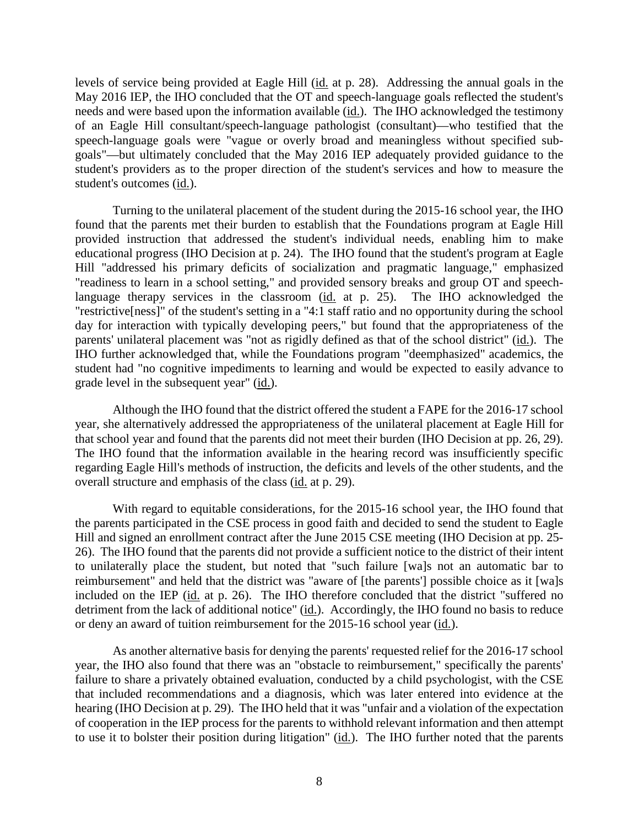levels of service being provided at Eagle Hill (id. at p. 28). Addressing the annual goals in the May 2016 IEP, the IHO concluded that the OT and speech-language goals reflected the student's needs and were based upon the information available (id.). The IHO acknowledged the testimony of an Eagle Hill consultant/speech-language pathologist (consultant)—who testified that the speech-language goals were "vague or overly broad and meaningless without specified subgoals"—but ultimately concluded that the May 2016 IEP adequately provided guidance to the student's providers as to the proper direction of the student's services and how to measure the student's outcomes (id.).

Turning to the unilateral placement of the student during the 2015-16 school year, the IHO found that the parents met their burden to establish that the Foundations program at Eagle Hill provided instruction that addressed the student's individual needs, enabling him to make educational progress (IHO Decision at p. 24). The IHO found that the student's program at Eagle Hill "addressed his primary deficits of socialization and pragmatic language," emphasized "readiness to learn in a school setting," and provided sensory breaks and group OT and speechlanguage therapy services in the classroom (id. at p. 25). The IHO acknowledged the "restrictive[ness]" of the student's setting in a "4:1 staff ratio and no opportunity during the school day for interaction with typically developing peers," but found that the appropriateness of the parents' unilateral placement was "not as rigidly defined as that of the school district" (id.). The IHO further acknowledged that, while the Foundations program "deemphasized" academics, the student had "no cognitive impediments to learning and would be expected to easily advance to grade level in the subsequent year" (id.).

Although the IHO found that the district offered the student a FAPE for the 2016-17 school year, she alternatively addressed the appropriateness of the unilateral placement at Eagle Hill for that school year and found that the parents did not meet their burden (IHO Decision at pp. 26, 29). The IHO found that the information available in the hearing record was insufficiently specific regarding Eagle Hill's methods of instruction, the deficits and levels of the other students, and the overall structure and emphasis of the class (id. at p. 29).

With regard to equitable considerations, for the 2015-16 school year, the IHO found that the parents participated in the CSE process in good faith and decided to send the student to Eagle Hill and signed an enrollment contract after the June 2015 CSE meeting (IHO Decision at pp. 25- 26). The IHO found that the parents did not provide a sufficient notice to the district of their intent to unilaterally place the student, but noted that "such failure [wa]s not an automatic bar to reimbursement" and held that the district was "aware of [the parents'] possible choice as it [wa]s included on the IEP (id. at p. 26). The IHO therefore concluded that the district "suffered no detriment from the lack of additional notice" (id.). Accordingly, the IHO found no basis to reduce or deny an award of tuition reimbursement for the 2015-16 school year (id.).

As another alternative basis for denying the parents' requested relief for the 2016-17 school year, the IHO also found that there was an "obstacle to reimbursement," specifically the parents' failure to share a privately obtained evaluation, conducted by a child psychologist, with the CSE that included recommendations and a diagnosis, which was later entered into evidence at the hearing (IHO Decision at p. 29). The IHO held that it was "unfair and a violation of the expectation of cooperation in the IEP process for the parents to withhold relevant information and then attempt to use it to bolster their position during litigation" (id.). The IHO further noted that the parents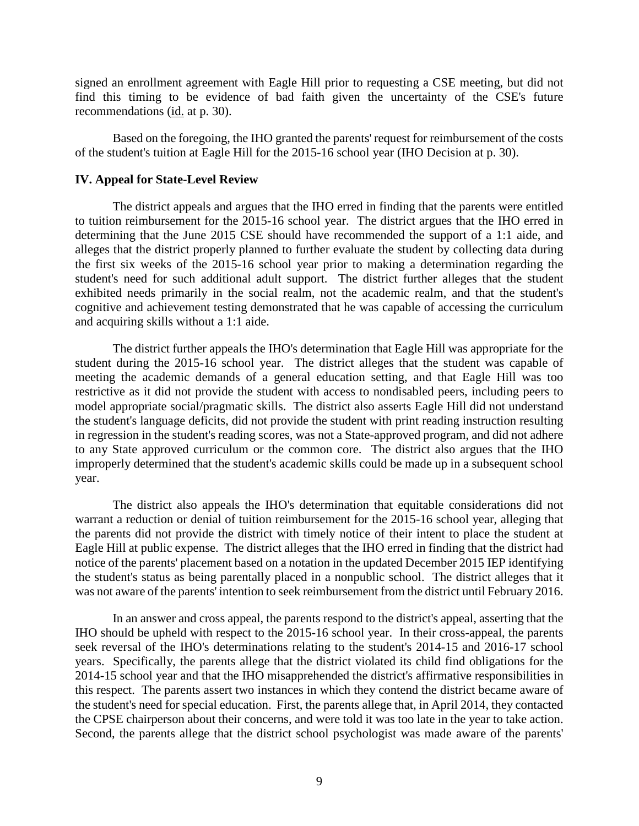signed an enrollment agreement with Eagle Hill prior to requesting a CSE meeting, but did not find this timing to be evidence of bad faith given the uncertainty of the CSE's future recommendations (id. at p. 30).

Based on the foregoing, the IHO granted the parents' request for reimbursement of the costs of the student's tuition at Eagle Hill for the 2015-16 school year (IHO Decision at p. 30).

## **IV. Appeal for State-Level Review**

The district appeals and argues that the IHO erred in finding that the parents were entitled to tuition reimbursement for the 2015-16 school year. The district argues that the IHO erred in determining that the June 2015 CSE should have recommended the support of a 1:1 aide, and alleges that the district properly planned to further evaluate the student by collecting data during the first six weeks of the 2015-16 school year prior to making a determination regarding the student's need for such additional adult support. The district further alleges that the student exhibited needs primarily in the social realm, not the academic realm, and that the student's cognitive and achievement testing demonstrated that he was capable of accessing the curriculum and acquiring skills without a 1:1 aide.

The district further appeals the IHO's determination that Eagle Hill was appropriate for the student during the 2015-16 school year. The district alleges that the student was capable of meeting the academic demands of a general education setting, and that Eagle Hill was too restrictive as it did not provide the student with access to nondisabled peers, including peers to model appropriate social/pragmatic skills. The district also asserts Eagle Hill did not understand the student's language deficits, did not provide the student with print reading instruction resulting in regression in the student's reading scores, was not a State-approved program, and did not adhere to any State approved curriculum or the common core. The district also argues that the IHO improperly determined that the student's academic skills could be made up in a subsequent school year.

The district also appeals the IHO's determination that equitable considerations did not warrant a reduction or denial of tuition reimbursement for the 2015-16 school year, alleging that the parents did not provide the district with timely notice of their intent to place the student at Eagle Hill at public expense. The district alleges that the IHO erred in finding that the district had notice of the parents' placement based on a notation in the updated December 2015 IEP identifying the student's status as being parentally placed in a nonpublic school. The district alleges that it was not aware of the parents' intention to seek reimbursement from the district until February 2016.

In an answer and cross appeal, the parents respond to the district's appeal, asserting that the IHO should be upheld with respect to the 2015-16 school year. In their cross-appeal, the parents seek reversal of the IHO's determinations relating to the student's 2014-15 and 2016-17 school years. Specifically, the parents allege that the district violated its child find obligations for the 2014-15 school year and that the IHO misapprehended the district's affirmative responsibilities in this respect. The parents assert two instances in which they contend the district became aware of the student's need for special education. First, the parents allege that, in April 2014, they contacted the CPSE chairperson about their concerns, and were told it was too late in the year to take action. Second, the parents allege that the district school psychologist was made aware of the parents'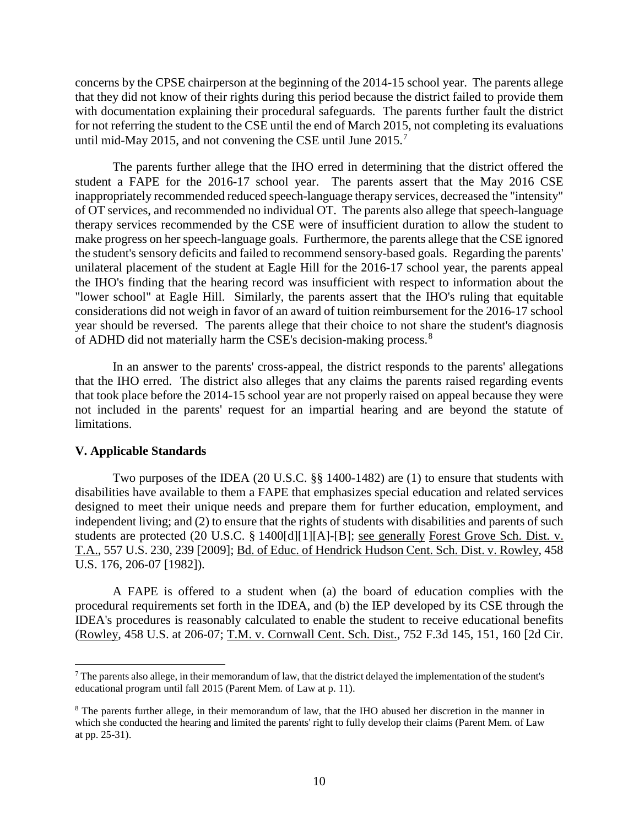concerns by the CPSE chairperson at the beginning of the 2014-15 school year. The parents allege that they did not know of their rights during this period because the district failed to provide them with documentation explaining their procedural safeguards. The parents further fault the district for not referring the student to the CSE until the end of March 2015, not completing its evaluations until mid-May 2015, and not convening the CSE until June 2015.<sup>7</sup>

The parents further allege that the IHO erred in determining that the district offered the student a FAPE for the 2016-17 school year. The parents assert that the May 2016 CSE inappropriately recommended reduced speech-language therapy services, decreased the "intensity" of OT services, and recommended no individual OT. The parents also allege that speech-language therapy services recommended by the CSE were of insufficient duration to allow the student to make progress on her speech-language goals. Furthermore, the parents allege that the CSE ignored the student's sensory deficits and failed to recommend sensory-based goals. Regarding the parents' unilateral placement of the student at Eagle Hill for the 2016-17 school year, the parents appeal the IHO's finding that the hearing record was insufficient with respect to information about the "lower school" at Eagle Hill. Similarly, the parents assert that the IHO's ruling that equitable considerations did not weigh in favor of an award of tuition reimbursement for the 2016-17 school year should be reversed. The parents allege that their choice to not share the student's diagnosis of ADHD did not materially harm the CSE's decision-making process.<sup>8</sup>

In an answer to the parents' cross-appeal, the district responds to the parents' allegations that the IHO erred. The district also alleges that any claims the parents raised regarding events that took place before the 2014-15 school year are not properly raised on appeal because they were not included in the parents' request for an impartial hearing and are beyond the statute of limitations.

## **V. Applicable Standards**

Two purposes of the IDEA (20 U.S.C. §§ 1400-1482) are (1) to ensure that students with disabilities have available to them a FAPE that emphasizes special education and related services designed to meet their unique needs and prepare them for further education, employment, and independent living; and (2) to ensure that the rights of students with disabilities and parents of such students are protected (20 U.S.C. § 1400[d][1][A]-[B]; see generally Forest Grove Sch. Dist. v. T.A., 557 U.S. 230, 239 [2009]; Bd. of Educ. of Hendrick Hudson Cent. Sch. Dist. v. Rowley, 458 U.S. 176, 206-07 [1982]).

A FAPE is offered to a student when (a) the board of education complies with the procedural requirements set forth in the IDEA, and (b) the IEP developed by its CSE through the IDEA's procedures is reasonably calculated to enable the student to receive educational benefits (Rowley, 458 U.S. at 206-07; T.M. v. Cornwall Cent. Sch. Dist., 752 F.3d 145, 151, 160 [2d Cir.

<sup>&</sup>lt;sup>7</sup> The parents also allege, in their memorandum of law, that the district delayed the implementation of the student's educational program until fall 2015 (Parent Mem. of Law at p. 11).

<sup>8</sup> The parents further allege, in their memorandum of law, that the IHO abused her discretion in the manner in which she conducted the hearing and limited the parents' right to fully develop their claims (Parent Mem. of Law at pp. 25-31).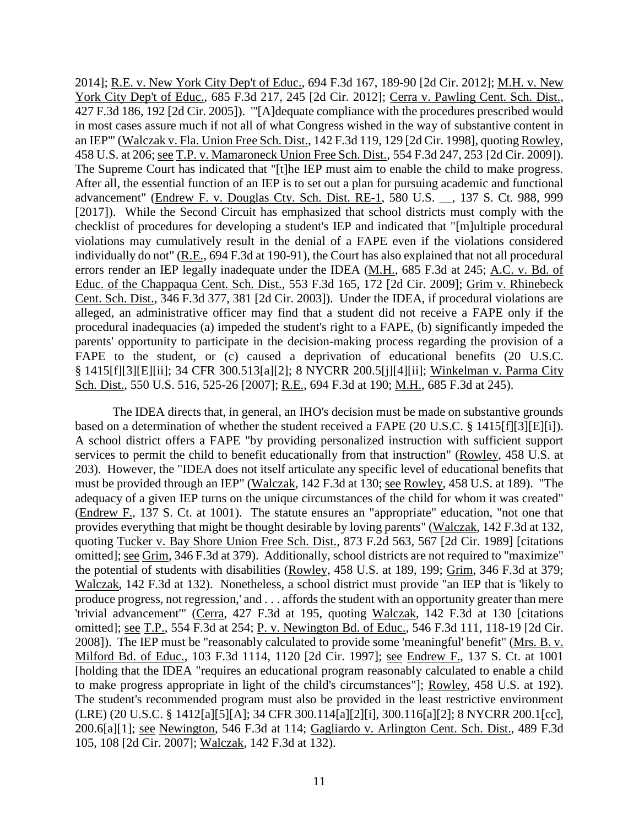2014]; R.E. v. New York City Dep't of Educ., 694 F.3d 167, 189-90 [2d Cir. 2012]; M.H. v. New York City Dep't of Educ., 685 F.3d 217, 245 [2d Cir. 2012]; Cerra v. Pawling Cent. Sch. Dist., 427 F.3d 186, 192 [2d Cir. 2005]). "'[A]dequate compliance with the procedures prescribed would in most cases assure much if not all of what Congress wished in the way of substantive content in an IEP'" (Walczak v. Fla. Union Free Sch. Dist., 142 F.3d 119, 129 [2d Cir. 1998], quoting Rowley, 458 U.S. at 206; see T.P. v. Mamaroneck Union Free Sch. Dist., 554 F.3d 247, 253 [2d Cir. 2009]). The Supreme Court has indicated that "[t]he IEP must aim to enable the child to make progress. After all, the essential function of an IEP is to set out a plan for pursuing academic and functional advancement" (Endrew F. v. Douglas Cty. Sch. Dist. RE-1, 580 U.S. \_\_, 137 S. Ct. 988, 999 [2017]). While the Second Circuit has emphasized that school districts must comply with the checklist of procedures for developing a student's IEP and indicated that "[m]ultiple procedural violations may cumulatively result in the denial of a FAPE even if the violations considered individually do not" (R.E., 694 F.3d at 190-91), the Court has also explained that not all procedural errors render an IEP legally inadequate under the IDEA (M.H., 685 F.3d at 245; A.C. v. Bd. of Educ. of the Chappaqua Cent. Sch. Dist., 553 F.3d 165, 172 [2d Cir. 2009]; Grim v. Rhinebeck Cent. Sch. Dist., 346 F.3d 377, 381 [2d Cir. 2003]). Under the IDEA, if procedural violations are alleged, an administrative officer may find that a student did not receive a FAPE only if the procedural inadequacies (a) impeded the student's right to a FAPE, (b) significantly impeded the parents' opportunity to participate in the decision-making process regarding the provision of a FAPE to the student, or (c) caused a deprivation of educational benefits (20 U.S.C. § 1415[f][3][E][ii]; 34 CFR 300.513[a][2]; 8 NYCRR 200.5[j][4][ii]; Winkelman v. Parma City Sch. Dist., 550 U.S. 516, 525-26 [2007]; R.E., 694 F.3d at 190; M.H., 685 F.3d at 245).

The IDEA directs that, in general, an IHO's decision must be made on substantive grounds based on a determination of whether the student received a FAPE (20 U.S.C. § 1415[f][3][E][i]). A school district offers a FAPE "by providing personalized instruction with sufficient support services to permit the child to benefit educationally from that instruction" (Rowley, 458 U.S. at 203). However, the "IDEA does not itself articulate any specific level of educational benefits that must be provided through an IEP" (Walczak, 142 F.3d at 130; see Rowley, 458 U.S. at 189). "The adequacy of a given IEP turns on the unique circumstances of the child for whom it was created" (Endrew F., 137 S. Ct. at 1001). The statute ensures an "appropriate" education, "not one that provides everything that might be thought desirable by loving parents" (Walczak, 142 F.3d at 132, quoting Tucker v. Bay Shore Union Free Sch. Dist., 873 F.2d 563, 567 [2d Cir. 1989] [citations omitted]; see Grim, 346 F.3d at 379). Additionally, school districts are not required to "maximize" the potential of students with disabilities (Rowley, 458 U.S. at 189, 199; Grim, 346 F.3d at 379; Walczak, 142 F.3d at 132). Nonetheless, a school district must provide "an IEP that is 'likely to produce progress, not regression,' and . . . affords the student with an opportunity greater than mere 'trivial advancement'" (Cerra, 427 F.3d at 195, quoting Walczak, 142 F.3d at 130 [citations omitted]; see T.P., 554 F.3d at 254; P. v. Newington Bd. of Educ., 546 F.3d 111, 118-19 [2d Cir. 2008]). The IEP must be "reasonably calculated to provide some 'meaningful' benefit" (Mrs. B. v. Milford Bd. of Educ., 103 F.3d 1114, 1120 [2d Cir. 1997]; see Endrew F., 137 S. Ct. at 1001 [holding that the IDEA "requires an educational program reasonably calculated to enable a child to make progress appropriate in light of the child's circumstances"]; Rowley, 458 U.S. at 192). The student's recommended program must also be provided in the least restrictive environment (LRE) (20 U.S.C. § 1412[a][5][A]; 34 CFR 300.114[a][2][i], 300.116[a][2]; 8 NYCRR 200.1[cc], 200.6[a][1]; see Newington, 546 F.3d at 114; Gagliardo v. Arlington Cent. Sch. Dist., 489 F.3d 105, 108 [2d Cir. 2007]; Walczak, 142 F.3d at 132).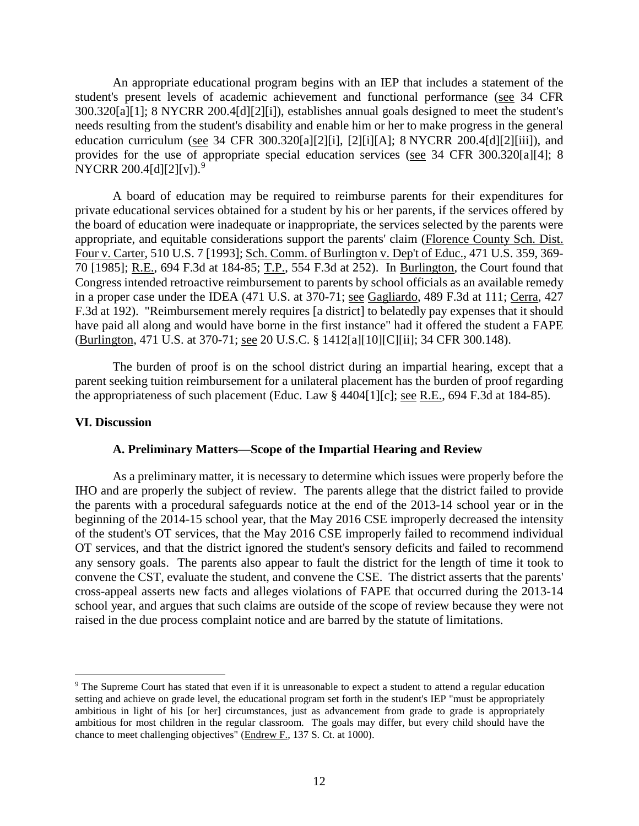An appropriate educational program begins with an IEP that includes a statement of the student's present levels of academic achievement and functional performance (see 34 CFR 300.320[a][1]; 8 NYCRR 200.4[d][2][i]), establishes annual goals designed to meet the student's needs resulting from the student's disability and enable him or her to make progress in the general education curriculum (see 34 CFR 300.320[a][2][i], [2][i][A]; 8 NYCRR 200.4[d][2][iii]), and provides for the use of appropriate special education services (see 34 CFR 300.320[a][4]; 8 NYCRR 200.4[d][2][v]).<sup>9</sup>

A board of education may be required to reimburse parents for their expenditures for private educational services obtained for a student by his or her parents, if the services offered by the board of education were inadequate or inappropriate, the services selected by the parents were appropriate, and equitable considerations support the parents' claim (Florence County Sch. Dist. Four v. Carter, 510 U.S. 7 [1993]; Sch. Comm. of Burlington v. Dep't of Educ., 471 U.S. 359, 369- 70 [1985]; R.E., 694 F.3d at 184-85; T.P., 554 F.3d at 252). In Burlington, the Court found that Congress intended retroactive reimbursement to parents by school officials as an available remedy in a proper case under the IDEA (471 U.S. at 370-71; see Gagliardo, 489 F.3d at 111; Cerra, 427 F.3d at 192). "Reimbursement merely requires [a district] to belatedly pay expenses that it should have paid all along and would have borne in the first instance" had it offered the student a FAPE (Burlington, 471 U.S. at 370-71; see 20 U.S.C. § 1412[a][10][C][ii]; 34 CFR 300.148).

The burden of proof is on the school district during an impartial hearing, except that a parent seeking tuition reimbursement for a unilateral placement has the burden of proof regarding the appropriateness of such placement (Educ. Law  $\S$  4404[1][c]; <u>see R.E.</u>, 694 F.3d at 184-85).

## **VI. Discussion**

#### **A. Preliminary Matters—Scope of the Impartial Hearing and Review**

As a preliminary matter, it is necessary to determine which issues were properly before the IHO and are properly the subject of review. The parents allege that the district failed to provide the parents with a procedural safeguards notice at the end of the 2013-14 school year or in the beginning of the 2014-15 school year, that the May 2016 CSE improperly decreased the intensity of the student's OT services, that the May 2016 CSE improperly failed to recommend individual OT services, and that the district ignored the student's sensory deficits and failed to recommend any sensory goals. The parents also appear to fault the district for the length of time it took to convene the CST, evaluate the student, and convene the CSE. The district asserts that the parents' cross-appeal asserts new facts and alleges violations of FAPE that occurred during the 2013-14 school year, and argues that such claims are outside of the scope of review because they were not raised in the due process complaint notice and are barred by the statute of limitations.

<sup>&</sup>lt;sup>9</sup> The Supreme Court has stated that even if it is unreasonable to expect a student to attend a regular education setting and achieve on grade level, the educational program set forth in the student's IEP "must be appropriately ambitious in light of his [or her] circumstances, just as advancement from grade to grade is appropriately ambitious for most children in the regular classroom. The goals may differ, but every child should have the chance to meet challenging objectives" (Endrew F., 137 S. Ct. at 1000).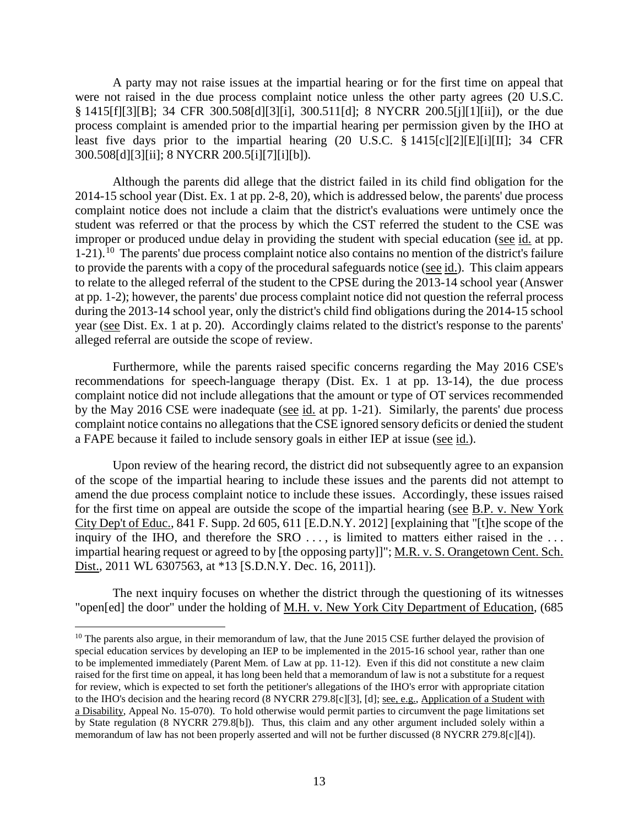A party may not raise issues at the impartial hearing or for the first time on appeal that were not raised in the due process complaint notice unless the other party agrees (20 U.S.C. § 1415[f][3][B]; 34 CFR 300.508[d][3][i], 300.511[d]; 8 NYCRR 200.5[j][1][ii]), or the due process complaint is amended prior to the impartial hearing per permission given by the IHO at least five days prior to the impartial hearing (20 U.S.C. § 1415[c][2][E][i][II]; 34 CFR 300.508[d][3][ii]; 8 NYCRR 200.5[i][7][i][b]).

Although the parents did allege that the district failed in its child find obligation for the 2014-15 school year (Dist. Ex. 1 at pp. 2-8, 20), which is addressed below, the parents' due process complaint notice does not include a claim that the district's evaluations were untimely once the student was referred or that the process by which the CST referred the student to the CSE was improper or produced undue delay in providing the student with special education (see id. at pp. 1-21).<sup>10</sup> The parents' due process complaint notice also contains no mention of the district's failure to provide the parents with a copy of the procedural safeguards notice (see id.). This claim appears to relate to the alleged referral of the student to the CPSE during the 2013-14 school year (Answer at pp. 1-2); however, the parents' due process complaint notice did not question the referral process during the 2013-14 school year, only the district's child find obligations during the 2014-15 school year (see Dist. Ex. 1 at p. 20). Accordingly claims related to the district's response to the parents' alleged referral are outside the scope of review.

Furthermore, while the parents raised specific concerns regarding the May 2016 CSE's recommendations for speech-language therapy (Dist. Ex. 1 at pp. 13-14), the due process complaint notice did not include allegations that the amount or type of OT services recommended by the May 2016 CSE were inadequate (see id. at pp. 1-21). Similarly, the parents' due process complaint notice contains no allegations that the CSE ignored sensory deficits or denied the student a FAPE because it failed to include sensory goals in either IEP at issue (see id.).

Upon review of the hearing record, the district did not subsequently agree to an expansion of the scope of the impartial hearing to include these issues and the parents did not attempt to amend the due process complaint notice to include these issues. Accordingly, these issues raised for the first time on appeal are outside the scope of the impartial hearing (see B.P. v. New York City Dep't of Educ., 841 F. Supp. 2d 605, 611 [E.D.N.Y. 2012] [explaining that "[t]he scope of the inquiry of the IHO, and therefore the SRO ..., is limited to matters either raised in the ... impartial hearing request or agreed to by [the opposing party]]"; M.R. v. S. Orangetown Cent. Sch. Dist., 2011 WL 6307563, at \*13 [S.D.N.Y. Dec. 16, 2011]).

The next inquiry focuses on whether the district through the questioning of its witnesses "open[ed] the door" under the holding of M.H. v. New York City Department of Education, (685

 $10$  The parents also argue, in their memorandum of law, that the June 2015 CSE further delayed the provision of special education services by developing an IEP to be implemented in the 2015-16 school year, rather than one to be implemented immediately (Parent Mem. of Law at pp. 11-12). Even if this did not constitute a new claim raised for the first time on appeal, it has long been held that a memorandum of law is not a substitute for a request for review, which is expected to set forth the petitioner's allegations of the IHO's error with appropriate citation to the IHO's decision and the hearing record (8 NYCRR 279.8[c][3], [d]; see, e.g., Application of a Student with a Disability, Appeal No. 15-070). To hold otherwise would permit parties to circumvent the page limitations set by State regulation (8 NYCRR 279.8[b]). Thus, this claim and any other argument included solely within a memorandum of law has not been properly asserted and will not be further discussed (8 NYCRR 279.8[c][4]).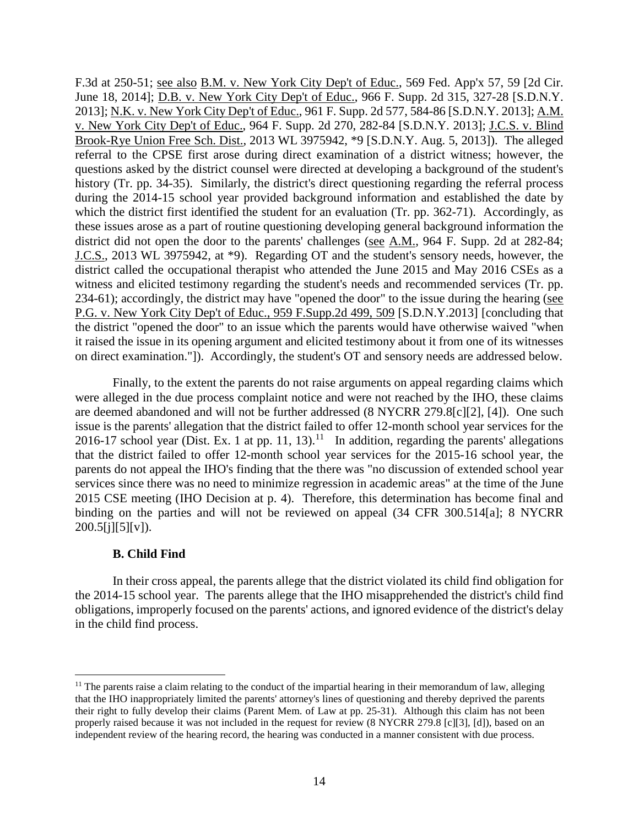F.3d at 250-51; <u>see also B.M. v. New York City Dep't of Educ.</u>, 569 Fed. App'x 57, 59 [2d Cir. June 18, 2014]; D.B. v. New York City Dep't of Educ., 966 F. Supp. 2d 315, 327-28 [S.D.N.Y. 2013]; N.K. v. New York City Dep't of Educ., 961 F. Supp. 2d 577, 584-86 [S.D.N.Y. 2013]; A.M. v. New York City Dep't of Educ., 964 F. Supp. 2d 270, 282-84 [S.D.N.Y. 2013]; J.C.S. v. Blind Brook-Rye Union Free Sch. Dist., 2013 WL 3975942, \*9 [S.D.N.Y. Aug. 5, 2013]). The alleged referral to the CPSE first arose during direct examination of a district witness; however, the questions asked by the district counsel were directed at developing a background of the student's history (Tr. pp. 34-35). Similarly, the district's direct questioning regarding the referral process during the 2014-15 school year provided background information and established the date by which the district first identified the student for an evaluation (Tr. pp. 362-71). Accordingly, as these issues arose as a part of routine questioning developing general background information the district did not open the door to the parents' challenges (see A.M., 964 F. Supp. 2d at 282-84; J.C.S., 2013 WL 3975942, at \*9). Regarding OT and the student's sensory needs, however, the district called the occupational therapist who attended the June 2015 and May 2016 CSEs as a witness and elicited testimony regarding the student's needs and recommended services (Tr. pp. 234-61); accordingly, the district may have "opened the door" to the issue during the hearing (see P.G. v. New York City Dep't of Educ., 959 F.Supp.2d 499, 509 [S.D.N.Y.2013] [concluding that the district "opened the door" to an issue which the parents would have otherwise waived "when it raised the issue in its opening argument and elicited testimony about it from one of its witnesses on direct examination."]). Accordingly, the student's OT and sensory needs are addressed below.

Finally, to the extent the parents do not raise arguments on appeal regarding claims which were alleged in the due process complaint notice and were not reached by the IHO, these claims are deemed abandoned and will not be further addressed (8 NYCRR 279.8[c][2], [4]). One such issue is the parents' allegation that the district failed to offer 12-month school year services for the 2016-17 school year (Dist. Ex. 1 at pp. 11, 13).<sup>11</sup> In addition, regarding the parents' allegations that the district failed to offer 12-month school year services for the 2015-16 school year, the parents do not appeal the IHO's finding that the there was "no discussion of extended school year services since there was no need to minimize regression in academic areas" at the time of the June 2015 CSE meeting (IHO Decision at p. 4). Therefore, this determination has become final and binding on the parties and will not be reviewed on appeal (34 CFR 300.514[a]; 8 NYCRR  $200.5[i][5][v]$ .

# **B. Child Find**

In their cross appeal, the parents allege that the district violated its child find obligation for the 2014-15 school year. The parents allege that the IHO misapprehended the district's child find obligations, improperly focused on the parents' actions, and ignored evidence of the district's delay in the child find process.

 $11$  The parents raise a claim relating to the conduct of the impartial hearing in their memorandum of law, alleging that the IHO inappropriately limited the parents' attorney's lines of questioning and thereby deprived the parents their right to fully develop their claims (Parent Mem. of Law at pp. 25-31). Although this claim has not been properly raised because it was not included in the request for review (8 NYCRR 279.8 [c][3], [d]), based on an independent review of the hearing record, the hearing was conducted in a manner consistent with due process.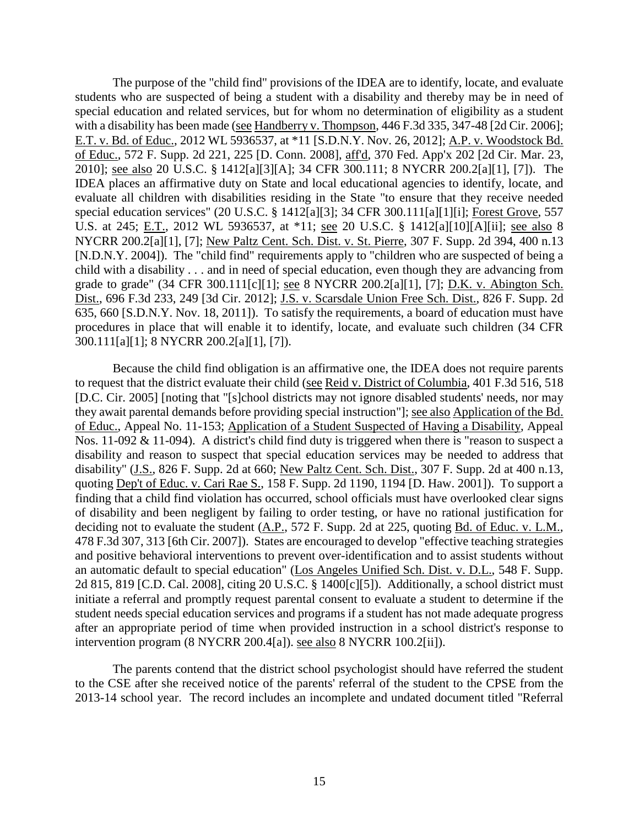The purpose of the "child find" provisions of the IDEA are to identify, locate, and evaluate students who are suspected of being a student with a disability and thereby may be in need of special education and related services, but for whom no determination of eligibility as a student with a disability has been made (see Handberry v. Thompson, 446 F.3d 335, 347-48 [2d Cir. 2006]; E.T. v. Bd. of Educ., 2012 WL 5936537, at \*11 [S.D.N.Y. Nov. 26, 2012]; A.P. v. Woodstock Bd. of Educ., 572 F. Supp. 2d 221, 225 [D. Conn. 2008], aff'd, 370 Fed. App'x 202 [2d Cir. Mar. 23, 2010]; see also 20 U.S.C. § 1412[a][3][A]; 34 CFR 300.111; 8 NYCRR 200.2[a][1], [7]). The IDEA places an affirmative duty on State and local educational agencies to identify, locate, and evaluate all children with disabilities residing in the State "to ensure that they receive needed special education services" (20 U.S.C. § 1412[a][3]; 34 CFR 300.111[a][1][i]; Forest Grove, 557 U.S. at 245; E.T., 2012 WL 5936537, at \*11; see 20 U.S.C. § 1412[a][10][A][ii]; see also 8 NYCRR 200.2[a][1], [7]; New Paltz Cent. Sch. Dist. v. St. Pierre, 307 F. Supp. 2d 394, 400 n.13 [N.D.N.Y. 2004]). The "child find" requirements apply to "children who are suspected of being a child with a disability . . . and in need of special education, even though they are advancing from grade to grade" (34 CFR 300.111[c][1]; see 8 NYCRR 200.2[a][1], [7]; D.K. v. Abington Sch. Dist., 696 F.3d 233, 249 [3d Cir. 2012]; J.S. v. Scarsdale Union Free Sch. Dist., 826 F. Supp. 2d 635, 660 [S.D.N.Y. Nov. 18, 2011]). To satisfy the requirements, a board of education must have procedures in place that will enable it to identify, locate, and evaluate such children (34 CFR 300.111[a][1]; 8 NYCRR 200.2[a][1], [7]).

Because the child find obligation is an affirmative one, the IDEA does not require parents to request that the district evaluate their child (see Reid v. District of Columbia, 401 F.3d 516, 518 [D.C. Cir. 2005] [noting that "[s]chool districts may not ignore disabled students' needs, nor may they await parental demands before providing special instruction"]; see also Application of the Bd. of Educ., Appeal No. 11-153; Application of a Student Suspected of Having a Disability, Appeal Nos. 11-092 & 11-094). A district's child find duty is triggered when there is "reason to suspect a disability and reason to suspect that special education services may be needed to address that disability" (J.S., 826 F. Supp. 2d at 660; New Paltz Cent. Sch. Dist., 307 F. Supp. 2d at 400 n.13, quoting Dep't of Educ. v. Cari Rae S., 158 F. Supp. 2d 1190, 1194 [D. Haw. 2001]). To support a finding that a child find violation has occurred, school officials must have overlooked clear signs of disability and been negligent by failing to order testing, or have no rational justification for deciding not to evaluate the student (A.P., 572 F. Supp. 2d at 225, quoting <u>Bd. of Educ. v. L.M.</u>, 478 F.3d 307, 313 [6th Cir. 2007]). States are encouraged to develop "effective teaching strategies and positive behavioral interventions to prevent over-identification and to assist students without an automatic default to special education" (Los Angeles Unified Sch. Dist. v. D.L., 548 F. Supp. 2d 815, 819 [C.D. Cal. 2008], citing 20 U.S.C. § 1400[c][5]). Additionally, a school district must initiate a referral and promptly request parental consent to evaluate a student to determine if the student needs special education services and programs if a student has not made adequate progress after an appropriate period of time when provided instruction in a school district's response to intervention program (8 NYCRR 200.4[a]). see also 8 NYCRR 100.2[ii]).

The parents contend that the district school psychologist should have referred the student to the CSE after she received notice of the parents' referral of the student to the CPSE from the 2013-14 school year. The record includes an incomplete and undated document titled "Referral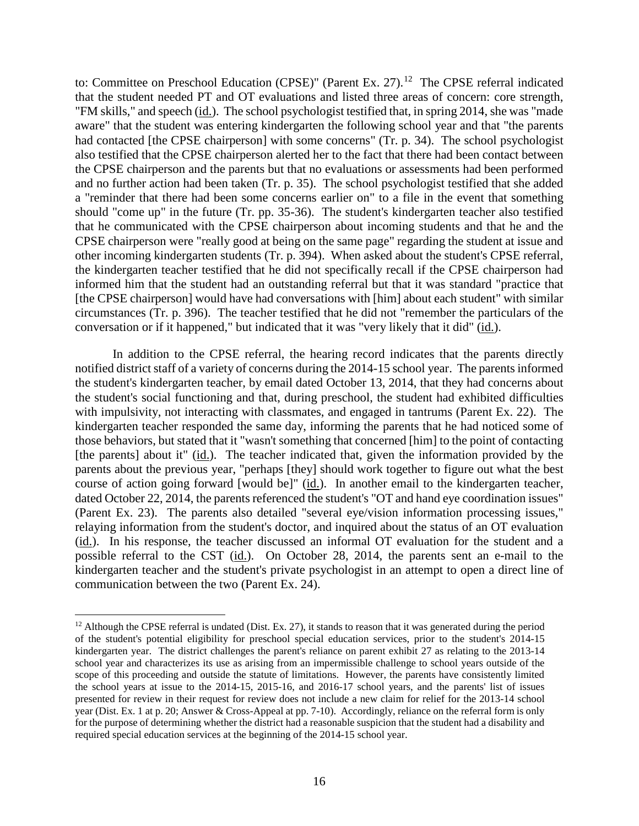to: Committee on Preschool Education (CPSE)" (Parent Ex. 27).<sup>12</sup> The CPSE referral indicated that the student needed PT and OT evaluations and listed three areas of concern: core strength, "FM skills," and speech (id.). The school psychologist testified that, in spring 2014, she was "made aware" that the student was entering kindergarten the following school year and that "the parents had contacted [the CPSE chairperson] with some concerns" (Tr. p. 34). The school psychologist also testified that the CPSE chairperson alerted her to the fact that there had been contact between the CPSE chairperson and the parents but that no evaluations or assessments had been performed and no further action had been taken (Tr. p. 35). The school psychologist testified that she added a "reminder that there had been some concerns earlier on" to a file in the event that something should "come up" in the future (Tr. pp. 35-36). The student's kindergarten teacher also testified that he communicated with the CPSE chairperson about incoming students and that he and the CPSE chairperson were "really good at being on the same page" regarding the student at issue and other incoming kindergarten students (Tr. p. 394). When asked about the student's CPSE referral, the kindergarten teacher testified that he did not specifically recall if the CPSE chairperson had informed him that the student had an outstanding referral but that it was standard "practice that [the CPSE chairperson] would have had conversations with [him] about each student" with similar circumstances (Tr. p. 396). The teacher testified that he did not "remember the particulars of the conversation or if it happened," but indicated that it was "very likely that it did" (id.).

In addition to the CPSE referral, the hearing record indicates that the parents directly notified district staff of a variety of concerns during the 2014-15 school year. The parents informed the student's kindergarten teacher, by email dated October 13, 2014, that they had concerns about the student's social functioning and that, during preschool, the student had exhibited difficulties with impulsivity, not interacting with classmates, and engaged in tantrums (Parent Ex. 22). The kindergarten teacher responded the same day, informing the parents that he had noticed some of those behaviors, but stated that it "wasn't something that concerned [him] to the point of contacting [the parents] about it" (id.). The teacher indicated that, given the information provided by the parents about the previous year, "perhaps [they] should work together to figure out what the best course of action going forward [would be]" (id.). In another email to the kindergarten teacher, dated October 22, 2014, the parents referenced the student's "OT and hand eye coordination issues" (Parent Ex. 23). The parents also detailed "several eye/vision information processing issues," relaying information from the student's doctor, and inquired about the status of an OT evaluation (id.). In his response, the teacher discussed an informal OT evaluation for the student and a possible referral to the CST (id.). On October 28, 2014, the parents sent an e-mail to the kindergarten teacher and the student's private psychologist in an attempt to open a direct line of communication between the two (Parent Ex. 24).

<sup>&</sup>lt;sup>12</sup> Although the CPSE referral is undated (Dist. Ex. 27), it stands to reason that it was generated during the period of the student's potential eligibility for preschool special education services, prior to the student's 2014-15 kindergarten year. The district challenges the parent's reliance on parent exhibit 27 as relating to the 2013-14 school year and characterizes its use as arising from an impermissible challenge to school years outside of the scope of this proceeding and outside the statute of limitations. However, the parents have consistently limited the school years at issue to the 2014-15, 2015-16, and 2016-17 school years, and the parents' list of issues presented for review in their request for review does not include a new claim for relief for the 2013-14 school year (Dist. Ex. 1 at p. 20; Answer & Cross-Appeal at pp. 7-10). Accordingly, reliance on the referral form is only for the purpose of determining whether the district had a reasonable suspicion that the student had a disability and required special education services at the beginning of the 2014-15 school year.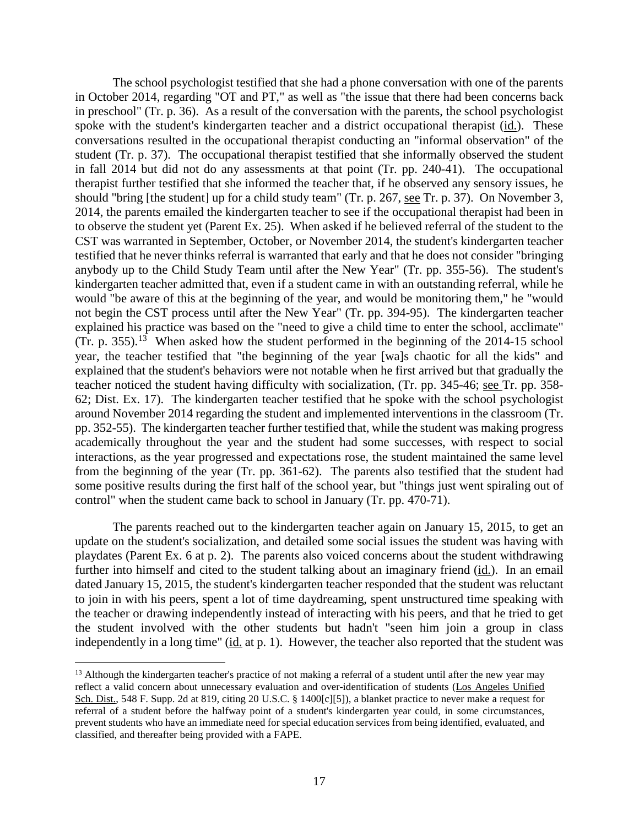The school psychologist testified that she had a phone conversation with one of the parents in October 2014, regarding "OT and PT," as well as "the issue that there had been concerns back in preschool" (Tr. p. 36). As a result of the conversation with the parents, the school psychologist spoke with the student's kindergarten teacher and a district occupational therapist (id.). These conversations resulted in the occupational therapist conducting an "informal observation" of the student (Tr. p. 37). The occupational therapist testified that she informally observed the student in fall 2014 but did not do any assessments at that point (Tr. pp. 240-41). The occupational therapist further testified that she informed the teacher that, if he observed any sensory issues, he should "bring [the student] up for a child study team" (Tr. p. 267, see Tr. p. 37). On November 3, 2014, the parents emailed the kindergarten teacher to see if the occupational therapist had been in to observe the student yet (Parent Ex. 25). When asked if he believed referral of the student to the CST was warranted in September, October, or November 2014, the student's kindergarten teacher testified that he never thinks referral is warranted that early and that he does not consider "bringing anybody up to the Child Study Team until after the New Year" (Tr. pp. 355-56). The student's kindergarten teacher admitted that, even if a student came in with an outstanding referral, while he would "be aware of this at the beginning of the year, and would be monitoring them," he "would not begin the CST process until after the New Year" (Tr. pp. 394-95). The kindergarten teacher explained his practice was based on the "need to give a child time to enter the school, acclimate" (Tr. p. 355).<sup>13</sup> When asked how the student performed in the beginning of the 2014-15 school year, the teacher testified that "the beginning of the year [wa]s chaotic for all the kids" and explained that the student's behaviors were not notable when he first arrived but that gradually the teacher noticed the student having difficulty with socialization, (Tr. pp. 345-46; see Tr. pp. 358- 62; Dist. Ex. 17). The kindergarten teacher testified that he spoke with the school psychologist around November 2014 regarding the student and implemented interventions in the classroom (Tr. pp. 352-55). The kindergarten teacher further testified that, while the student was making progress academically throughout the year and the student had some successes, with respect to social interactions, as the year progressed and expectations rose, the student maintained the same level from the beginning of the year (Tr. pp. 361-62). The parents also testified that the student had some positive results during the first half of the school year, but "things just went spiraling out of control" when the student came back to school in January (Tr. pp. 470-71).

The parents reached out to the kindergarten teacher again on January 15, 2015, to get an update on the student's socialization, and detailed some social issues the student was having with playdates (Parent Ex. 6 at p. 2). The parents also voiced concerns about the student withdrawing further into himself and cited to the student talking about an imaginary friend (id.). In an email dated January 15, 2015, the student's kindergarten teacher responded that the student was reluctant to join in with his peers, spent a lot of time daydreaming, spent unstructured time speaking with the teacher or drawing independently instead of interacting with his peers, and that he tried to get the student involved with the other students but hadn't "seen him join a group in class independently in a long time" (id. at p. 1). However, the teacher also reported that the student was

<sup>&</sup>lt;sup>13</sup> Although the kindergarten teacher's practice of not making a referral of a student until after the new year may reflect a valid concern about unnecessary evaluation and over-identification of students (Los Angeles Unified Sch. Dist., 548 F. Supp. 2d at 819, citing 20 U.S.C. § 1400[c][5]), a blanket practice to never make a request for referral of a student before the halfway point of a student's kindergarten year could, in some circumstances, prevent students who have an immediate need for special education services from being identified, evaluated, and classified, and thereafter being provided with a FAPE.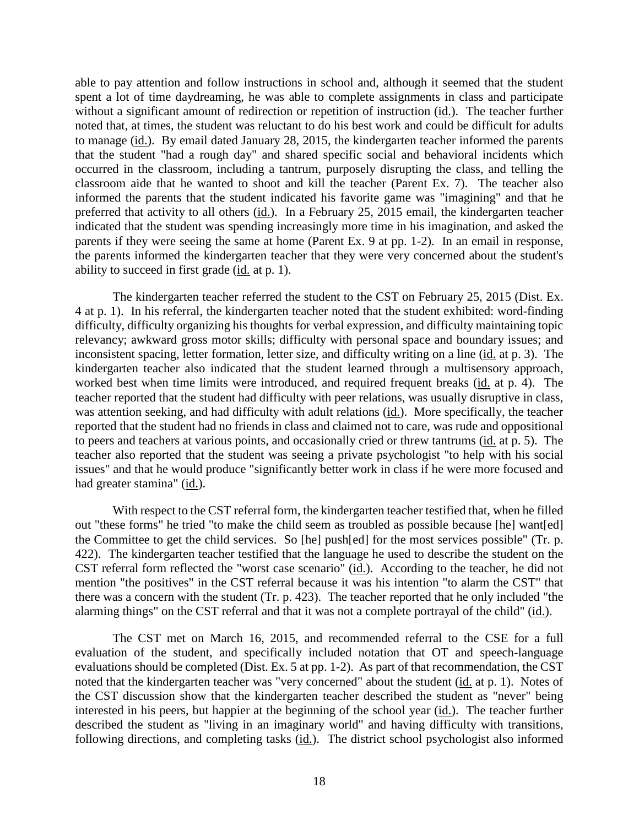able to pay attention and follow instructions in school and, although it seemed that the student spent a lot of time daydreaming, he was able to complete assignments in class and participate without a significant amount of redirection or repetition of instruction (id.). The teacher further noted that, at times, the student was reluctant to do his best work and could be difficult for adults to manage (id.). By email dated January 28, 2015, the kindergarten teacher informed the parents that the student "had a rough day" and shared specific social and behavioral incidents which occurred in the classroom, including a tantrum, purposely disrupting the class, and telling the classroom aide that he wanted to shoot and kill the teacher (Parent Ex. 7). The teacher also informed the parents that the student indicated his favorite game was "imagining" and that he preferred that activity to all others (id.). In a February 25, 2015 email, the kindergarten teacher indicated that the student was spending increasingly more time in his imagination, and asked the parents if they were seeing the same at home (Parent Ex. 9 at pp. 1-2). In an email in response, the parents informed the kindergarten teacher that they were very concerned about the student's ability to succeed in first grade (id. at p. 1).

The kindergarten teacher referred the student to the CST on February 25, 2015 (Dist. Ex. 4 at p. 1). In his referral, the kindergarten teacher noted that the student exhibited: word-finding difficulty, difficulty organizing his thoughts for verbal expression, and difficulty maintaining topic relevancy; awkward gross motor skills; difficulty with personal space and boundary issues; and inconsistent spacing, letter formation, letter size, and difficulty writing on a line (id. at p. 3). The kindergarten teacher also indicated that the student learned through a multisensory approach, worked best when time limits were introduced, and required frequent breaks (id. at p. 4). The teacher reported that the student had difficulty with peer relations, was usually disruptive in class, was attention seeking, and had difficulty with adult relations (id.). More specifically, the teacher reported that the student had no friends in class and claimed not to care, was rude and oppositional to peers and teachers at various points, and occasionally cried or threw tantrums (id. at p. 5). The teacher also reported that the student was seeing a private psychologist "to help with his social issues" and that he would produce "significantly better work in class if he were more focused and had greater stamina" (id.).

With respect to the CST referral form, the kindergarten teacher testified that, when he filled out "these forms" he tried "to make the child seem as troubled as possible because [he] want[ed] the Committee to get the child services. So [he] push[ed] for the most services possible" (Tr. p. 422). The kindergarten teacher testified that the language he used to describe the student on the CST referral form reflected the "worst case scenario" (id.). According to the teacher, he did not mention "the positives" in the CST referral because it was his intention "to alarm the CST" that there was a concern with the student (Tr. p. 423). The teacher reported that he only included "the alarming things" on the CST referral and that it was not a complete portrayal of the child" (id.).

The CST met on March 16, 2015, and recommended referral to the CSE for a full evaluation of the student, and specifically included notation that OT and speech-language evaluations should be completed (Dist. Ex. 5 at pp. 1-2). As part of that recommendation, the CST noted that the kindergarten teacher was "very concerned" about the student (id. at p. 1). Notes of the CST discussion show that the kindergarten teacher described the student as "never" being interested in his peers, but happier at the beginning of the school year (id.). The teacher further described the student as "living in an imaginary world" and having difficulty with transitions, following directions, and completing tasks (id.). The district school psychologist also informed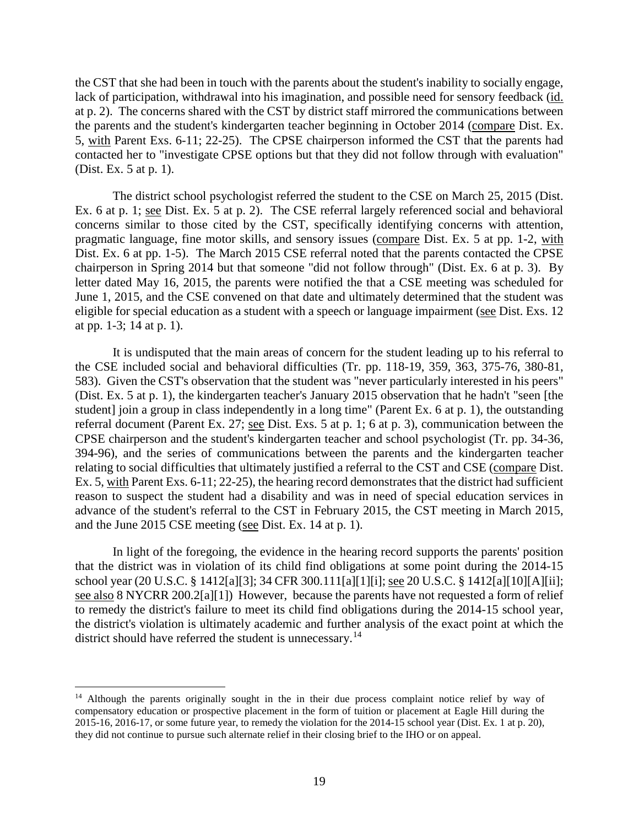the CST that she had been in touch with the parents about the student's inability to socially engage, lack of participation, withdrawal into his imagination, and possible need for sensory feedback (id. at p. 2). The concerns shared with the CST by district staff mirrored the communications between the parents and the student's kindergarten teacher beginning in October 2014 (compare Dist. Ex. 5, with Parent Exs. 6-11; 22-25). The CPSE chairperson informed the CST that the parents had contacted her to "investigate CPSE options but that they did not follow through with evaluation" (Dist. Ex. 5 at p. 1).

The district school psychologist referred the student to the CSE on March 25, 2015 (Dist. Ex. 6 at p. 1; see Dist. Ex. 5 at p. 2). The CSE referral largely referenced social and behavioral concerns similar to those cited by the CST, specifically identifying concerns with attention, pragmatic language, fine motor skills, and sensory issues (compare Dist. Ex. 5 at pp. 1-2, with Dist. Ex. 6 at pp. 1-5). The March 2015 CSE referral noted that the parents contacted the CPSE chairperson in Spring 2014 but that someone "did not follow through" (Dist. Ex. 6 at p. 3). By letter dated May 16, 2015, the parents were notified the that a CSE meeting was scheduled for June 1, 2015, and the CSE convened on that date and ultimately determined that the student was eligible for special education as a student with a speech or language impairment (see Dist. Exs. 12 at pp. 1-3; 14 at p. 1).

It is undisputed that the main areas of concern for the student leading up to his referral to the CSE included social and behavioral difficulties (Tr. pp. 118-19, 359, 363, 375-76, 380-81, 583). Given the CST's observation that the student was "never particularly interested in his peers" (Dist. Ex. 5 at p. 1), the kindergarten teacher's January 2015 observation that he hadn't "seen [the student] join a group in class independently in a long time" (Parent Ex. 6 at p. 1), the outstanding referral document (Parent Ex. 27; see Dist. Exs. 5 at p. 1; 6 at p. 3), communication between the CPSE chairperson and the student's kindergarten teacher and school psychologist (Tr. pp. 34-36, 394-96), and the series of communications between the parents and the kindergarten teacher relating to social difficulties that ultimately justified a referral to the CST and CSE (compare Dist. Ex. 5, with Parent Exs. 6-11; 22-25), the hearing record demonstrates that the district had sufficient reason to suspect the student had a disability and was in need of special education services in advance of the student's referral to the CST in February 2015, the CST meeting in March 2015, and the June 2015 CSE meeting (see Dist. Ex. 14 at p. 1).

In light of the foregoing, the evidence in the hearing record supports the parents' position that the district was in violation of its child find obligations at some point during the 2014-15 school year (20 U.S.C. § 1412[a][3]; 34 CFR 300.111[a][1][i]; see 20 U.S.C. § 1412[a][10][A][ii]; see also 8 NYCRR 200.2[a][1]) However, because the parents have not requested a form of relief to remedy the district's failure to meet its child find obligations during the 2014-15 school year, the district's violation is ultimately academic and further analysis of the exact point at which the district should have referred the student is unnecessary.<sup>14</sup>

<sup>&</sup>lt;sup>14</sup> Although the parents originally sought in the in their due process complaint notice relief by way of compensatory education or prospective placement in the form of tuition or placement at Eagle Hill during the 2015-16, 2016-17, or some future year, to remedy the violation for the 2014-15 school year (Dist. Ex. 1 at p. 20), they did not continue to pursue such alternate relief in their closing brief to the IHO or on appeal.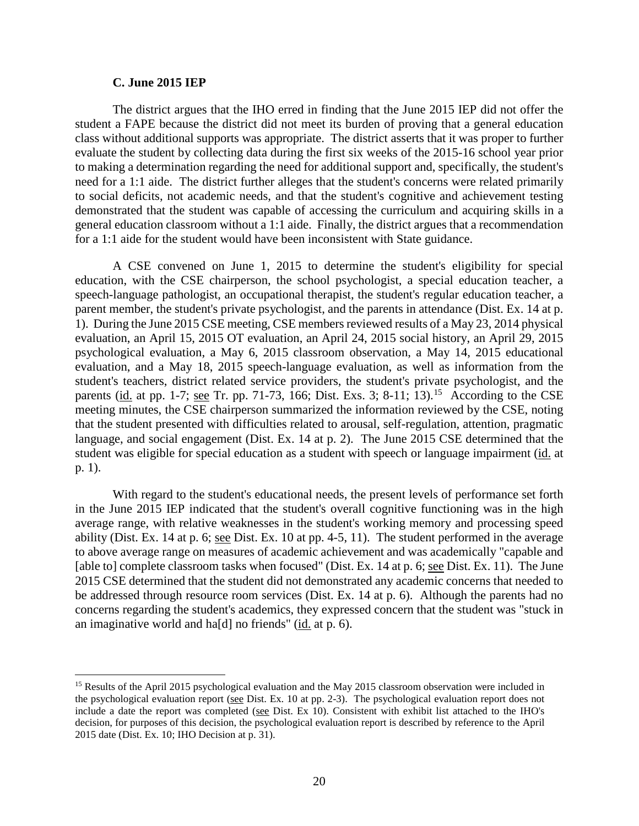#### **C. June 2015 IEP**

The district argues that the IHO erred in finding that the June 2015 IEP did not offer the student a FAPE because the district did not meet its burden of proving that a general education class without additional supports was appropriate. The district asserts that it was proper to further evaluate the student by collecting data during the first six weeks of the 2015-16 school year prior to making a determination regarding the need for additional support and, specifically, the student's need for a 1:1 aide. The district further alleges that the student's concerns were related primarily to social deficits, not academic needs, and that the student's cognitive and achievement testing demonstrated that the student was capable of accessing the curriculum and acquiring skills in a general education classroom without a 1:1 aide. Finally, the district argues that a recommendation for a 1:1 aide for the student would have been inconsistent with State guidance.

A CSE convened on June 1, 2015 to determine the student's eligibility for special education, with the CSE chairperson, the school psychologist, a special education teacher, a speech-language pathologist, an occupational therapist, the student's regular education teacher, a parent member, the student's private psychologist, and the parents in attendance (Dist. Ex. 14 at p. 1). During the June 2015 CSE meeting, CSE members reviewed results of a May 23, 2014 physical evaluation, an April 15, 2015 OT evaluation, an April 24, 2015 social history, an April 29, 2015 psychological evaluation, a May 6, 2015 classroom observation, a May 14, 2015 educational evaluation, and a May 18, 2015 speech-language evaluation, as well as information from the student's teachers, district related service providers, the student's private psychologist, and the parents (id. at pp. 1-7; see Tr. pp. 71-73, 166; Dist. Exs. 3; 8-11; 13).<sup>15</sup> According to the CSE meeting minutes, the CSE chairperson summarized the information reviewed by the CSE, noting that the student presented with difficulties related to arousal, self-regulation, attention, pragmatic language, and social engagement (Dist. Ex. 14 at p. 2). The June 2015 CSE determined that the student was eligible for special education as a student with speech or language impairment (id. at p. 1).

With regard to the student's educational needs, the present levels of performance set forth in the June 2015 IEP indicated that the student's overall cognitive functioning was in the high average range, with relative weaknesses in the student's working memory and processing speed ability (Dist. Ex. 14 at p. 6; see Dist. Ex. 10 at pp. 4-5, 11). The student performed in the average to above average range on measures of academic achievement and was academically "capable and [able to] complete classroom tasks when focused" (Dist. Ex. 14 at p. 6; see Dist. Ex. 11). The June 2015 CSE determined that the student did not demonstrated any academic concerns that needed to be addressed through resource room services (Dist. Ex. 14 at p. 6). Although the parents had no concerns regarding the student's academics, they expressed concern that the student was "stuck in an imaginative world and ha[d] no friends" (id. at p. 6).

<sup>&</sup>lt;sup>15</sup> Results of the April 2015 psychological evaluation and the May 2015 classroom observation were included in the psychological evaluation report (see Dist. Ex. 10 at pp. 2-3). The psychological evaluation report does not include a date the report was completed (see Dist. Ex 10). Consistent with exhibit list attached to the IHO's decision, for purposes of this decision, the psychological evaluation report is described by reference to the April 2015 date (Dist. Ex. 10; IHO Decision at p. 31).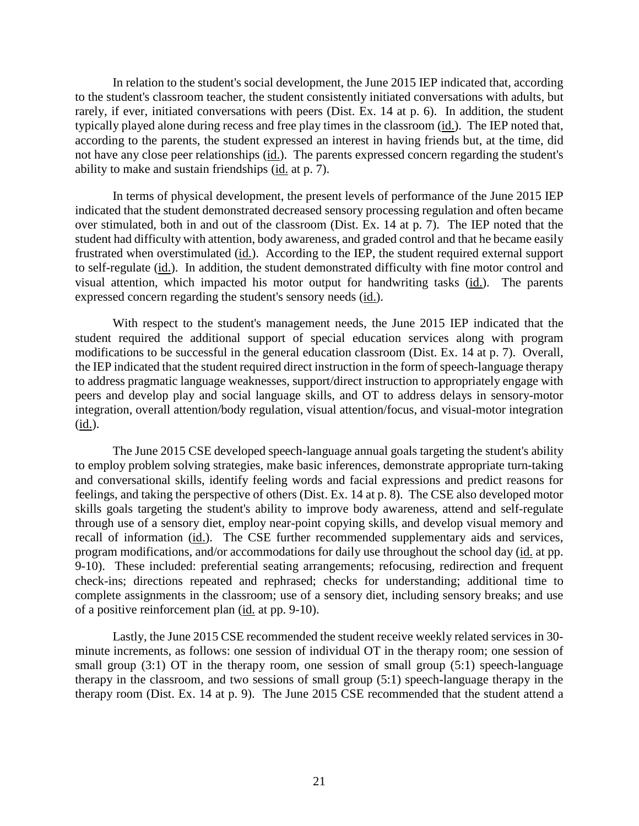In relation to the student's social development, the June 2015 IEP indicated that, according to the student's classroom teacher, the student consistently initiated conversations with adults, but rarely, if ever, initiated conversations with peers (Dist. Ex. 14 at p. 6). In addition, the student typically played alone during recess and free play times in the classroom (id.). The IEP noted that, according to the parents, the student expressed an interest in having friends but, at the time, did not have any close peer relationships (id.). The parents expressed concern regarding the student's ability to make and sustain friendships (id. at p. 7).

In terms of physical development, the present levels of performance of the June 2015 IEP indicated that the student demonstrated decreased sensory processing regulation and often became over stimulated, both in and out of the classroom (Dist. Ex. 14 at p. 7). The IEP noted that the student had difficulty with attention, body awareness, and graded control and that he became easily frustrated when overstimulated (id.). According to the IEP, the student required external support to self-regulate (id.). In addition, the student demonstrated difficulty with fine motor control and visual attention, which impacted his motor output for handwriting tasks (id.). The parents expressed concern regarding the student's sensory needs (id.).

With respect to the student's management needs, the June 2015 IEP indicated that the student required the additional support of special education services along with program modifications to be successful in the general education classroom (Dist. Ex. 14 at p. 7). Overall, the IEP indicated that the student required direct instruction in the form of speech-language therapy to address pragmatic language weaknesses, support/direct instruction to appropriately engage with peers and develop play and social language skills, and OT to address delays in sensory-motor integration, overall attention/body regulation, visual attention/focus, and visual-motor integration (id.).

The June 2015 CSE developed speech-language annual goals targeting the student's ability to employ problem solving strategies, make basic inferences, demonstrate appropriate turn-taking and conversational skills, identify feeling words and facial expressions and predict reasons for feelings, and taking the perspective of others (Dist. Ex. 14 at p. 8). The CSE also developed motor skills goals targeting the student's ability to improve body awareness, attend and self-regulate through use of a sensory diet, employ near-point copying skills, and develop visual memory and recall of information (id.). The CSE further recommended supplementary aids and services, program modifications, and/or accommodations for daily use throughout the school day (id. at pp. 9-10). These included: preferential seating arrangements; refocusing, redirection and frequent check-ins; directions repeated and rephrased; checks for understanding; additional time to complete assignments in the classroom; use of a sensory diet, including sensory breaks; and use of a positive reinforcement plan (id. at pp. 9-10).

Lastly, the June 2015 CSE recommended the student receive weekly related services in 30 minute increments, as follows: one session of individual OT in the therapy room; one session of small group (3:1) OT in the therapy room, one session of small group (5:1) speech-language therapy in the classroom, and two sessions of small group (5:1) speech-language therapy in the therapy room (Dist. Ex. 14 at p. 9). The June 2015 CSE recommended that the student attend a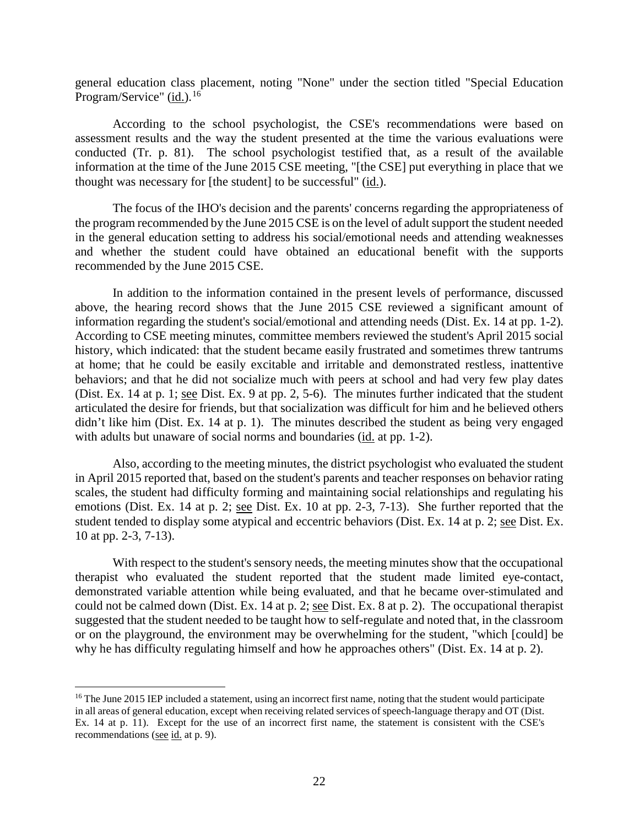general education class placement, noting "None" under the section titled "Special Education Program/Service" (id.).<sup>16</sup>

According to the school psychologist, the CSE's recommendations were based on assessment results and the way the student presented at the time the various evaluations were conducted (Tr. p. 81). The school psychologist testified that, as a result of the available information at the time of the June 2015 CSE meeting, "[the CSE] put everything in place that we thought was necessary for [the student] to be successful" (id.).

The focus of the IHO's decision and the parents' concerns regarding the appropriateness of the program recommended by the June 2015 CSE is on the level of adult support the student needed in the general education setting to address his social/emotional needs and attending weaknesses and whether the student could have obtained an educational benefit with the supports recommended by the June 2015 CSE.

In addition to the information contained in the present levels of performance, discussed above, the hearing record shows that the June 2015 CSE reviewed a significant amount of information regarding the student's social/emotional and attending needs (Dist. Ex. 14 at pp. 1-2). According to CSE meeting minutes, committee members reviewed the student's April 2015 social history, which indicated: that the student became easily frustrated and sometimes threw tantrums at home; that he could be easily excitable and irritable and demonstrated restless, inattentive behaviors; and that he did not socialize much with peers at school and had very few play dates (Dist. Ex. 14 at p. 1; see Dist. Ex. 9 at pp. 2, 5-6). The minutes further indicated that the student articulated the desire for friends, but that socialization was difficult for him and he believed others didn't like him (Dist. Ex. 14 at p. 1). The minutes described the student as being very engaged with adults but unaware of social norms and boundaries (id. at pp. 1-2).

Also, according to the meeting minutes, the district psychologist who evaluated the student in April 2015 reported that, based on the student's parents and teacher responses on behavior rating scales, the student had difficulty forming and maintaining social relationships and regulating his emotions (Dist. Ex. 14 at p. 2; see Dist. Ex. 10 at pp. 2-3, 7-13). She further reported that the student tended to display some atypical and eccentric behaviors (Dist. Ex. 14 at p. 2; see Dist. Ex. 10 at pp. 2-3, 7-13).

With respect to the student's sensory needs, the meeting minutes show that the occupational therapist who evaluated the student reported that the student made limited eye-contact, demonstrated variable attention while being evaluated, and that he became over-stimulated and could not be calmed down (Dist. Ex. 14 at p. 2; see Dist. Ex. 8 at p. 2). The occupational therapist suggested that the student needed to be taught how to self-regulate and noted that, in the classroom or on the playground, the environment may be overwhelming for the student, "which [could] be why he has difficulty regulating himself and how he approaches others" (Dist. Ex. 14 at p. 2).

<sup>&</sup>lt;sup>16</sup> The June 2015 IEP included a statement, using an incorrect first name, noting that the student would participate in all areas of general education, except when receiving related services of speech-language therapy and OT (Dist. Ex. 14 at p. 11). Except for the use of an incorrect first name, the statement is consistent with the CSE's recommendations (see id. at p. 9).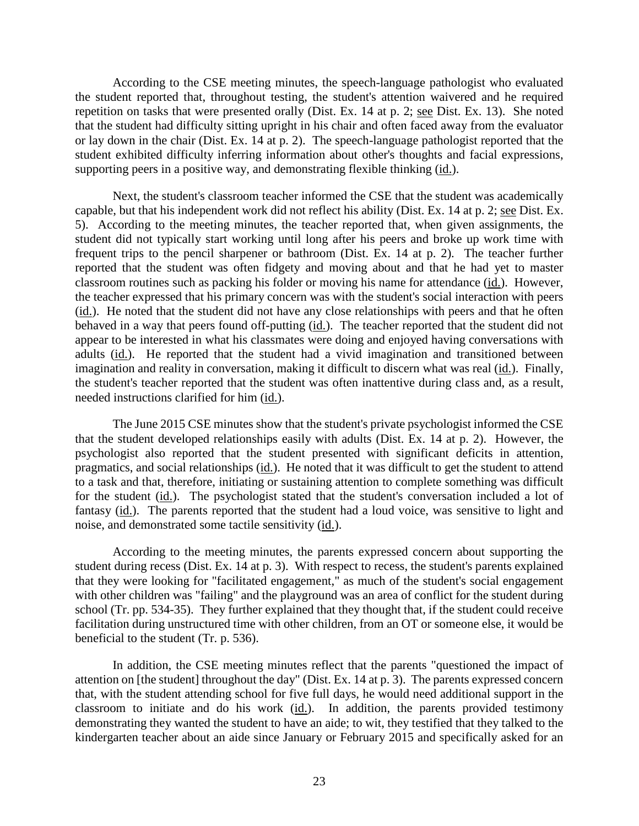According to the CSE meeting minutes, the speech-language pathologist who evaluated the student reported that, throughout testing, the student's attention waivered and he required repetition on tasks that were presented orally (Dist. Ex. 14 at p. 2; see Dist. Ex. 13). She noted that the student had difficulty sitting upright in his chair and often faced away from the evaluator or lay down in the chair (Dist. Ex. 14 at p. 2). The speech-language pathologist reported that the student exhibited difficulty inferring information about other's thoughts and facial expressions, supporting peers in a positive way, and demonstrating flexible thinking (id.).

Next, the student's classroom teacher informed the CSE that the student was academically capable, but that his independent work did not reflect his ability (Dist. Ex. 14 at p. 2; see Dist. Ex. 5). According to the meeting minutes, the teacher reported that, when given assignments, the student did not typically start working until long after his peers and broke up work time with frequent trips to the pencil sharpener or bathroom (Dist. Ex. 14 at p. 2). The teacher further reported that the student was often fidgety and moving about and that he had yet to master classroom routines such as packing his folder or moving his name for attendance (id.). However, the teacher expressed that his primary concern was with the student's social interaction with peers (id.). He noted that the student did not have any close relationships with peers and that he often behaved in a way that peers found off-putting (id.). The teacher reported that the student did not appear to be interested in what his classmates were doing and enjoyed having conversations with adults (id.). He reported that the student had a vivid imagination and transitioned between imagination and reality in conversation, making it difficult to discern what was real (id.). Finally, the student's teacher reported that the student was often inattentive during class and, as a result, needed instructions clarified for him (id.).

The June 2015 CSE minutes show that the student's private psychologist informed the CSE that the student developed relationships easily with adults (Dist. Ex. 14 at p. 2). However, the psychologist also reported that the student presented with significant deficits in attention, pragmatics, and social relationships (id.). He noted that it was difficult to get the student to attend to a task and that, therefore, initiating or sustaining attention to complete something was difficult for the student (id.). The psychologist stated that the student's conversation included a lot of fantasy (id.). The parents reported that the student had a loud voice, was sensitive to light and noise, and demonstrated some tactile sensitivity (id.).

According to the meeting minutes, the parents expressed concern about supporting the student during recess (Dist. Ex. 14 at p. 3). With respect to recess, the student's parents explained that they were looking for "facilitated engagement," as much of the student's social engagement with other children was "failing" and the playground was an area of conflict for the student during school (Tr. pp. 534-35). They further explained that they thought that, if the student could receive facilitation during unstructured time with other children, from an OT or someone else, it would be beneficial to the student (Tr. p. 536).

In addition, the CSE meeting minutes reflect that the parents "questioned the impact of attention on [the student] throughout the day" (Dist. Ex. 14 at p. 3). The parents expressed concern that, with the student attending school for five full days, he would need additional support in the classroom to initiate and do his work (id.). In addition, the parents provided testimony demonstrating they wanted the student to have an aide; to wit, they testified that they talked to the kindergarten teacher about an aide since January or February 2015 and specifically asked for an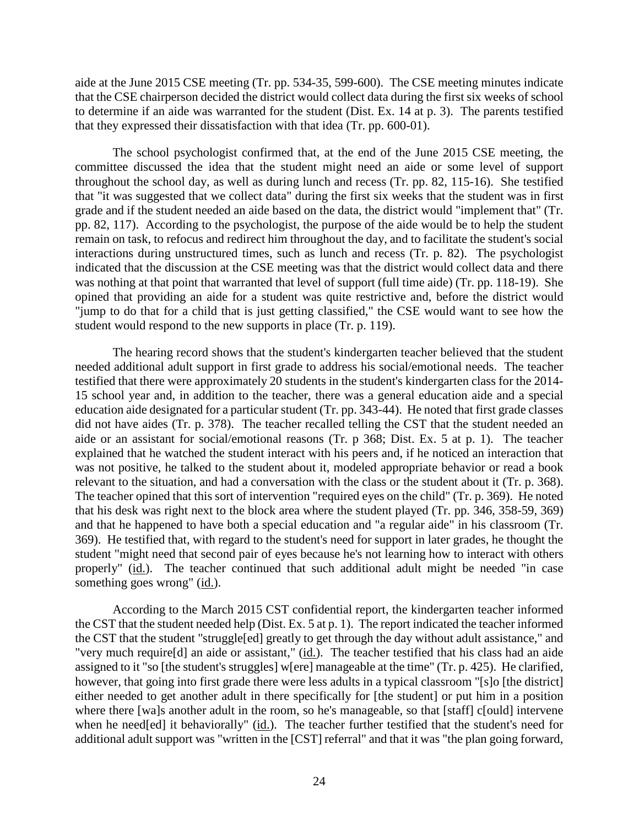aide at the June 2015 CSE meeting (Tr. pp. 534-35, 599-600). The CSE meeting minutes indicate that the CSE chairperson decided the district would collect data during the first six weeks of school to determine if an aide was warranted for the student (Dist. Ex. 14 at p. 3). The parents testified that they expressed their dissatisfaction with that idea (Tr. pp. 600-01).

The school psychologist confirmed that, at the end of the June 2015 CSE meeting, the committee discussed the idea that the student might need an aide or some level of support throughout the school day, as well as during lunch and recess (Tr. pp. 82, 115-16). She testified that "it was suggested that we collect data" during the first six weeks that the student was in first grade and if the student needed an aide based on the data, the district would "implement that" (Tr. pp. 82, 117). According to the psychologist, the purpose of the aide would be to help the student remain on task, to refocus and redirect him throughout the day, and to facilitate the student's social interactions during unstructured times, such as lunch and recess (Tr. p. 82). The psychologist indicated that the discussion at the CSE meeting was that the district would collect data and there was nothing at that point that warranted that level of support (full time aide) (Tr. pp. 118-19). She opined that providing an aide for a student was quite restrictive and, before the district would "jump to do that for a child that is just getting classified," the CSE would want to see how the student would respond to the new supports in place (Tr. p. 119).

The hearing record shows that the student's kindergarten teacher believed that the student needed additional adult support in first grade to address his social/emotional needs. The teacher testified that there were approximately 20 students in the student's kindergarten class for the 2014- 15 school year and, in addition to the teacher, there was a general education aide and a special education aide designated for a particular student (Tr. pp. 343-44). He noted that first grade classes did not have aides (Tr. p. 378). The teacher recalled telling the CST that the student needed an aide or an assistant for social/emotional reasons (Tr. p 368; Dist. Ex. 5 at p. 1). The teacher explained that he watched the student interact with his peers and, if he noticed an interaction that was not positive, he talked to the student about it, modeled appropriate behavior or read a book relevant to the situation, and had a conversation with the class or the student about it (Tr. p. 368). The teacher opined that this sort of intervention "required eyes on the child" (Tr. p. 369). He noted that his desk was right next to the block area where the student played (Tr. pp. 346, 358-59, 369) and that he happened to have both a special education and "a regular aide" in his classroom (Tr. 369). He testified that, with regard to the student's need for support in later grades, he thought the student "might need that second pair of eyes because he's not learning how to interact with others properly" (id.). The teacher continued that such additional adult might be needed "in case something goes wrong" (id.).

According to the March 2015 CST confidential report, the kindergarten teacher informed the CST that the student needed help (Dist. Ex. 5 at p. 1). The report indicated the teacher informed the CST that the student "struggle[ed] greatly to get through the day without adult assistance," and "very much require[d] an aide or assistant," (id.). The teacher testified that his class had an aide assigned to it "so [the student's struggles] w[ere] manageable at the time" (Tr. p. 425). He clarified, however, that going into first grade there were less adults in a typical classroom "[s]o [the district] either needed to get another adult in there specifically for [the student] or put him in a position where there [wa]s another adult in the room, so he's manageable, so that [staff] c[ould] intervene when he need[ed] it behaviorally" (id.). The teacher further testified that the student's need for additional adult support was "written in the [CST] referral" and that it was "the plan going forward,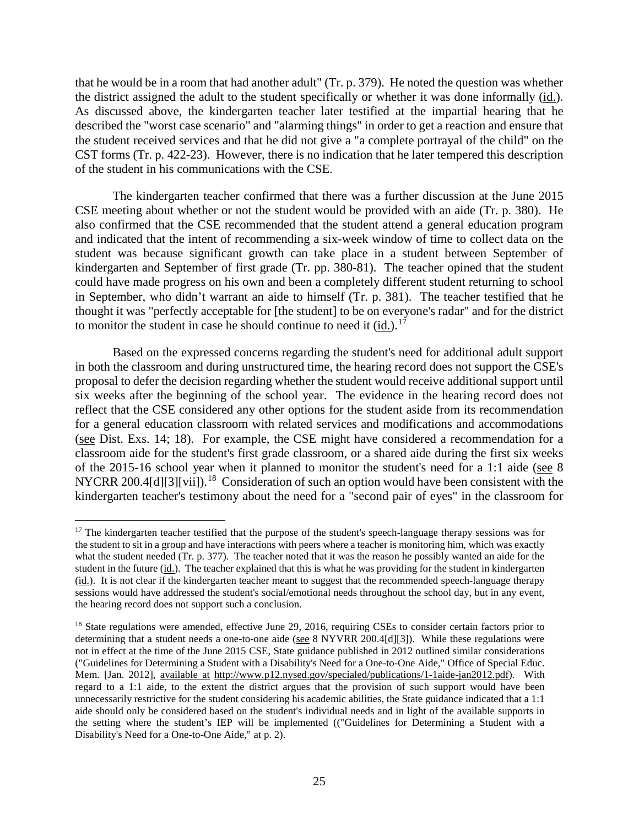that he would be in a room that had another adult" (Tr. p. 379). He noted the question was whether the district assigned the adult to the student specifically or whether it was done informally (id.). As discussed above, the kindergarten teacher later testified at the impartial hearing that he described the "worst case scenario" and "alarming things" in order to get a reaction and ensure that the student received services and that he did not give a "a complete portrayal of the child" on the CST forms (Tr. p. 422-23). However, there is no indication that he later tempered this description of the student in his communications with the CSE.

The kindergarten teacher confirmed that there was a further discussion at the June 2015 CSE meeting about whether or not the student would be provided with an aide (Tr. p. 380). He also confirmed that the CSE recommended that the student attend a general education program and indicated that the intent of recommending a six-week window of time to collect data on the student was because significant growth can take place in a student between September of kindergarten and September of first grade (Tr. pp. 380-81). The teacher opined that the student could have made progress on his own and been a completely different student returning to school in September, who didn't warrant an aide to himself (Tr. p. 381). The teacher testified that he thought it was "perfectly acceptable for [the student] to be on everyone's radar" and for the district to monitor the student in case he should continue to need it (id.).<sup>17</sup>

Based on the expressed concerns regarding the student's need for additional adult support in both the classroom and during unstructured time, the hearing record does not support the CSE's proposal to defer the decision regarding whether the student would receive additional support until six weeks after the beginning of the school year. The evidence in the hearing record does not reflect that the CSE considered any other options for the student aside from its recommendation for a general education classroom with related services and modifications and accommodations (see Dist. Exs. 14; 18). For example, the CSE might have considered a recommendation for a classroom aide for the student's first grade classroom, or a shared aide during the first six weeks of the 2015-16 school year when it planned to monitor the student's need for a 1:1 aide (see 8 NYCRR 200.4[d][3][vii]).<sup>18</sup> Consideration of such an option would have been consistent with the kindergarten teacher's testimony about the need for a "second pair of eyes" in the classroom for

<sup>&</sup>lt;sup>17</sup> The kindergarten teacher testified that the purpose of the student's speech-language therapy sessions was for the student to sit in a group and have interactions with peers where a teacher is monitoring him, which was exactly what the student needed (Tr. p. 377). The teacher noted that it was the reason he possibly wanted an aide for the student in the future  $(i_d)$ . The teacher explained that this is what he was providing for the student in kindergarten (id.). It is not clear if the kindergarten teacher meant to suggest that the recommended speech-language therapy sessions would have addressed the student's social/emotional needs throughout the school day, but in any event, the hearing record does not support such a conclusion.

<sup>&</sup>lt;sup>18</sup> State regulations were amended, effective June 29, 2016, requiring CSEs to consider certain factors prior to determining that a student needs a one-to-one aide (see 8 NYVRR 200.4[d][3]). While these regulations were not in effect at the time of the June 2015 CSE, State guidance published in 2012 outlined similar considerations ("Guidelines for Determining a Student with a Disability's Need for a One-to-One Aide," Office of Special Educ. Mem. [Jan. 2012], available at http://www.p12.nysed.gov/specialed/publications/1-1aide-jan2012.pdf). With regard to a 1:1 aide, to the extent the district argues that the provision of such support would have been unnecessarily restrictive for the student considering his academic abilities, the State guidance indicated that a 1:1 aide should only be considered based on the student's individual needs and in light of the available supports in the setting where the student's IEP will be implemented (("Guidelines for Determining a Student with a Disability's Need for a One-to-One Aide," at p. 2).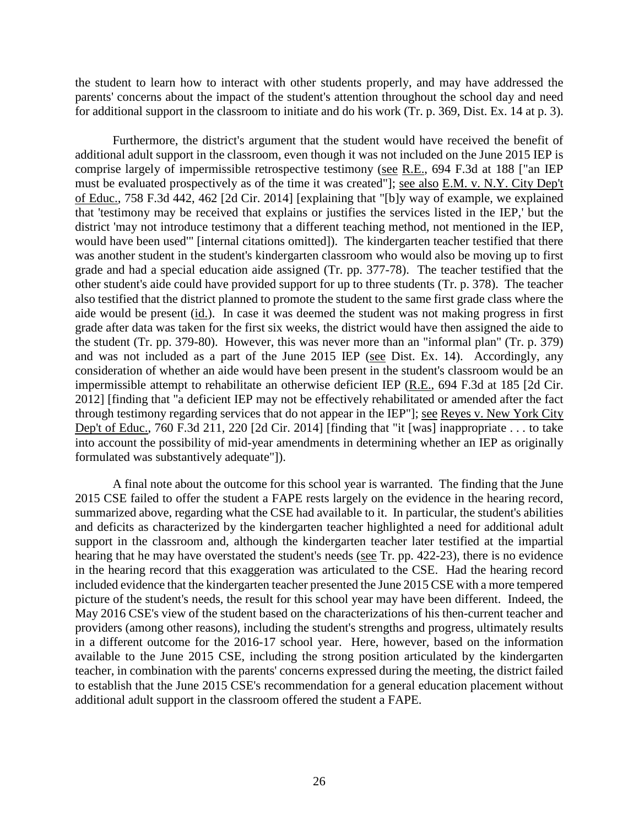the student to learn how to interact with other students properly, and may have addressed the parents' concerns about the impact of the student's attention throughout the school day and need for additional support in the classroom to initiate and do his work (Tr. p. 369, Dist. Ex. 14 at p. 3).

Furthermore, the district's argument that the student would have received the benefit of additional adult support in the classroom, even though it was not included on the June 2015 IEP is comprise largely of impermissible retrospective testimony (see R.E., 694 F.3d at 188 ["an IEP must be evaluated prospectively as of the time it was created"]; see also E.M. v. N.Y. City Dep't of Educ., 758 F.3d 442, 462 [2d Cir. 2014] [explaining that "[b]y way of example, we explained that 'testimony may be received that explains or justifies the services listed in the IEP,' but the district 'may not introduce testimony that a different teaching method, not mentioned in the IEP, would have been used'" [internal citations omitted]). The kindergarten teacher testified that there was another student in the student's kindergarten classroom who would also be moving up to first grade and had a special education aide assigned (Tr. pp. 377-78). The teacher testified that the other student's aide could have provided support for up to three students (Tr. p. 378). The teacher also testified that the district planned to promote the student to the same first grade class where the aide would be present (id.). In case it was deemed the student was not making progress in first grade after data was taken for the first six weeks, the district would have then assigned the aide to the student (Tr. pp. 379-80). However, this was never more than an "informal plan" (Tr. p. 379) and was not included as a part of the June 2015 IEP (see Dist. Ex. 14). Accordingly, any consideration of whether an aide would have been present in the student's classroom would be an impermissible attempt to rehabilitate an otherwise deficient IEP (R.E., 694 F.3d at 185 [2d Cir. 2012] [finding that "a deficient IEP may not be effectively rehabilitated or amended after the fact through testimony regarding services that do not appear in the IEP"]; see Reyes v. New York City Dep't of Educ., 760 F.3d 211, 220 [2d Cir. 2014] [finding that "it [was] inappropriate . . . to take into account the possibility of mid-year amendments in determining whether an IEP as originally formulated was substantively adequate"]).

A final note about the outcome for this school year is warranted. The finding that the June 2015 CSE failed to offer the student a FAPE rests largely on the evidence in the hearing record, summarized above, regarding what the CSE had available to it. In particular, the student's abilities and deficits as characterized by the kindergarten teacher highlighted a need for additional adult support in the classroom and, although the kindergarten teacher later testified at the impartial hearing that he may have overstated the student's needs (see Tr. pp. 422-23), there is no evidence in the hearing record that this exaggeration was articulated to the CSE. Had the hearing record included evidence that the kindergarten teacher presented the June 2015 CSE with a more tempered picture of the student's needs, the result for this school year may have been different. Indeed, the May 2016 CSE's view of the student based on the characterizations of his then-current teacher and providers (among other reasons), including the student's strengths and progress, ultimately results in a different outcome for the 2016-17 school year. Here, however, based on the information available to the June 2015 CSE, including the strong position articulated by the kindergarten teacher, in combination with the parents' concerns expressed during the meeting, the district failed to establish that the June 2015 CSE's recommendation for a general education placement without additional adult support in the classroom offered the student a FAPE.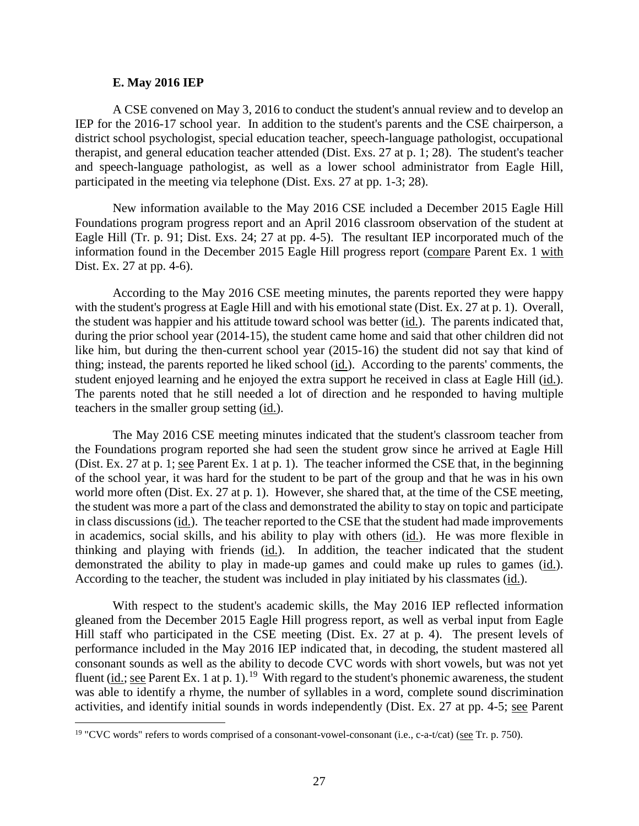#### **E. May 2016 IEP**

A CSE convened on May 3, 2016 to conduct the student's annual review and to develop an IEP for the 2016-17 school year. In addition to the student's parents and the CSE chairperson, a district school psychologist, special education teacher, speech-language pathologist, occupational therapist, and general education teacher attended (Dist. Exs. 27 at p. 1; 28). The student's teacher and speech-language pathologist, as well as a lower school administrator from Eagle Hill, participated in the meeting via telephone (Dist. Exs. 27 at pp. 1-3; 28).

New information available to the May 2016 CSE included a December 2015 Eagle Hill Foundations program progress report and an April 2016 classroom observation of the student at Eagle Hill (Tr. p. 91; Dist. Exs. 24; 27 at pp. 4-5). The resultant IEP incorporated much of the information found in the December 2015 Eagle Hill progress report (compare Parent Ex. 1 with Dist. Ex. 27 at pp. 4-6).

According to the May 2016 CSE meeting minutes, the parents reported they were happy with the student's progress at Eagle Hill and with his emotional state (Dist. Ex. 27 at p. 1). Overall, the student was happier and his attitude toward school was better (id.). The parents indicated that, during the prior school year (2014-15), the student came home and said that other children did not like him, but during the then-current school year (2015-16) the student did not say that kind of thing; instead, the parents reported he liked school (id.). According to the parents' comments, the student enjoyed learning and he enjoyed the extra support he received in class at Eagle Hill (id.). The parents noted that he still needed a lot of direction and he responded to having multiple teachers in the smaller group setting (id.).

The May 2016 CSE meeting minutes indicated that the student's classroom teacher from the Foundations program reported she had seen the student grow since he arrived at Eagle Hill (Dist. Ex. 27 at p. 1; see Parent Ex. 1 at p. 1). The teacher informed the CSE that, in the beginning of the school year, it was hard for the student to be part of the group and that he was in his own world more often (Dist. Ex. 27 at p. 1). However, she shared that, at the time of the CSE meeting, the student was more a part of the class and demonstrated the ability to stay on topic and participate in class discussions (id.). The teacher reported to the CSE that the student had made improvements in academics, social skills, and his ability to play with others (id.). He was more flexible in thinking and playing with friends (id.). In addition, the teacher indicated that the student demonstrated the ability to play in made-up games and could make up rules to games (id.). According to the teacher, the student was included in play initiated by his classmates (id.).

With respect to the student's academic skills, the May 2016 IEP reflected information gleaned from the December 2015 Eagle Hill progress report, as well as verbal input from Eagle Hill staff who participated in the CSE meeting (Dist. Ex. 27 at p. 4). The present levels of performance included in the May 2016 IEP indicated that, in decoding, the student mastered all consonant sounds as well as the ability to decode CVC words with short vowels, but was not yet fluent (id.; see Parent Ex. 1 at p. 1).<sup>19</sup> With regard to the student's phonemic awareness, the student was able to identify a rhyme, the number of syllables in a word, complete sound discrimination activities, and identify initial sounds in words independently (Dist. Ex. 27 at pp. 4-5; see Parent

<sup>&</sup>lt;sup>19</sup> "CVC words" refers to words comprised of a consonant-vowel-consonant (i.e., c-a-t/cat) (see Tr. p. 750).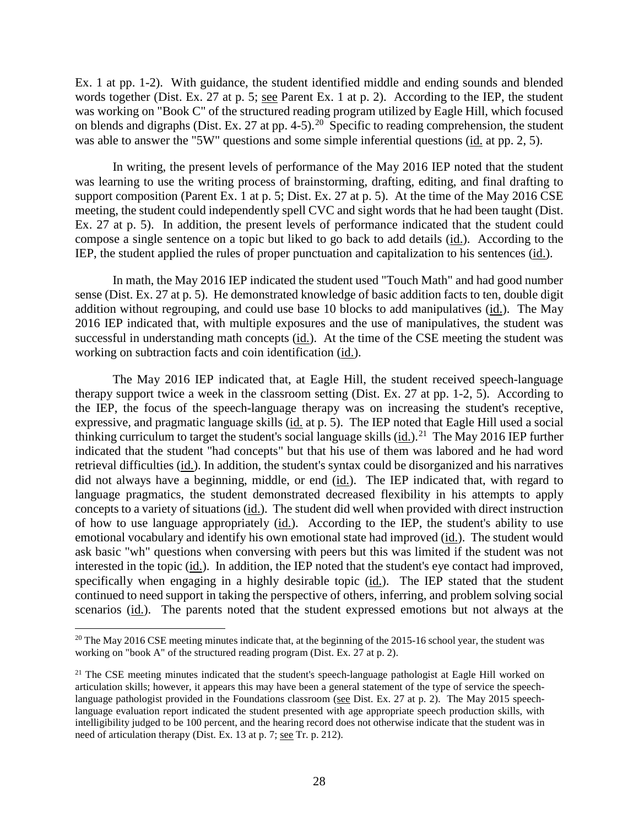Ex. 1 at pp. 1-2). With guidance, the student identified middle and ending sounds and blended words together (Dist. Ex. 27 at p. 5; see Parent Ex. 1 at p. 2). According to the IEP, the student was working on "Book C" of the structured reading program utilized by Eagle Hill, which focused on blends and digraphs (Dist. Ex. 27 at pp. 4-5).<sup>20</sup> Specific to reading comprehension, the student was able to answer the "5W" questions and some simple inferential questions (id. at pp. 2, 5).

In writing, the present levels of performance of the May 2016 IEP noted that the student was learning to use the writing process of brainstorming, drafting, editing, and final drafting to support composition (Parent Ex. 1 at p. 5; Dist. Ex. 27 at p. 5). At the time of the May 2016 CSE meeting, the student could independently spell CVC and sight words that he had been taught (Dist. Ex. 27 at p. 5). In addition, the present levels of performance indicated that the student could compose a single sentence on a topic but liked to go back to add details (id.). According to the IEP, the student applied the rules of proper punctuation and capitalization to his sentences (id.).

In math, the May 2016 IEP indicated the student used "Touch Math" and had good number sense (Dist. Ex. 27 at p. 5). He demonstrated knowledge of basic addition facts to ten, double digit addition without regrouping, and could use base 10 blocks to add manipulatives (id.). The May 2016 IEP indicated that, with multiple exposures and the use of manipulatives, the student was successful in understanding math concepts (id.). At the time of the CSE meeting the student was working on subtraction facts and coin identification (id.).

The May 2016 IEP indicated that, at Eagle Hill, the student received speech-language therapy support twice a week in the classroom setting (Dist. Ex. 27 at pp. 1-2, 5). According to the IEP, the focus of the speech-language therapy was on increasing the student's receptive, expressive, and pragmatic language skills (id. at p. 5). The IEP noted that Eagle Hill used a social thinking curriculum to target the student's social language skills  $(id.)$ <sup>21</sup> The May 2016 IEP further indicated that the student "had concepts" but that his use of them was labored and he had word retrieval difficulties (id.). In addition, the student's syntax could be disorganized and his narratives did not always have a beginning, middle, or end  $(id)$ . The IEP indicated that, with regard to language pragmatics, the student demonstrated decreased flexibility in his attempts to apply concepts to a variety of situations (id.). The student did well when provided with direct instruction of how to use language appropriately (id.). According to the IEP, the student's ability to use emotional vocabulary and identify his own emotional state had improved (id.). The student would ask basic "wh" questions when conversing with peers but this was limited if the student was not interested in the topic (id.). In addition, the IEP noted that the student's eye contact had improved, specifically when engaging in a highly desirable topic (id.). The IEP stated that the student continued to need support in taking the perspective of others, inferring, and problem solving social scenarios (id.). The parents noted that the student expressed emotions but not always at the

<sup>&</sup>lt;sup>20</sup> The May 2016 CSE meeting minutes indicate that, at the beginning of the 2015-16 school year, the student was working on "book A" of the structured reading program (Dist. Ex. 27 at p. 2).

<sup>&</sup>lt;sup>21</sup> The CSE meeting minutes indicated that the student's speech-language pathologist at Eagle Hill worked on articulation skills; however, it appears this may have been a general statement of the type of service the speechlanguage pathologist provided in the Foundations classroom (see Dist. Ex. 27 at p. 2). The May 2015 speechlanguage evaluation report indicated the student presented with age appropriate speech production skills, with intelligibility judged to be 100 percent, and the hearing record does not otherwise indicate that the student was in need of articulation therapy (Dist. Ex. 13 at p. 7; see Tr. p. 212).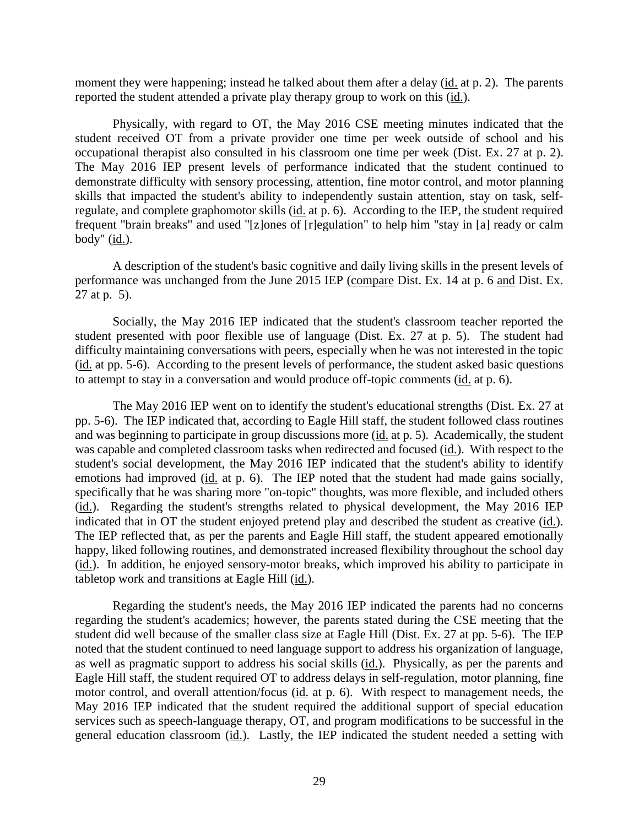moment they were happening; instead he talked about them after a delay (id. at p. 2). The parents reported the student attended a private play therapy group to work on this (id.).

Physically, with regard to OT, the May 2016 CSE meeting minutes indicated that the student received OT from a private provider one time per week outside of school and his occupational therapist also consulted in his classroom one time per week (Dist. Ex. 27 at p. 2). The May 2016 IEP present levels of performance indicated that the student continued to demonstrate difficulty with sensory processing, attention, fine motor control, and motor planning skills that impacted the student's ability to independently sustain attention, stay on task, selfregulate, and complete graphomotor skills (id. at p. 6). According to the IEP, the student required frequent "brain breaks" and used "[z]ones of [r]egulation" to help him "stay in [a] ready or calm body"  $(id.)$ .

A description of the student's basic cognitive and daily living skills in the present levels of performance was unchanged from the June 2015 IEP (compare Dist. Ex. 14 at p. 6 and Dist. Ex. 27 at p. 5).

Socially, the May 2016 IEP indicated that the student's classroom teacher reported the student presented with poor flexible use of language (Dist. Ex. 27 at p. 5). The student had difficulty maintaining conversations with peers, especially when he was not interested in the topic (id. at pp. 5-6). According to the present levels of performance, the student asked basic questions to attempt to stay in a conversation and would produce off-topic comments (id. at p. 6).

The May 2016 IEP went on to identify the student's educational strengths (Dist. Ex. 27 at pp. 5-6). The IEP indicated that, according to Eagle Hill staff, the student followed class routines and was beginning to participate in group discussions more (id. at p. 5). Academically, the student was capable and completed classroom tasks when redirected and focused (id.). With respect to the student's social development, the May 2016 IEP indicated that the student's ability to identify emotions had improved (id. at p. 6). The IEP noted that the student had made gains socially, specifically that he was sharing more "on-topic" thoughts, was more flexible, and included others (id.). Regarding the student's strengths related to physical development, the May 2016 IEP indicated that in OT the student enjoyed pretend play and described the student as creative (id.). The IEP reflected that, as per the parents and Eagle Hill staff, the student appeared emotionally happy, liked following routines, and demonstrated increased flexibility throughout the school day (id.). In addition, he enjoyed sensory-motor breaks, which improved his ability to participate in tabletop work and transitions at Eagle Hill (id.).

Regarding the student's needs, the May 2016 IEP indicated the parents had no concerns regarding the student's academics; however, the parents stated during the CSE meeting that the student did well because of the smaller class size at Eagle Hill (Dist. Ex. 27 at pp. 5-6). The IEP noted that the student continued to need language support to address his organization of language, as well as pragmatic support to address his social skills (id.). Physically, as per the parents and Eagle Hill staff, the student required OT to address delays in self-regulation, motor planning, fine motor control, and overall attention/focus (id. at p. 6). With respect to management needs, the May 2016 IEP indicated that the student required the additional support of special education services such as speech-language therapy, OT, and program modifications to be successful in the general education classroom (id.). Lastly, the IEP indicated the student needed a setting with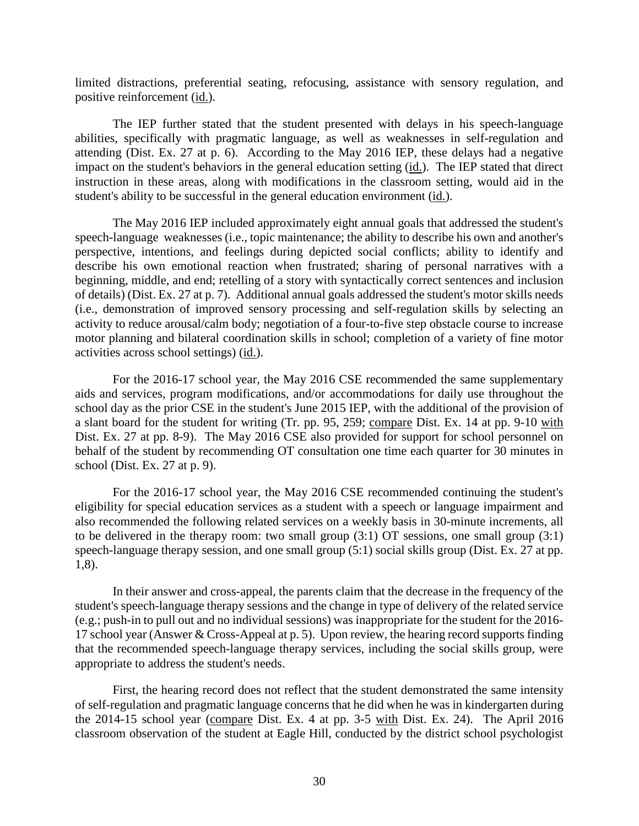limited distractions, preferential seating, refocusing, assistance with sensory regulation, and positive reinforcement (id.).

The IEP further stated that the student presented with delays in his speech-language abilities, specifically with pragmatic language, as well as weaknesses in self-regulation and attending (Dist. Ex. 27 at p. 6). According to the May 2016 IEP, these delays had a negative impact on the student's behaviors in the general education setting (id.). The IEP stated that direct instruction in these areas, along with modifications in the classroom setting, would aid in the student's ability to be successful in the general education environment (id.).

The May 2016 IEP included approximately eight annual goals that addressed the student's speech-language weaknesses (i.e., topic maintenance; the ability to describe his own and another's perspective, intentions, and feelings during depicted social conflicts; ability to identify and describe his own emotional reaction when frustrated; sharing of personal narratives with a beginning, middle, and end; retelling of a story with syntactically correct sentences and inclusion of details) (Dist. Ex. 27 at p. 7). Additional annual goals addressed the student's motor skills needs (i.e., demonstration of improved sensory processing and self-regulation skills by selecting an activity to reduce arousal/calm body; negotiation of a four-to-five step obstacle course to increase motor planning and bilateral coordination skills in school; completion of a variety of fine motor activities across school settings) (id.).

For the 2016-17 school year, the May 2016 CSE recommended the same supplementary aids and services, program modifications, and/or accommodations for daily use throughout the school day as the prior CSE in the student's June 2015 IEP, with the additional of the provision of a slant board for the student for writing (Tr. pp. 95, 259; compare Dist. Ex. 14 at pp. 9-10 with Dist. Ex. 27 at pp. 8-9). The May 2016 CSE also provided for support for school personnel on behalf of the student by recommending OT consultation one time each quarter for 30 minutes in school (Dist. Ex. 27 at p. 9).

For the 2016-17 school year, the May 2016 CSE recommended continuing the student's eligibility for special education services as a student with a speech or language impairment and also recommended the following related services on a weekly basis in 30-minute increments, all to be delivered in the therapy room: two small group (3:1) OT sessions, one small group (3:1) speech-language therapy session, and one small group (5:1) social skills group (Dist. Ex. 27 at pp. 1,8).

In their answer and cross-appeal, the parents claim that the decrease in the frequency of the student's speech-language therapy sessions and the change in type of delivery of the related service (e.g.; push-in to pull out and no individual sessions) was inappropriate for the student for the 2016- 17 school year (Answer & Cross-Appeal at p. 5). Upon review, the hearing record supports finding that the recommended speech-language therapy services, including the social skills group, were appropriate to address the student's needs.

First, the hearing record does not reflect that the student demonstrated the same intensity of self-regulation and pragmatic language concerns that he did when he was in kindergarten during the 2014-15 school year (compare Dist. Ex. 4 at pp. 3-5 with Dist. Ex. 24). The April 2016 classroom observation of the student at Eagle Hill, conducted by the district school psychologist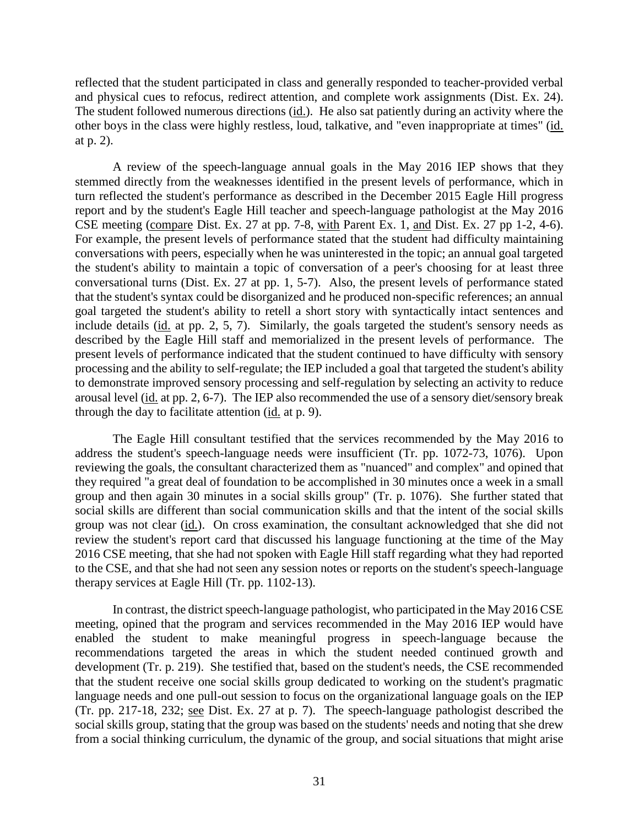reflected that the student participated in class and generally responded to teacher-provided verbal and physical cues to refocus, redirect attention, and complete work assignments (Dist. Ex. 24). The student followed numerous directions (id.). He also sat patiently during an activity where the other boys in the class were highly restless, loud, talkative, and "even inappropriate at times" (id. at p. 2).

A review of the speech-language annual goals in the May 2016 IEP shows that they stemmed directly from the weaknesses identified in the present levels of performance, which in turn reflected the student's performance as described in the December 2015 Eagle Hill progress report and by the student's Eagle Hill teacher and speech-language pathologist at the May 2016 CSE meeting (compare Dist. Ex. 27 at pp. 7-8, with Parent Ex. 1, and Dist. Ex. 27 pp 1-2, 4-6). For example, the present levels of performance stated that the student had difficulty maintaining conversations with peers, especially when he was uninterested in the topic; an annual goal targeted the student's ability to maintain a topic of conversation of a peer's choosing for at least three conversational turns (Dist. Ex. 27 at pp. 1, 5-7). Also, the present levels of performance stated that the student's syntax could be disorganized and he produced non-specific references; an annual goal targeted the student's ability to retell a short story with syntactically intact sentences and include details (id. at pp. 2, 5, 7). Similarly, the goals targeted the student's sensory needs as described by the Eagle Hill staff and memorialized in the present levels of performance. The present levels of performance indicated that the student continued to have difficulty with sensory processing and the ability to self-regulate; the IEP included a goal that targeted the student's ability to demonstrate improved sensory processing and self-regulation by selecting an activity to reduce arousal level (id. at pp. 2, 6-7). The IEP also recommended the use of a sensory diet/sensory break through the day to facilitate attention (id. at p. 9).

The Eagle Hill consultant testified that the services recommended by the May 2016 to address the student's speech-language needs were insufficient (Tr. pp. 1072-73, 1076). Upon reviewing the goals, the consultant characterized them as "nuanced" and complex" and opined that they required "a great deal of foundation to be accomplished in 30 minutes once a week in a small group and then again 30 minutes in a social skills group" (Tr. p. 1076). She further stated that social skills are different than social communication skills and that the intent of the social skills group was not clear (id.). On cross examination, the consultant acknowledged that she did not review the student's report card that discussed his language functioning at the time of the May 2016 CSE meeting, that she had not spoken with Eagle Hill staff regarding what they had reported to the CSE, and that she had not seen any session notes or reports on the student's speech-language therapy services at Eagle Hill (Tr. pp. 1102-13).

In contrast, the district speech-language pathologist, who participated in the May 2016 CSE meeting, opined that the program and services recommended in the May 2016 IEP would have enabled the student to make meaningful progress in speech-language because the recommendations targeted the areas in which the student needed continued growth and development (Tr. p. 219). She testified that, based on the student's needs, the CSE recommended that the student receive one social skills group dedicated to working on the student's pragmatic language needs and one pull-out session to focus on the organizational language goals on the IEP (Tr. pp. 217-18, 232; see Dist. Ex. 27 at p. 7). The speech-language pathologist described the social skills group, stating that the group was based on the students' needs and noting that she drew from a social thinking curriculum, the dynamic of the group, and social situations that might arise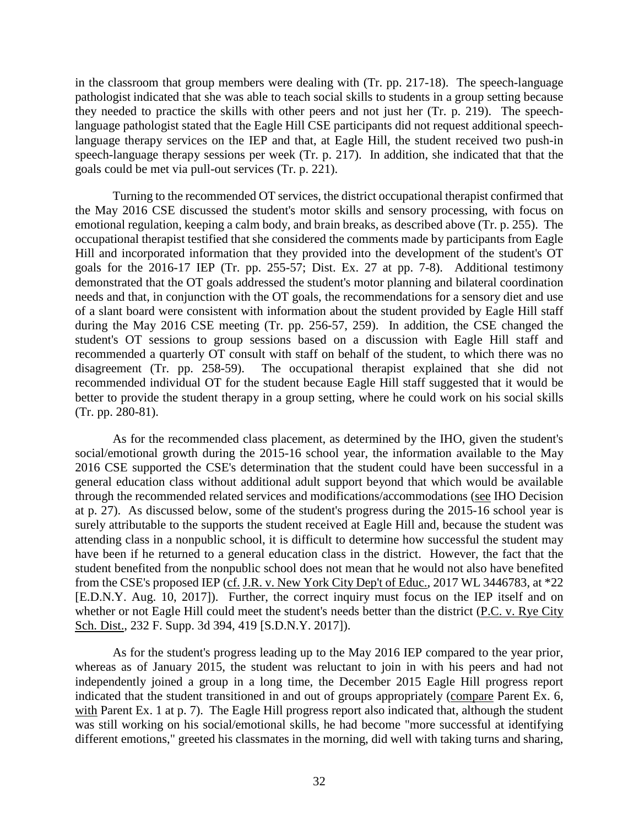in the classroom that group members were dealing with (Tr. pp. 217-18). The speech-language pathologist indicated that she was able to teach social skills to students in a group setting because they needed to practice the skills with other peers and not just her (Tr. p. 219). The speechlanguage pathologist stated that the Eagle Hill CSE participants did not request additional speechlanguage therapy services on the IEP and that, at Eagle Hill, the student received two push-in speech-language therapy sessions per week (Tr. p. 217). In addition, she indicated that that the goals could be met via pull-out services (Tr. p. 221).

Turning to the recommended OT services, the district occupational therapist confirmed that the May 2016 CSE discussed the student's motor skills and sensory processing, with focus on emotional regulation, keeping a calm body, and brain breaks, as described above (Tr. p. 255). The occupational therapist testified that she considered the comments made by participants from Eagle Hill and incorporated information that they provided into the development of the student's OT goals for the 2016-17 IEP (Tr. pp. 255-57; Dist. Ex. 27 at pp. 7-8). Additional testimony demonstrated that the OT goals addressed the student's motor planning and bilateral coordination needs and that, in conjunction with the OT goals, the recommendations for a sensory diet and use of a slant board were consistent with information about the student provided by Eagle Hill staff during the May 2016 CSE meeting (Tr. pp. 256-57, 259). In addition, the CSE changed the student's OT sessions to group sessions based on a discussion with Eagle Hill staff and recommended a quarterly OT consult with staff on behalf of the student, to which there was no disagreement (Tr. pp. 258-59). The occupational therapist explained that she did not recommended individual OT for the student because Eagle Hill staff suggested that it would be better to provide the student therapy in a group setting, where he could work on his social skills (Tr. pp. 280-81).

As for the recommended class placement, as determined by the IHO, given the student's social/emotional growth during the 2015-16 school year, the information available to the May 2016 CSE supported the CSE's determination that the student could have been successful in a general education class without additional adult support beyond that which would be available through the recommended related services and modifications/accommodations (see IHO Decision at p. 27). As discussed below, some of the student's progress during the 2015-16 school year is surely attributable to the supports the student received at Eagle Hill and, because the student was attending class in a nonpublic school, it is difficult to determine how successful the student may have been if he returned to a general education class in the district. However, the fact that the student benefited from the nonpublic school does not mean that he would not also have benefited from the CSE's proposed IEP (cf. J.R. v. New York City Dep't of Educ., 2017 WL 3446783, at \*22 [E.D.N.Y. Aug. 10, 2017]). Further, the correct inquiry must focus on the IEP itself and on whether or not Eagle Hill could meet the student's needs better than the district (P.C. v. Rye City Sch. Dist., 232 F. Supp. 3d 394, 419 [S.D.N.Y. 2017]).

As for the student's progress leading up to the May 2016 IEP compared to the year prior, whereas as of January 2015, the student was reluctant to join in with his peers and had not independently joined a group in a long time, the December 2015 Eagle Hill progress report indicated that the student transitioned in and out of groups appropriately (compare Parent Ex. 6, with Parent Ex. 1 at p. 7). The Eagle Hill progress report also indicated that, although the student was still working on his social/emotional skills, he had become "more successful at identifying different emotions," greeted his classmates in the morning, did well with taking turns and sharing,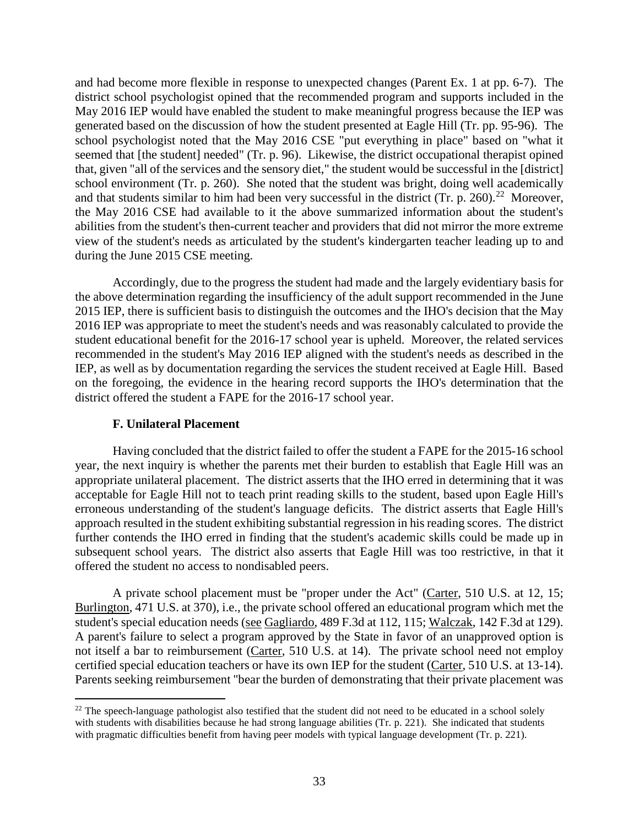and had become more flexible in response to unexpected changes (Parent Ex. 1 at pp. 6-7). The district school psychologist opined that the recommended program and supports included in the May 2016 IEP would have enabled the student to make meaningful progress because the IEP was generated based on the discussion of how the student presented at Eagle Hill (Tr. pp. 95-96). The school psychologist noted that the May 2016 CSE "put everything in place" based on "what it seemed that [the student] needed" (Tr. p. 96). Likewise, the district occupational therapist opined that, given "all of the services and the sensory diet," the student would be successful in the [district] school environment (Tr. p. 260). She noted that the student was bright, doing well academically and that students similar to him had been very successful in the district (Tr. p. 260).<sup>22</sup> Moreover, the May 2016 CSE had available to it the above summarized information about the student's abilities from the student's then-current teacher and providers that did not mirror the more extreme view of the student's needs as articulated by the student's kindergarten teacher leading up to and during the June 2015 CSE meeting.

Accordingly, due to the progress the student had made and the largely evidentiary basis for the above determination regarding the insufficiency of the adult support recommended in the June 2015 IEP, there is sufficient basis to distinguish the outcomes and the IHO's decision that the May 2016 IEP was appropriate to meet the student's needs and was reasonably calculated to provide the student educational benefit for the 2016-17 school year is upheld. Moreover, the related services recommended in the student's May 2016 IEP aligned with the student's needs as described in the IEP, as well as by documentation regarding the services the student received at Eagle Hill. Based on the foregoing, the evidence in the hearing record supports the IHO's determination that the district offered the student a FAPE for the 2016-17 school year.

# **F. Unilateral Placement**

Having concluded that the district failed to offer the student a FAPE for the 2015-16 school year, the next inquiry is whether the parents met their burden to establish that Eagle Hill was an appropriate unilateral placement. The district asserts that the IHO erred in determining that it was acceptable for Eagle Hill not to teach print reading skills to the student, based upon Eagle Hill's erroneous understanding of the student's language deficits. The district asserts that Eagle Hill's approach resulted in the student exhibiting substantial regression in his reading scores. The district further contends the IHO erred in finding that the student's academic skills could be made up in subsequent school years. The district also asserts that Eagle Hill was too restrictive, in that it offered the student no access to nondisabled peers.

A private school placement must be "proper under the Act" (Carter, 510 U.S. at 12, 15; Burlington, 471 U.S. at 370), i.e., the private school offered an educational program which met the student's special education needs (see Gagliardo, 489 F.3d at 112, 115; Walczak, 142 F.3d at 129). A parent's failure to select a program approved by the State in favor of an unapproved option is not itself a bar to reimbursement (Carter, 510 U.S. at 14). The private school need not employ certified special education teachers or have its own IEP for the student (Carter, 510 U.S. at 13-14). Parents seeking reimbursement "bear the burden of demonstrating that their private placement was

 $22$  The speech-language pathologist also testified that the student did not need to be educated in a school solely with students with disabilities because he had strong language abilities (Tr. p. 221). She indicated that students with pragmatic difficulties benefit from having peer models with typical language development (Tr. p. 221).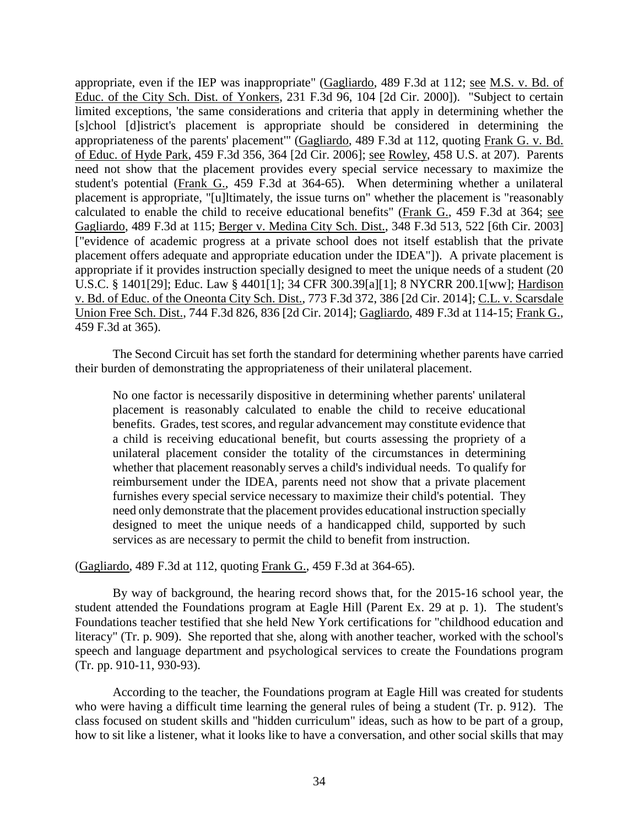appropriate, even if the IEP was inappropriate" (Gagliardo, 489 F.3d at 112; see M.S. v. Bd. of Educ. of the City Sch. Dist. of Yonkers, 231 F.3d 96, 104 [2d Cir. 2000]). "Subject to certain limited exceptions, 'the same considerations and criteria that apply in determining whether the [s]chool [d]istrict's placement is appropriate should be considered in determining the appropriateness of the parents' placement'" (Gagliardo, 489 F.3d at 112, quoting Frank G. v. Bd. of Educ. of Hyde Park, 459 F.3d 356, 364 [2d Cir. 2006]; see Rowley, 458 U.S. at 207). Parents need not show that the placement provides every special service necessary to maximize the student's potential (Frank G., 459 F.3d at 364-65). When determining whether a unilateral placement is appropriate, "[u]ltimately, the issue turns on" whether the placement is "reasonably calculated to enable the child to receive educational benefits" (Frank G., 459 F.3d at 364; see Gagliardo, 489 F.3d at 115; Berger v. Medina City Sch. Dist., 348 F.3d 513, 522 [6th Cir. 2003] ["evidence of academic progress at a private school does not itself establish that the private placement offers adequate and appropriate education under the IDEA"]). A private placement is appropriate if it provides instruction specially designed to meet the unique needs of a student (20 U.S.C. § 1401[29]; Educ. Law § 4401[1]; 34 CFR 300.39[a][1]; 8 NYCRR 200.1[ww]; Hardison v. Bd. of Educ. of the Oneonta City Sch. Dist., 773 F.3d 372, 386 [2d Cir. 2014]; C.L. v. Scarsdale Union Free Sch. Dist., 744 F.3d 826, 836 [2d Cir. 2014]; Gagliardo, 489 F.3d at 114-15; Frank G., 459 F.3d at 365).

The Second Circuit has set forth the standard for determining whether parents have carried their burden of demonstrating the appropriateness of their unilateral placement.

No one factor is necessarily dispositive in determining whether parents' unilateral placement is reasonably calculated to enable the child to receive educational benefits. Grades, test scores, and regular advancement may constitute evidence that a child is receiving educational benefit, but courts assessing the propriety of a unilateral placement consider the totality of the circumstances in determining whether that placement reasonably serves a child's individual needs. To qualify for reimbursement under the IDEA, parents need not show that a private placement furnishes every special service necessary to maximize their child's potential. They need only demonstrate that the placement provides educational instruction specially designed to meet the unique needs of a handicapped child, supported by such services as are necessary to permit the child to benefit from instruction.

(Gagliardo, 489 F.3d at 112, quoting Frank G., 459 F.3d at 364-65).

By way of background, the hearing record shows that, for the 2015-16 school year, the student attended the Foundations program at Eagle Hill (Parent Ex. 29 at p. 1). The student's Foundations teacher testified that she held New York certifications for "childhood education and literacy" (Tr. p. 909). She reported that she, along with another teacher, worked with the school's speech and language department and psychological services to create the Foundations program (Tr. pp. 910-11, 930-93).

According to the teacher, the Foundations program at Eagle Hill was created for students who were having a difficult time learning the general rules of being a student (Tr. p. 912). The class focused on student skills and "hidden curriculum" ideas, such as how to be part of a group, how to sit like a listener, what it looks like to have a conversation, and other social skills that may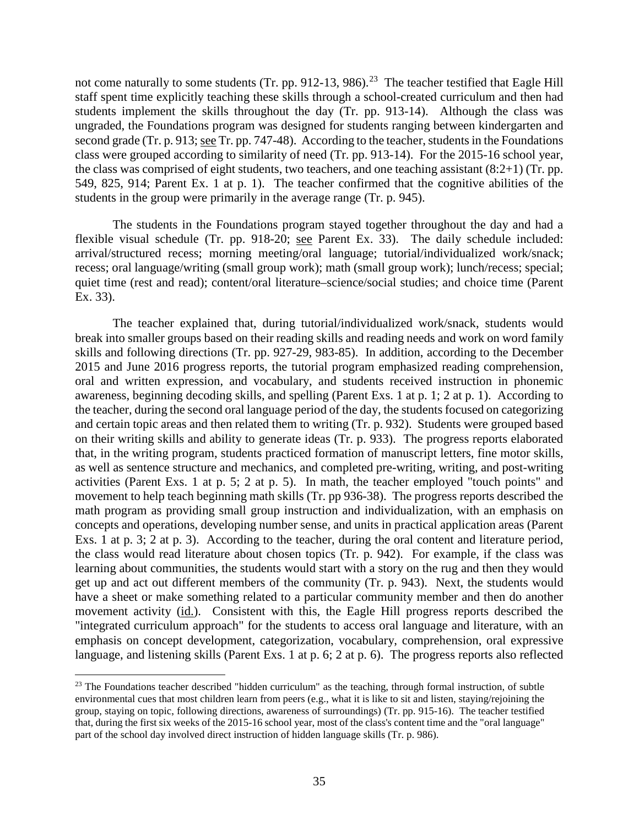not come naturally to some students (Tr. pp. 912-13, 986).<sup>23</sup> The teacher testified that Eagle Hill staff spent time explicitly teaching these skills through a school-created curriculum and then had students implement the skills throughout the day (Tr. pp. 913-14). Although the class was ungraded, the Foundations program was designed for students ranging between kindergarten and second grade (Tr. p. 913; see Tr. pp. 747-48). According to the teacher, students in the Foundations class were grouped according to similarity of need (Tr. pp. 913-14). For the 2015-16 school year, the class was comprised of eight students, two teachers, and one teaching assistant (8:2+1) (Tr. pp. 549, 825, 914; Parent Ex. 1 at p. 1). The teacher confirmed that the cognitive abilities of the students in the group were primarily in the average range (Tr. p. 945).

The students in the Foundations program stayed together throughout the day and had a flexible visual schedule (Tr. pp. 918-20; see Parent Ex. 33). The daily schedule included: arrival/structured recess; morning meeting/oral language; tutorial/individualized work/snack; recess; oral language/writing (small group work); math (small group work); lunch/recess; special; quiet time (rest and read); content/oral literature–science/social studies; and choice time (Parent Ex. 33).

The teacher explained that, during tutorial/individualized work/snack, students would break into smaller groups based on their reading skills and reading needs and work on word family skills and following directions (Tr. pp. 927-29, 983-85). In addition, according to the December 2015 and June 2016 progress reports, the tutorial program emphasized reading comprehension, oral and written expression, and vocabulary, and students received instruction in phonemic awareness, beginning decoding skills, and spelling (Parent Exs. 1 at p. 1; 2 at p. 1). According to the teacher, during the second oral language period of the day, the students focused on categorizing and certain topic areas and then related them to writing (Tr. p. 932). Students were grouped based on their writing skills and ability to generate ideas (Tr. p. 933). The progress reports elaborated that, in the writing program, students practiced formation of manuscript letters, fine motor skills, as well as sentence structure and mechanics, and completed pre-writing, writing, and post-writing activities (Parent Exs. 1 at p. 5; 2 at p. 5). In math, the teacher employed "touch points" and movement to help teach beginning math skills (Tr. pp 936-38). The progress reports described the math program as providing small group instruction and individualization, with an emphasis on concepts and operations, developing number sense, and units in practical application areas (Parent Exs. 1 at p. 3; 2 at p. 3). According to the teacher, during the oral content and literature period, the class would read literature about chosen topics (Tr. p. 942). For example, if the class was learning about communities, the students would start with a story on the rug and then they would get up and act out different members of the community (Tr. p. 943). Next, the students would have a sheet or make something related to a particular community member and then do another movement activity (id.). Consistent with this, the Eagle Hill progress reports described the "integrated curriculum approach" for the students to access oral language and literature, with an emphasis on concept development, categorization, vocabulary, comprehension, oral expressive language, and listening skills (Parent Exs. 1 at p. 6; 2 at p. 6). The progress reports also reflected

<sup>&</sup>lt;sup>23</sup> The Foundations teacher described "hidden curriculum" as the teaching, through formal instruction, of subtle environmental cues that most children learn from peers (e.g., what it is like to sit and listen, staying/rejoining the group, staying on topic, following directions, awareness of surroundings) (Tr. pp. 915-16). The teacher testified that, during the first six weeks of the 2015-16 school year, most of the class's content time and the "oral language" part of the school day involved direct instruction of hidden language skills (Tr. p. 986).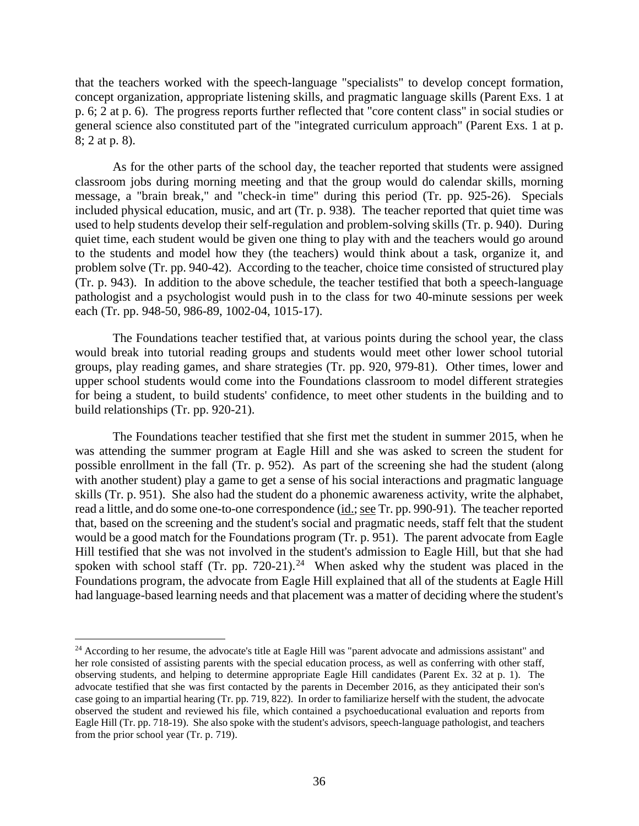that the teachers worked with the speech-language "specialists" to develop concept formation, concept organization, appropriate listening skills, and pragmatic language skills (Parent Exs. 1 at p. 6; 2 at p. 6). The progress reports further reflected that "core content class" in social studies or general science also constituted part of the "integrated curriculum approach" (Parent Exs. 1 at p. 8; 2 at p. 8).

As for the other parts of the school day, the teacher reported that students were assigned classroom jobs during morning meeting and that the group would do calendar skills, morning message, a "brain break," and "check-in time" during this period (Tr. pp. 925-26). Specials included physical education, music, and art (Tr. p. 938). The teacher reported that quiet time was used to help students develop their self-regulation and problem-solving skills (Tr. p. 940). During quiet time, each student would be given one thing to play with and the teachers would go around to the students and model how they (the teachers) would think about a task, organize it, and problem solve (Tr. pp. 940-42). According to the teacher, choice time consisted of structured play (Tr. p. 943). In addition to the above schedule, the teacher testified that both a speech-language pathologist and a psychologist would push in to the class for two 40-minute sessions per week each (Tr. pp. 948-50, 986-89, 1002-04, 1015-17).

The Foundations teacher testified that, at various points during the school year, the class would break into tutorial reading groups and students would meet other lower school tutorial groups, play reading games, and share strategies (Tr. pp. 920, 979-81). Other times, lower and upper school students would come into the Foundations classroom to model different strategies for being a student, to build students' confidence, to meet other students in the building and to build relationships (Tr. pp. 920-21).

The Foundations teacher testified that she first met the student in summer 2015, when he was attending the summer program at Eagle Hill and she was asked to screen the student for possible enrollment in the fall (Tr. p. 952). As part of the screening she had the student (along with another student) play a game to get a sense of his social interactions and pragmatic language skills (Tr. p. 951). She also had the student do a phonemic awareness activity, write the alphabet, read a little, and do some one-to-one correspondence (id.; see Tr. pp. 990-91). The teacher reported that, based on the screening and the student's social and pragmatic needs, staff felt that the student would be a good match for the Foundations program (Tr. p. 951). The parent advocate from Eagle Hill testified that she was not involved in the student's admission to Eagle Hill, but that she had spoken with school staff (Tr. pp. 720-21).<sup>24</sup> When asked why the student was placed in the Foundations program, the advocate from Eagle Hill explained that all of the students at Eagle Hill had language-based learning needs and that placement was a matter of deciding where the student's

<sup>&</sup>lt;sup>24</sup> According to her resume, the advocate's title at Eagle Hill was "parent advocate and admissions assistant" and her role consisted of assisting parents with the special education process, as well as conferring with other staff, observing students, and helping to determine appropriate Eagle Hill candidates (Parent Ex. 32 at p. 1). The advocate testified that she was first contacted by the parents in December 2016, as they anticipated their son's case going to an impartial hearing (Tr. pp. 719, 822). In order to familiarize herself with the student, the advocate observed the student and reviewed his file, which contained a psychoeducational evaluation and reports from Eagle Hill (Tr. pp. 718-19). She also spoke with the student's advisors, speech-language pathologist, and teachers from the prior school year (Tr. p. 719).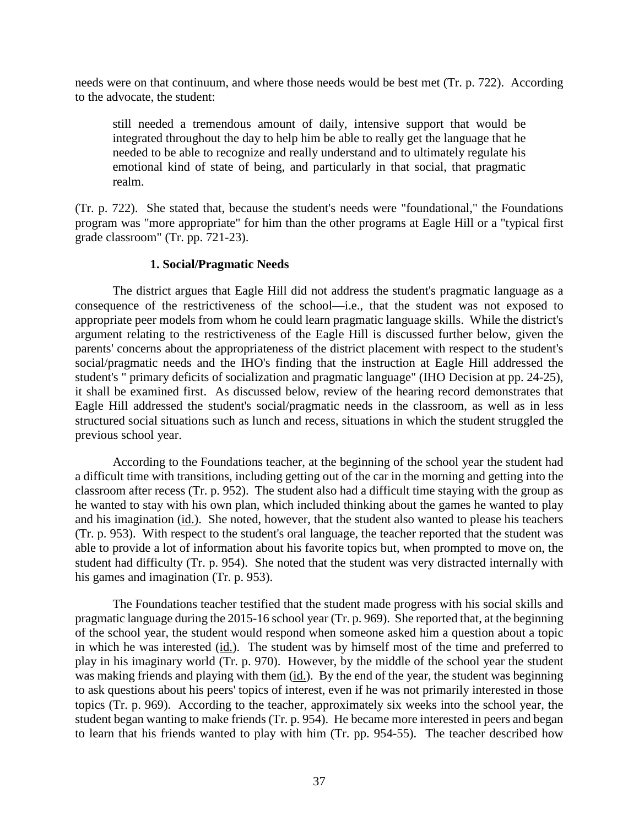needs were on that continuum, and where those needs would be best met (Tr. p. 722). According to the advocate, the student:

still needed a tremendous amount of daily, intensive support that would be integrated throughout the day to help him be able to really get the language that he needed to be able to recognize and really understand and to ultimately regulate his emotional kind of state of being, and particularly in that social, that pragmatic realm.

(Tr. p. 722). She stated that, because the student's needs were "foundational," the Foundations program was "more appropriate" for him than the other programs at Eagle Hill or a "typical first grade classroom" (Tr. pp. 721-23).

## **1. Social/Pragmatic Needs**

The district argues that Eagle Hill did not address the student's pragmatic language as a consequence of the restrictiveness of the school—i.e., that the student was not exposed to appropriate peer models from whom he could learn pragmatic language skills. While the district's argument relating to the restrictiveness of the Eagle Hill is discussed further below, given the parents' concerns about the appropriateness of the district placement with respect to the student's social/pragmatic needs and the IHO's finding that the instruction at Eagle Hill addressed the student's " primary deficits of socialization and pragmatic language" (IHO Decision at pp. 24-25), it shall be examined first. As discussed below, review of the hearing record demonstrates that Eagle Hill addressed the student's social/pragmatic needs in the classroom, as well as in less structured social situations such as lunch and recess, situations in which the student struggled the previous school year.

According to the Foundations teacher, at the beginning of the school year the student had a difficult time with transitions, including getting out of the car in the morning and getting into the classroom after recess (Tr. p. 952). The student also had a difficult time staying with the group as he wanted to stay with his own plan, which included thinking about the games he wanted to play and his imagination (id.). She noted, however, that the student also wanted to please his teachers (Tr. p. 953). With respect to the student's oral language, the teacher reported that the student was able to provide a lot of information about his favorite topics but, when prompted to move on, the student had difficulty (Tr. p. 954). She noted that the student was very distracted internally with his games and imagination (Tr. p. 953).

The Foundations teacher testified that the student made progress with his social skills and pragmatic language during the 2015-16 school year (Tr. p. 969). She reported that, at the beginning of the school year, the student would respond when someone asked him a question about a topic in which he was interested (id.). The student was by himself most of the time and preferred to play in his imaginary world (Tr. p. 970). However, by the middle of the school year the student was making friends and playing with them (id.). By the end of the year, the student was beginning to ask questions about his peers' topics of interest, even if he was not primarily interested in those topics (Tr. p. 969). According to the teacher, approximately six weeks into the school year, the student began wanting to make friends (Tr. p. 954). He became more interested in peers and began to learn that his friends wanted to play with him (Tr. pp. 954-55). The teacher described how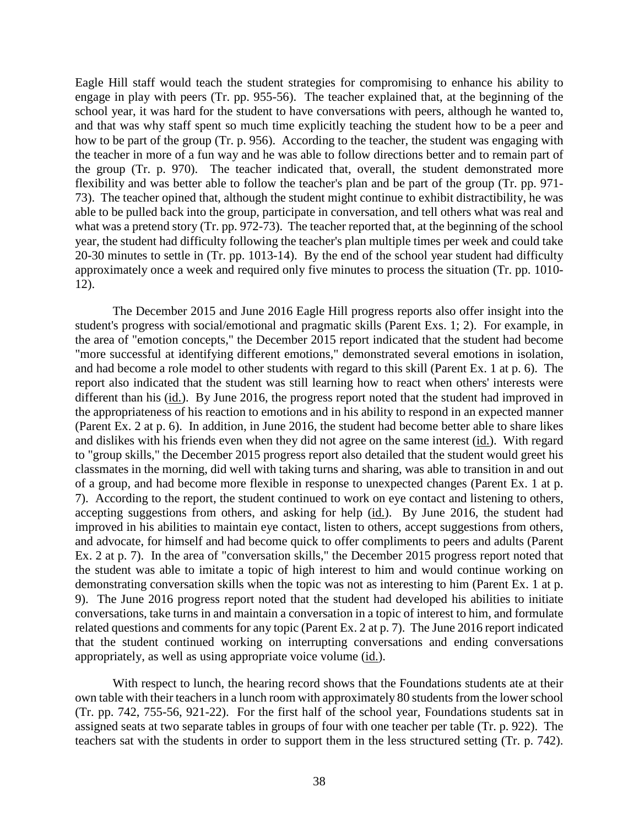Eagle Hill staff would teach the student strategies for compromising to enhance his ability to engage in play with peers (Tr. pp. 955-56). The teacher explained that, at the beginning of the school year, it was hard for the student to have conversations with peers, although he wanted to, and that was why staff spent so much time explicitly teaching the student how to be a peer and how to be part of the group (Tr. p. 956). According to the teacher, the student was engaging with the teacher in more of a fun way and he was able to follow directions better and to remain part of the group (Tr. p. 970). The teacher indicated that, overall, the student demonstrated more flexibility and was better able to follow the teacher's plan and be part of the group (Tr. pp. 971- 73). The teacher opined that, although the student might continue to exhibit distractibility, he was able to be pulled back into the group, participate in conversation, and tell others what was real and what was a pretend story (Tr. pp. 972-73). The teacher reported that, at the beginning of the school year, the student had difficulty following the teacher's plan multiple times per week and could take 20-30 minutes to settle in (Tr. pp. 1013-14). By the end of the school year student had difficulty approximately once a week and required only five minutes to process the situation (Tr. pp. 1010- 12).

The December 2015 and June 2016 Eagle Hill progress reports also offer insight into the student's progress with social/emotional and pragmatic skills (Parent Exs. 1; 2). For example, in the area of "emotion concepts," the December 2015 report indicated that the student had become "more successful at identifying different emotions," demonstrated several emotions in isolation, and had become a role model to other students with regard to this skill (Parent Ex. 1 at p. 6). The report also indicated that the student was still learning how to react when others' interests were different than his (id.). By June 2016, the progress report noted that the student had improved in the appropriateness of his reaction to emotions and in his ability to respond in an expected manner (Parent Ex. 2 at p. 6). In addition, in June 2016, the student had become better able to share likes and dislikes with his friends even when they did not agree on the same interest (id.). With regard to "group skills," the December 2015 progress report also detailed that the student would greet his classmates in the morning, did well with taking turns and sharing, was able to transition in and out of a group, and had become more flexible in response to unexpected changes (Parent Ex. 1 at p. 7). According to the report, the student continued to work on eye contact and listening to others, accepting suggestions from others, and asking for help (id.). By June 2016, the student had improved in his abilities to maintain eye contact, listen to others, accept suggestions from others, and advocate, for himself and had become quick to offer compliments to peers and adults (Parent Ex. 2 at p. 7). In the area of "conversation skills," the December 2015 progress report noted that the student was able to imitate a topic of high interest to him and would continue working on demonstrating conversation skills when the topic was not as interesting to him (Parent Ex. 1 at p. 9). The June 2016 progress report noted that the student had developed his abilities to initiate conversations, take turns in and maintain a conversation in a topic of interest to him, and formulate related questions and comments for any topic (Parent Ex. 2 at p. 7). The June 2016 report indicated that the student continued working on interrupting conversations and ending conversations appropriately, as well as using appropriate voice volume (id.).

With respect to lunch, the hearing record shows that the Foundations students ate at their own table with their teachers in a lunch room with approximately 80 students from the lower school (Tr. pp. 742, 755-56, 921-22). For the first half of the school year, Foundations students sat in assigned seats at two separate tables in groups of four with one teacher per table (Tr. p. 922). The teachers sat with the students in order to support them in the less structured setting (Tr. p. 742).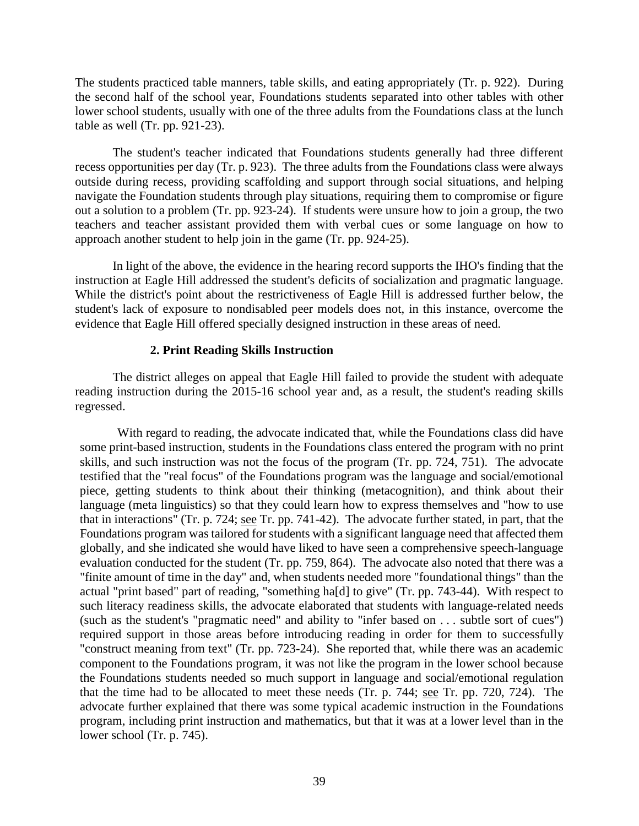The students practiced table manners, table skills, and eating appropriately (Tr. p. 922). During the second half of the school year, Foundations students separated into other tables with other lower school students, usually with one of the three adults from the Foundations class at the lunch table as well (Tr. pp. 921-23).

The student's teacher indicated that Foundations students generally had three different recess opportunities per day (Tr. p. 923). The three adults from the Foundations class were always outside during recess, providing scaffolding and support through social situations, and helping navigate the Foundation students through play situations, requiring them to compromise or figure out a solution to a problem (Tr. pp. 923-24). If students were unsure how to join a group, the two teachers and teacher assistant provided them with verbal cues or some language on how to approach another student to help join in the game (Tr. pp. 924-25).

In light of the above, the evidence in the hearing record supports the IHO's finding that the instruction at Eagle Hill addressed the student's deficits of socialization and pragmatic language. While the district's point about the restrictiveness of Eagle Hill is addressed further below, the student's lack of exposure to nondisabled peer models does not, in this instance, overcome the evidence that Eagle Hill offered specially designed instruction in these areas of need.

# **2. Print Reading Skills Instruction**

The district alleges on appeal that Eagle Hill failed to provide the student with adequate reading instruction during the 2015-16 school year and, as a result, the student's reading skills regressed.

With regard to reading, the advocate indicated that, while the Foundations class did have some print-based instruction, students in the Foundations class entered the program with no print skills, and such instruction was not the focus of the program (Tr. pp. 724, 751). The advocate testified that the "real focus" of the Foundations program was the language and social/emotional piece, getting students to think about their thinking (metacognition), and think about their language (meta linguistics) so that they could learn how to express themselves and "how to use that in interactions" (Tr. p. 724; see Tr. pp. 741-42). The advocate further stated, in part, that the Foundations program was tailored for students with a significant language need that affected them globally, and she indicated she would have liked to have seen a comprehensive speech-language evaluation conducted for the student (Tr. pp. 759, 864). The advocate also noted that there was a "finite amount of time in the day" and, when students needed more "foundational things" than the actual "print based" part of reading, "something ha[d] to give" (Tr. pp. 743-44). With respect to such literacy readiness skills, the advocate elaborated that students with language-related needs (such as the student's "pragmatic need" and ability to "infer based on . . . subtle sort of cues") required support in those areas before introducing reading in order for them to successfully "construct meaning from text" (Tr. pp. 723-24). She reported that, while there was an academic component to the Foundations program, it was not like the program in the lower school because the Foundations students needed so much support in language and social/emotional regulation that the time had to be allocated to meet these needs (Tr. p. 744; see Tr. pp. 720, 724). The advocate further explained that there was some typical academic instruction in the Foundations program, including print instruction and mathematics, but that it was at a lower level than in the lower school (Tr. p. 745).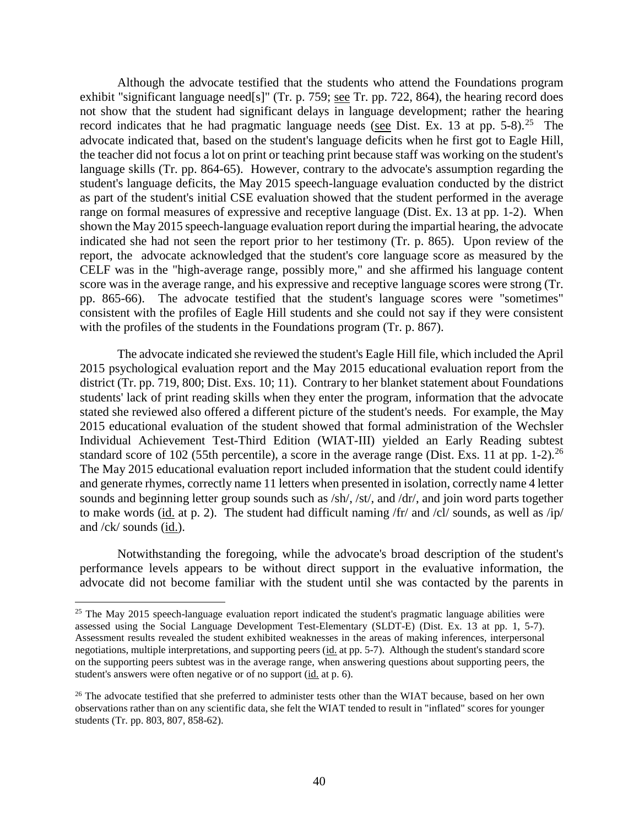Although the advocate testified that the students who attend the Foundations program exhibit "significant language need[s]" (Tr. p. 759; see Tr. pp. 722, 864), the hearing record does not show that the student had significant delays in language development; rather the hearing record indicates that he had pragmatic language needs (see Dist. Ex. 13 at pp.  $5-8$ ).<sup>25</sup> The advocate indicated that, based on the student's language deficits when he first got to Eagle Hill, the teacher did not focus a lot on print or teaching print because staff was working on the student's language skills (Tr. pp. 864-65). However, contrary to the advocate's assumption regarding the student's language deficits, the May 2015 speech-language evaluation conducted by the district as part of the student's initial CSE evaluation showed that the student performed in the average range on formal measures of expressive and receptive language (Dist. Ex. 13 at pp. 1-2). When shown the May 2015 speech-language evaluation report during the impartial hearing, the advocate indicated she had not seen the report prior to her testimony (Tr. p. 865). Upon review of the report, the advocate acknowledged that the student's core language score as measured by the CELF was in the "high-average range, possibly more," and she affirmed his language content score was in the average range, and his expressive and receptive language scores were strong (Tr. pp. 865-66). The advocate testified that the student's language scores were "sometimes" consistent with the profiles of Eagle Hill students and she could not say if they were consistent with the profiles of the students in the Foundations program (Tr. p. 867).

The advocate indicated she reviewed the student's Eagle Hill file, which included the April 2015 psychological evaluation report and the May 2015 educational evaluation report from the district (Tr. pp. 719, 800; Dist. Exs. 10; 11). Contrary to her blanket statement about Foundations students' lack of print reading skills when they enter the program, information that the advocate stated she reviewed also offered a different picture of the student's needs. For example, the May 2015 educational evaluation of the student showed that formal administration of the Wechsler Individual Achievement Test-Third Edition (WIAT-III) yielded an Early Reading subtest standard score of 102 (55th percentile), a score in the average range (Dist. Exs. 11 at pp. 1-2).<sup>26</sup> The May 2015 educational evaluation report included information that the student could identify and generate rhymes, correctly name 11 letters when presented in isolation, correctly name 4 letter sounds and beginning letter group sounds such as /sh/, /st/, and /dr/, and join word parts together to make words (id. at p. 2). The student had difficult naming /fr/ and /cl/ sounds, as well as /ip/ and  $/ck/$  sounds  $(id.)$ .

Notwithstanding the foregoing, while the advocate's broad description of the student's performance levels appears to be without direct support in the evaluative information, the advocate did not become familiar with the student until she was contacted by the parents in

 $25$  The May 2015 speech-language evaluation report indicated the student's pragmatic language abilities were assessed using the Social Language Development Test-Elementary (SLDT-E) (Dist. Ex. 13 at pp. 1, 5-7). Assessment results revealed the student exhibited weaknesses in the areas of making inferences, interpersonal negotiations, multiple interpretations, and supporting peers (id. at pp. 5-7). Although the student's standard score on the supporting peers subtest was in the average range, when answering questions about supporting peers, the student's answers were often negative or of no support (id. at p. 6).

<sup>&</sup>lt;sup>26</sup> The advocate testified that she preferred to administer tests other than the WIAT because, based on her own observations rather than on any scientific data, she felt the WIAT tended to result in "inflated" scores for younger students (Tr. pp. 803, 807, 858-62).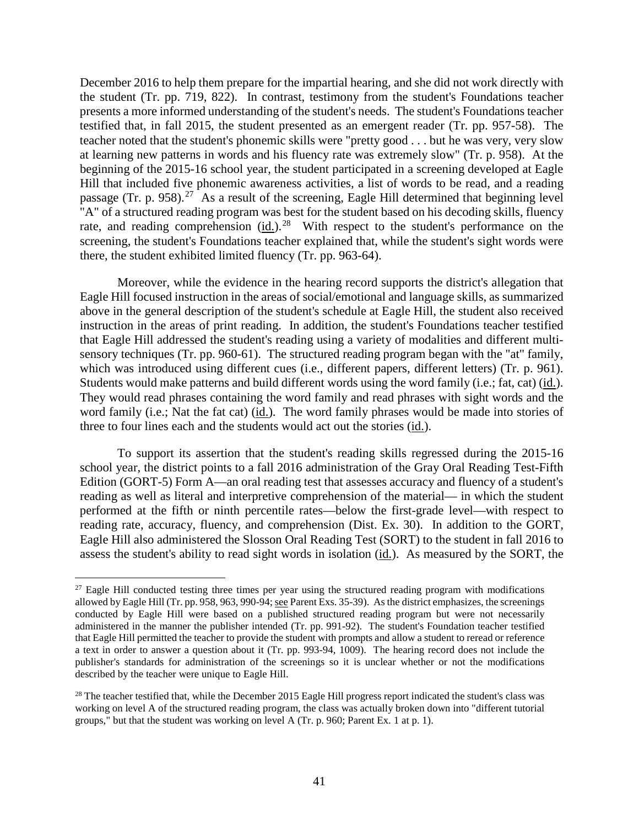December 2016 to help them prepare for the impartial hearing, and she did not work directly with the student (Tr. pp. 719, 822). In contrast, testimony from the student's Foundations teacher presents a more informed understanding of the student's needs. The student's Foundations teacher testified that, in fall 2015, the student presented as an emergent reader (Tr. pp. 957-58). The teacher noted that the student's phonemic skills were "pretty good . . . but he was very, very slow at learning new patterns in words and his fluency rate was extremely slow" (Tr. p. 958). At the beginning of the 2015-16 school year, the student participated in a screening developed at Eagle Hill that included five phonemic awareness activities, a list of words to be read, and a reading passage (Tr. p. 958).<sup>27</sup> As a result of the screening, Eagle Hill determined that beginning level "A" of a structured reading program was best for the student based on his decoding skills, fluency rate, and reading comprehension  $(id.)^{28}$  With respect to the student's performance on the screening, the student's Foundations teacher explained that, while the student's sight words were there, the student exhibited limited fluency (Tr. pp. 963-64).

Moreover, while the evidence in the hearing record supports the district's allegation that Eagle Hill focused instruction in the areas of social/emotional and language skills, as summarized above in the general description of the student's schedule at Eagle Hill, the student also received instruction in the areas of print reading. In addition, the student's Foundations teacher testified that Eagle Hill addressed the student's reading using a variety of modalities and different multisensory techniques (Tr. pp. 960-61). The structured reading program began with the "at" family, which was introduced using different cues (i.e., different papers, different letters) (Tr. p. 961). Students would make patterns and build different words using the word family (i.e.; fat, cat) (id.). They would read phrases containing the word family and read phrases with sight words and the word family (i.e.; Nat the fat cat) (id.). The word family phrases would be made into stories of three to four lines each and the students would act out the stories (id.).

To support its assertion that the student's reading skills regressed during the 2015-16 school year, the district points to a fall 2016 administration of the Gray Oral Reading Test-Fifth Edition (GORT-5) Form A—an oral reading test that assesses accuracy and fluency of a student's reading as well as literal and interpretive comprehension of the material— in which the student performed at the fifth or ninth percentile rates—below the first-grade level—with respect to reading rate, accuracy, fluency, and comprehension (Dist. Ex. 30). In addition to the GORT, Eagle Hill also administered the Slosson Oral Reading Test (SORT) to the student in fall 2016 to assess the student's ability to read sight words in isolation (id.). As measured by the SORT, the

<sup>&</sup>lt;sup>27</sup> Eagle Hill conducted testing three times per year using the structured reading program with modifications allowed by Eagle Hill (Tr. pp. 958, 963, 990-94; see Parent Exs. 35-39). As the district emphasizes, the screenings conducted by Eagle Hill were based on a published structured reading program but were not necessarily administered in the manner the publisher intended (Tr. pp. 991-92). The student's Foundation teacher testified that Eagle Hill permitted the teacher to provide the student with prompts and allow a student to reread or reference a text in order to answer a question about it (Tr. pp. 993-94, 1009). The hearing record does not include the publisher's standards for administration of the screenings so it is unclear whether or not the modifications described by the teacher were unique to Eagle Hill.

<sup>&</sup>lt;sup>28</sup> The teacher testified that, while the December 2015 Eagle Hill progress report indicated the student's class was working on level A of the structured reading program, the class was actually broken down into "different tutorial groups," but that the student was working on level A (Tr. p. 960; Parent Ex. 1 at p. 1).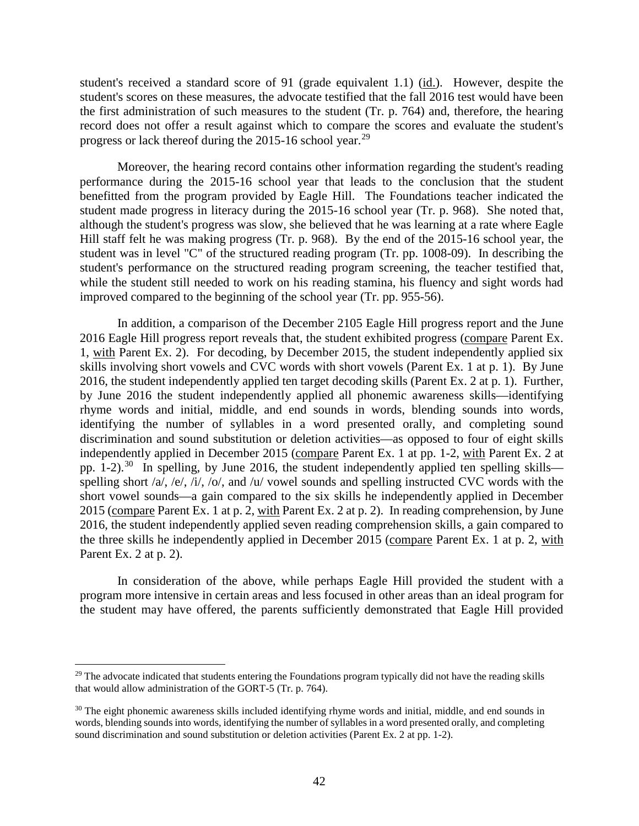student's received a standard score of 91 (grade equivalent 1.1) (id.). However, despite the student's scores on these measures, the advocate testified that the fall 2016 test would have been the first administration of such measures to the student (Tr. p. 764) and, therefore, the hearing record does not offer a result against which to compare the scores and evaluate the student's progress or lack thereof during the 2015-16 school year.<sup>29</sup>

Moreover, the hearing record contains other information regarding the student's reading performance during the 2015-16 school year that leads to the conclusion that the student benefitted from the program provided by Eagle Hill. The Foundations teacher indicated the student made progress in literacy during the 2015-16 school year (Tr. p. 968). She noted that, although the student's progress was slow, she believed that he was learning at a rate where Eagle Hill staff felt he was making progress (Tr. p. 968). By the end of the 2015-16 school year, the student was in level "C" of the structured reading program (Tr. pp. 1008-09). In describing the student's performance on the structured reading program screening, the teacher testified that, while the student still needed to work on his reading stamina, his fluency and sight words had improved compared to the beginning of the school year (Tr. pp. 955-56).

In addition, a comparison of the December 2105 Eagle Hill progress report and the June 2016 Eagle Hill progress report reveals that, the student exhibited progress (compare Parent Ex. 1, with Parent Ex. 2). For decoding, by December 2015, the student independently applied six skills involving short vowels and CVC words with short vowels (Parent Ex. 1 at p. 1). By June 2016, the student independently applied ten target decoding skills (Parent Ex. 2 at p. 1). Further, by June 2016 the student independently applied all phonemic awareness skills—identifying rhyme words and initial, middle, and end sounds in words, blending sounds into words, identifying the number of syllables in a word presented orally, and completing sound discrimination and sound substitution or deletion activities—as opposed to four of eight skills independently applied in December 2015 (compare Parent Ex. 1 at pp. 1-2, with Parent Ex. 2 at pp. 1-2).<sup>30</sup> In spelling, by June 2016, the student independently applied ten spelling skills spelling short /a/, /e/, /i/, /o/, and /u/ vowel sounds and spelling instructed CVC words with the short vowel sounds—a gain compared to the six skills he independently applied in December 2015 (compare Parent Ex. 1 at p. 2, with Parent Ex. 2 at p. 2). In reading comprehension, by June 2016, the student independently applied seven reading comprehension skills, a gain compared to the three skills he independently applied in December 2015 (compare Parent Ex. 1 at p. 2, with Parent Ex. 2 at p. 2).

In consideration of the above, while perhaps Eagle Hill provided the student with a program more intensive in certain areas and less focused in other areas than an ideal program for the student may have offered, the parents sufficiently demonstrated that Eagle Hill provided

<sup>&</sup>lt;sup>29</sup> The advocate indicated that students entering the Foundations program typically did not have the reading skills that would allow administration of the GORT-5 (Tr. p. 764).

<sup>&</sup>lt;sup>30</sup> The eight phonemic awareness skills included identifying rhyme words and initial, middle, and end sounds in words, blending sounds into words, identifying the number of syllables in a word presented orally, and completing sound discrimination and sound substitution or deletion activities (Parent Ex. 2 at pp. 1-2).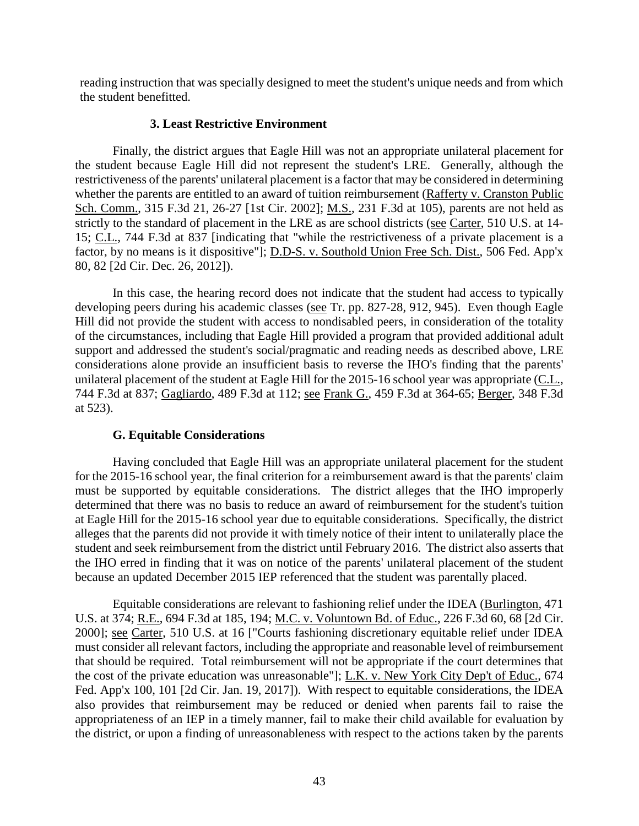reading instruction that was specially designed to meet the student's unique needs and from which the student benefitted.

## **3. Least Restrictive Environment**

Finally, the district argues that Eagle Hill was not an appropriate unilateral placement for the student because Eagle Hill did not represent the student's LRE. Generally, although the restrictiveness of the parents' unilateral placement is a factor that may be considered in determining whether the parents are entitled to an award of tuition reimbursement (Rafferty v. Cranston Public Sch. Comm., 315 F.3d 21, 26-27 [1st Cir. 2002]; M.S., 231 F.3d at 105), parents are not held as strictly to the standard of placement in the LRE as are school districts (see Carter, 510 U.S. at 14-15; C.L., 744 F.3d at 837 [indicating that "while the restrictiveness of a private placement is a factor, by no means is it dispositive"]; D.D-S. v. Southold Union Free Sch. Dist., 506 Fed. App'x 80, 82 [2d Cir. Dec. 26, 2012]).

In this case, the hearing record does not indicate that the student had access to typically developing peers during his academic classes (see Tr. pp. 827-28, 912, 945). Even though Eagle Hill did not provide the student with access to nondisabled peers, in consideration of the totality of the circumstances, including that Eagle Hill provided a program that provided additional adult support and addressed the student's social/pragmatic and reading needs as described above, LRE considerations alone provide an insufficient basis to reverse the IHO's finding that the parents' unilateral placement of the student at Eagle Hill for the 2015-16 school year was appropriate (C.L., 744 F.3d at 837; Gagliardo, 489 F.3d at 112; see Frank G., 459 F.3d at 364-65; Berger, 348 F.3d at 523).

# **G. Equitable Considerations**

Having concluded that Eagle Hill was an appropriate unilateral placement for the student for the 2015-16 school year, the final criterion for a reimbursement award is that the parents' claim must be supported by equitable considerations. The district alleges that the IHO improperly determined that there was no basis to reduce an award of reimbursement for the student's tuition at Eagle Hill for the 2015-16 school year due to equitable considerations. Specifically, the district alleges that the parents did not provide it with timely notice of their intent to unilaterally place the student and seek reimbursement from the district until February 2016. The district also asserts that the IHO erred in finding that it was on notice of the parents' unilateral placement of the student because an updated December 2015 IEP referenced that the student was parentally placed.

Equitable considerations are relevant to fashioning relief under the IDEA (Burlington, 471 U.S. at 374; R.E., 694 F.3d at 185, 194; M.C. v. Voluntown Bd. of Educ., 226 F.3d 60, 68 [2d Cir. 2000]; see Carter, 510 U.S. at 16 ["Courts fashioning discretionary equitable relief under IDEA must consider all relevant factors, including the appropriate and reasonable level of reimbursement that should be required. Total reimbursement will not be appropriate if the court determines that the cost of the private education was unreasonable"]; L.K. v. New York City Dep't of Educ., 674 Fed. App'x 100, 101 [2d Cir. Jan. 19, 2017]). With respect to equitable considerations, the IDEA also provides that reimbursement may be reduced or denied when parents fail to raise the appropriateness of an IEP in a timely manner, fail to make their child available for evaluation by the district, or upon a finding of unreasonableness with respect to the actions taken by the parents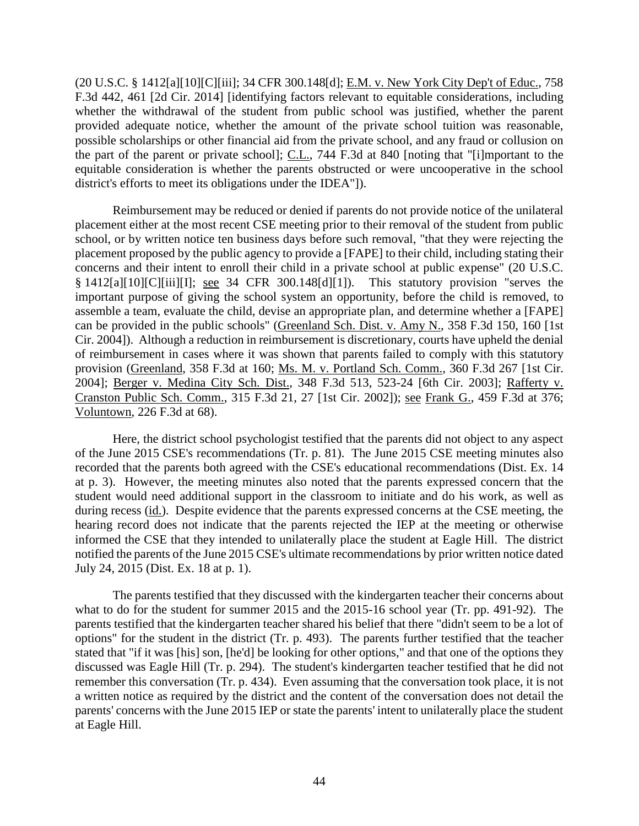(20 U.S.C. § 1412[a][10][C][iii]; 34 CFR 300.148[d]; E.M. v. New York City Dep't of Educ., 758 F.3d 442, 461 [2d Cir. 2014] [identifying factors relevant to equitable considerations, including whether the withdrawal of the student from public school was justified, whether the parent provided adequate notice, whether the amount of the private school tuition was reasonable, possible scholarships or other financial aid from the private school, and any fraud or collusion on the part of the parent or private school]; C.L., 744 F.3d at 840 [noting that "[i]mportant to the equitable consideration is whether the parents obstructed or were uncooperative in the school district's efforts to meet its obligations under the IDEA"]).

Reimbursement may be reduced or denied if parents do not provide notice of the unilateral placement either at the most recent CSE meeting prior to their removal of the student from public school, or by written notice ten business days before such removal, "that they were rejecting the placement proposed by the public agency to provide a [FAPE] to their child, including stating their concerns and their intent to enroll their child in a private school at public expense" (20 U.S.C. § 1412[a][10][C][iii][I]; see 34 CFR 300.148[d][1]). This statutory provision "serves the important purpose of giving the school system an opportunity, before the child is removed, to assemble a team, evaluate the child, devise an appropriate plan, and determine whether a [FAPE] can be provided in the public schools" (Greenland Sch. Dist. v. Amy N., 358 F.3d 150, 160 [1st Cir. 2004]). Although a reduction in reimbursement is discretionary, courts have upheld the denial of reimbursement in cases where it was shown that parents failed to comply with this statutory provision (Greenland, 358 F.3d at 160; Ms. M. v. Portland Sch. Comm., 360 F.3d 267 [1st Cir. 2004]; Berger v. Medina City Sch. Dist., 348 F.3d 513, 523-24 [6th Cir. 2003]; Rafferty v. Cranston Public Sch. Comm., 315 F.3d 21, 27 [1st Cir. 2002]); see Frank G., 459 F.3d at 376; Voluntown, 226 F.3d at 68).

Here, the district school psychologist testified that the parents did not object to any aspect of the June 2015 CSE's recommendations (Tr. p. 81). The June 2015 CSE meeting minutes also recorded that the parents both agreed with the CSE's educational recommendations (Dist. Ex. 14 at p. 3). However, the meeting minutes also noted that the parents expressed concern that the student would need additional support in the classroom to initiate and do his work, as well as during recess (id.). Despite evidence that the parents expressed concerns at the CSE meeting, the hearing record does not indicate that the parents rejected the IEP at the meeting or otherwise informed the CSE that they intended to unilaterally place the student at Eagle Hill. The district notified the parents of the June 2015 CSE's ultimate recommendations by prior written notice dated July 24, 2015 (Dist. Ex. 18 at p. 1).

The parents testified that they discussed with the kindergarten teacher their concerns about what to do for the student for summer 2015 and the 2015-16 school year (Tr. pp. 491-92). The parents testified that the kindergarten teacher shared his belief that there "didn't seem to be a lot of options" for the student in the district (Tr. p. 493). The parents further testified that the teacher stated that "if it was [his] son, [he'd] be looking for other options," and that one of the options they discussed was Eagle Hill (Tr. p. 294). The student's kindergarten teacher testified that he did not remember this conversation (Tr. p. 434). Even assuming that the conversation took place, it is not a written notice as required by the district and the content of the conversation does not detail the parents' concerns with the June 2015 IEP or state the parents' intent to unilaterally place the student at Eagle Hill.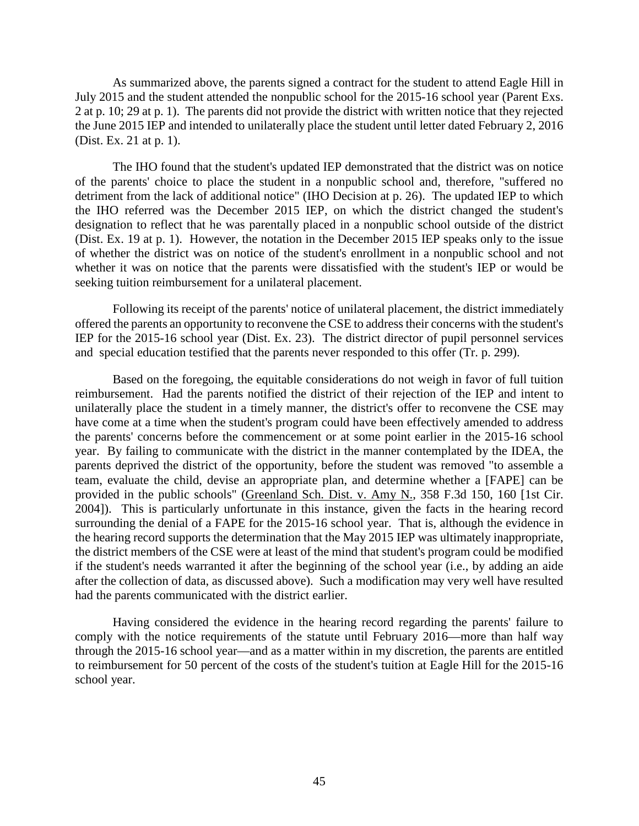As summarized above, the parents signed a contract for the student to attend Eagle Hill in July 2015 and the student attended the nonpublic school for the 2015-16 school year (Parent Exs. 2 at p. 10; 29 at p. 1). The parents did not provide the district with written notice that they rejected the June 2015 IEP and intended to unilaterally place the student until letter dated February 2, 2016 (Dist. Ex. 21 at p. 1).

The IHO found that the student's updated IEP demonstrated that the district was on notice of the parents' choice to place the student in a nonpublic school and, therefore, "suffered no detriment from the lack of additional notice" (IHO Decision at p. 26). The updated IEP to which the IHO referred was the December 2015 IEP, on which the district changed the student's designation to reflect that he was parentally placed in a nonpublic school outside of the district (Dist. Ex. 19 at p. 1). However, the notation in the December 2015 IEP speaks only to the issue of whether the district was on notice of the student's enrollment in a nonpublic school and not whether it was on notice that the parents were dissatisfied with the student's IEP or would be seeking tuition reimbursement for a unilateral placement.

Following its receipt of the parents' notice of unilateral placement, the district immediately offered the parents an opportunity to reconvene the CSE to addresstheir concerns with the student's IEP for the 2015-16 school year (Dist. Ex. 23). The district director of pupil personnel services and special education testified that the parents never responded to this offer (Tr. p. 299).

Based on the foregoing, the equitable considerations do not weigh in favor of full tuition reimbursement. Had the parents notified the district of their rejection of the IEP and intent to unilaterally place the student in a timely manner, the district's offer to reconvene the CSE may have come at a time when the student's program could have been effectively amended to address the parents' concerns before the commencement or at some point earlier in the 2015-16 school year. By failing to communicate with the district in the manner contemplated by the IDEA, the parents deprived the district of the opportunity, before the student was removed "to assemble a team, evaluate the child, devise an appropriate plan, and determine whether a [FAPE] can be provided in the public schools" (Greenland Sch. Dist. v. Amy N., 358 F.3d 150, 160 [1st Cir. 2004]). This is particularly unfortunate in this instance, given the facts in the hearing record surrounding the denial of a FAPE for the 2015-16 school year. That is, although the evidence in the hearing record supports the determination that the May 2015 IEP was ultimately inappropriate, the district members of the CSE were at least of the mind that student's program could be modified if the student's needs warranted it after the beginning of the school year (i.e., by adding an aide after the collection of data, as discussed above). Such a modification may very well have resulted had the parents communicated with the district earlier.

Having considered the evidence in the hearing record regarding the parents' failure to comply with the notice requirements of the statute until February 2016—more than half way through the 2015-16 school year—and as a matter within in my discretion, the parents are entitled to reimbursement for 50 percent of the costs of the student's tuition at Eagle Hill for the 2015-16 school year.